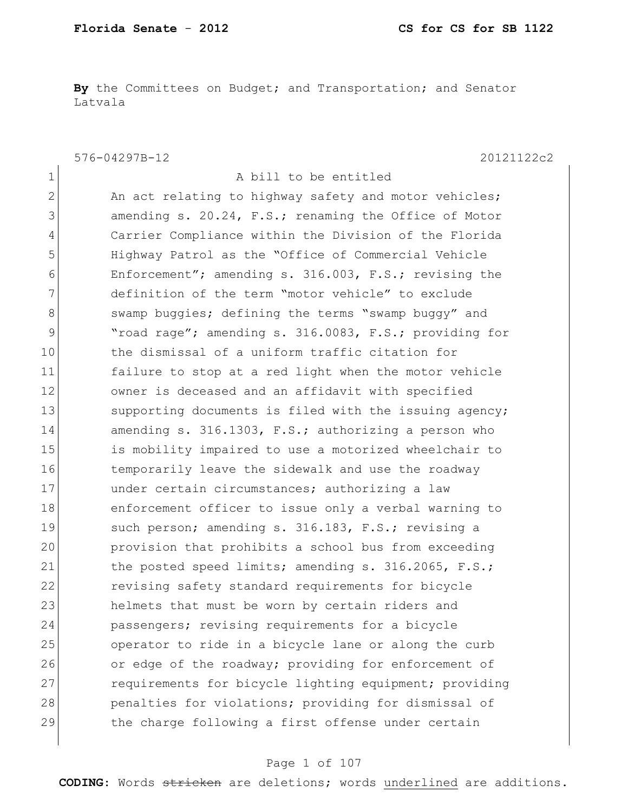**By** the Committees on Budget; and Transportation; and Senator Latvala

1 a bill to be entitled

576-04297B-12 20121122c2

2 An act relating to highway safety and motor vehicles; 3 3 amending s. 20.24, F.S.; renaming the Office of Motor 4 Carrier Compliance within the Division of the Florida 5 Highway Patrol as the "Office of Commercial Vehicle 6 Enforcement"; amending s. 316.003, F.S.; revising the 7 definition of the term "motor vehicle" to exclude 8 Swamp buggies; defining the terms "swamp buggy" and 9 "road rage"; amending s. 316.0083, F.S.; providing for 10 the dismissal of a uniform traffic citation for 11 failure to stop at a red light when the motor vehicle 12 owner is deceased and an affidavit with specified 13 Supporting documents is filed with the issuing agency; 14 amending s. 316.1303, F.S.; authorizing a person who 15 is mobility impaired to use a motorized wheelchair to 16 16 temporarily leave the sidewalk and use the roadway 17 under certain circumstances; authorizing a law 18 enforcement officer to issue only a verbal warning to 19 Such person; amending s. 316.183, F.S.; revising a 20 provision that prohibits a school bus from exceeding 21 the posted speed limits; amending s. 316.2065, F.S.; 22 revising safety standard requirements for bicycle 23 helmets that must be worn by certain riders and 24 passengers; revising requirements for a bicycle 25 operator to ride in a bicycle lane or along the curb 26 or edge of the roadway; providing for enforcement of 27 requirements for bicycle lighting equipment; providing 28 penalties for violations; providing for dismissal of 29 the charge following a first offense under certain

#### Page 1 of 107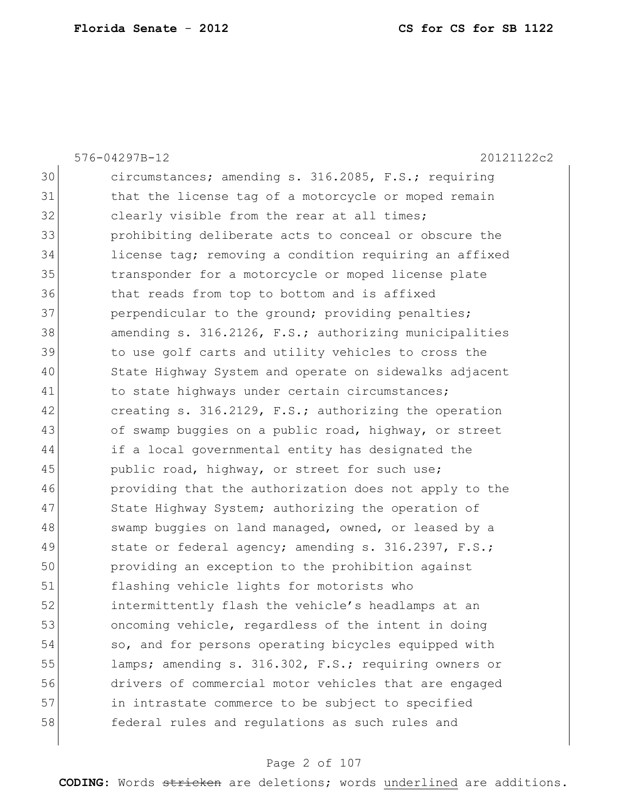576-04297B-12 20121122c2 30 circumstances; amending s. 316.2085, F.S.; requiring 31 that the license tag of a motorcycle or moped remain 32 clearly visible from the rear at all times; 33 prohibiting deliberate acts to conceal or obscure the 34 license tag; removing a condition requiring an affixed 35 transponder for a motorcycle or moped license plate 36 that reads from top to bottom and is affixed 37 perpendicular to the ground; providing penalties; 38 amending s. 316.2126, F.S.; authorizing municipalities 39 to use golf carts and utility vehicles to cross the 40 State Highway System and operate on sidewalks adjacent 41 to state highways under certain circumstances; 42 creating s. 316.2129, F.S.; authorizing the operation 43 of swamp buggies on a public road, highway, or street 44 if a local governmental entity has designated the 45 public road, highway, or street for such use; 46 providing that the authorization does not apply to the 47 State Highway System; authorizing the operation of  $48$  swamp buggies on land managed, owned, or leased by a 49 state or federal agency; amending s. 316.2397, F.S.; 50 providing an exception to the prohibition against 51 flashing vehicle lights for motorists who 52 intermittently flash the vehicle's headlamps at an 53 oncoming vehicle, regardless of the intent in doing 54 so, and for persons operating bicycles equipped with 55 lamps; amending s. 316.302, F.S.; requiring owners or 56 drivers of commercial motor vehicles that are engaged 57 in intrastate commerce to be subject to specified 58 federal rules and regulations as such rules and

#### Page 2 of 107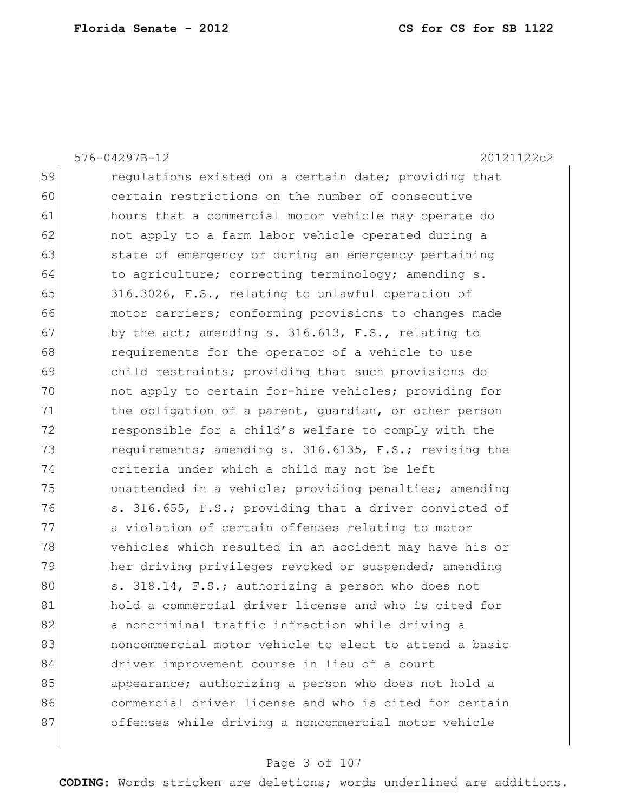59 regulations existed on a certain date; providing that 60 certain restrictions on the number of consecutive 61 hours that a commercial motor vehicle may operate do 62 **not apply to a farm labor vehicle operated during a** 63 state of emergency or during an emergency pertaining 64 to agriculture; correcting terminology; amending s. 65 316.3026, F.S., relating to unlawful operation of 66 motor carriers; conforming provisions to changes made  $67$  by the act; amending s. 316.613, F.S., relating to 68 **requirements for the operator of a vehicle to use** 69 child restraints; providing that such provisions do 70 not apply to certain for-hire vehicles; providing for 71 the obligation of a parent, quardian, or other person 72 responsible for a child's welfare to comply with the 73 requirements; amending s. 316.6135, F.S.; revising the 74 criteria under which a child may not be left 75 unattended in a vehicle; providing penalties; amending 76 s. 316.655, F.S.; providing that a driver convicted of 77 a violation of certain offenses relating to motor 78 vehicles which resulted in an accident may have his or 79 her driving privileges revoked or suspended; amending 80 s. 318.14, F.S.; authorizing a person who does not 81 hold a commercial driver license and who is cited for 82 a noncriminal traffic infraction while driving a 83 631 noncommercial motor vehicle to elect to attend a basic 84 driver improvement course in lieu of a court 85 appearance; authorizing a person who does not hold a 86 commercial driver license and who is cited for certain 87 offenses while driving a noncommercial motor vehicle

576-04297B-12 20121122c2

#### Page 3 of 107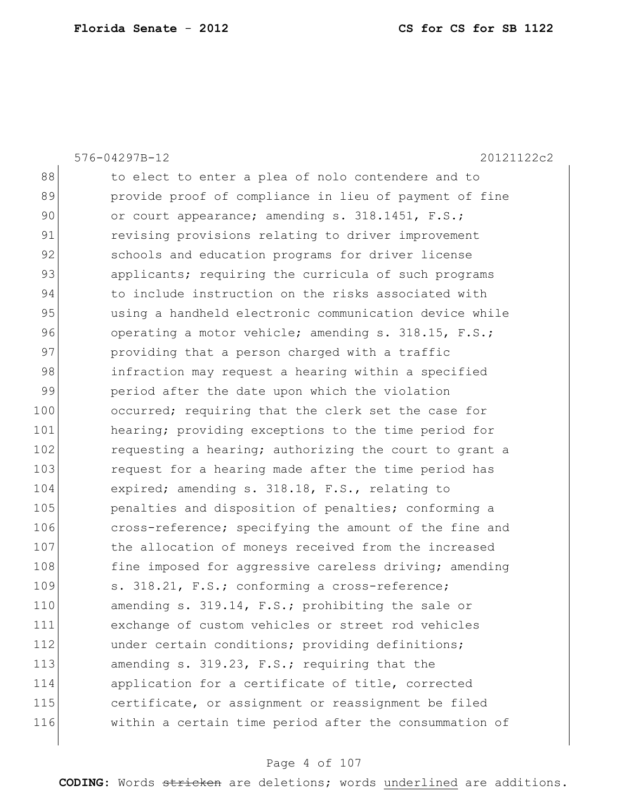88 to elect to enter a plea of nolo contendere and to 89 provide proof of compliance in lieu of payment of fine 90 or court appearance; amending s. 318.1451, F.S.; 91 revising provisions relating to driver improvement 92 schools and education programs for driver license 93 applicants; requiring the curricula of such programs 94 to include instruction on the risks associated with 95 using a handheld electronic communication device while 96 operating a motor vehicle; amending s. 318.15, F.S.; 97 providing that a person charged with a traffic 98 infraction may request a hearing within a specified 99 period after the date upon which the violation 100 occurred; requiring that the clerk set the case for 101 hearing; providing exceptions to the time period for 102 requesting a hearing; authorizing the court to grant a 103 request for a hearing made after the time period has 104 expired; amending s. 318.18, F.S., relating to 105 **penalties and disposition of penalties;** conforming a 106 cross-reference; specifying the amount of the fine and 107 the allocation of moneys received from the increased 108 fine imposed for aggressive careless driving; amending 109 s. 318.21, F.S.; conforming a cross-reference; 110 amending s. 319.14, F.S.; prohibiting the sale or 111 exchange of custom vehicles or street rod vehicles 112 **b** under certain conditions; providing definitions; 113 amending s. 319.23, F.S.; requiring that the 114 application for a certificate of title, corrected 115 certificate, or assignment or reassignment be filed 116 within a certain time period after the consummation of

576-04297B-12 20121122c2

#### Page 4 of 107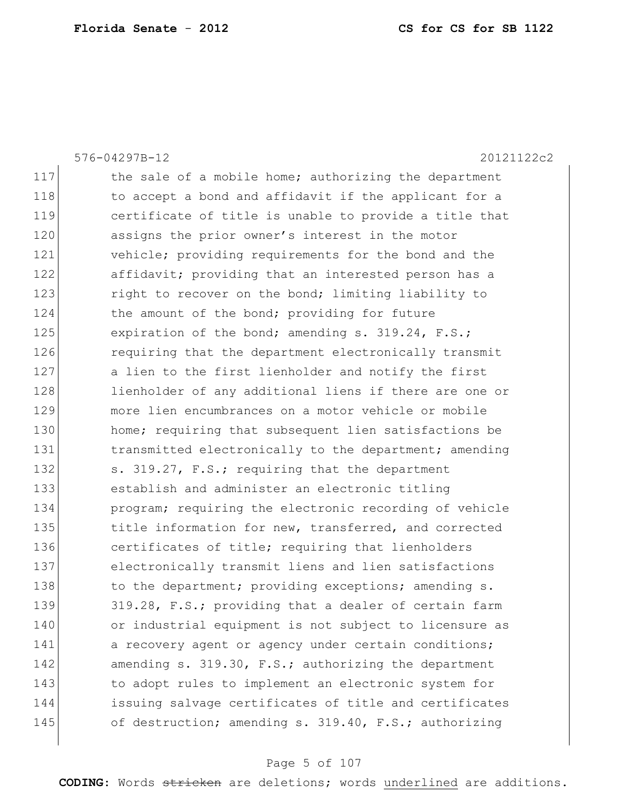|     | 576-04297B-12<br>20121122c2                            |
|-----|--------------------------------------------------------|
| 117 | the sale of a mobile home; authorizing the department  |
| 118 | to accept a bond and affidavit if the applicant for a  |
| 119 | certificate of title is unable to provide a title that |
| 120 | assigns the prior owner's interest in the motor        |
| 121 | vehicle; providing requirements for the bond and the   |
| 122 | affidavit; providing that an interested person has a   |
| 123 | right to recover on the bond; limiting liability to    |
| 124 | the amount of the bond; providing for future           |
| 125 | expiration of the bond; amending s. 319.24, F.S.;      |
| 126 | requiring that the department electronically transmit  |
| 127 | a lien to the first lienholder and notify the first    |
| 128 | lienholder of any additional liens if there are one or |
| 129 | more lien encumbrances on a motor vehicle or mobile    |
| 130 | home; requiring that subsequent lien satisfactions be  |
| 131 | transmitted electronically to the department; amending |
| 132 | s. 319.27, F.S.; requiring that the department         |
| 133 | establish and administer an electronic titling         |
| 134 | program; requiring the electronic recording of vehicle |
| 135 | title information for new, transferred, and corrected  |
| 136 | certificates of title; requiring that lienholders      |
| 137 | electronically transmit liens and lien satisfactions   |
| 138 | to the department; providing exceptions; amending s.   |
| 139 | 319.28, F.S.; providing that a dealer of certain farm  |
| 140 | or industrial equipment is not subject to licensure as |
| 141 | a recovery agent or agency under certain conditions;   |
| 142 | amending s. 319.30, F.S.; authorizing the department   |
| 143 | to adopt rules to implement an electronic system for   |
| 144 | issuing salvage certificates of title and certificates |
| 145 | of destruction; amending s. 319.40, F.S.; authorizing  |
|     |                                                        |

## Page 5 of 107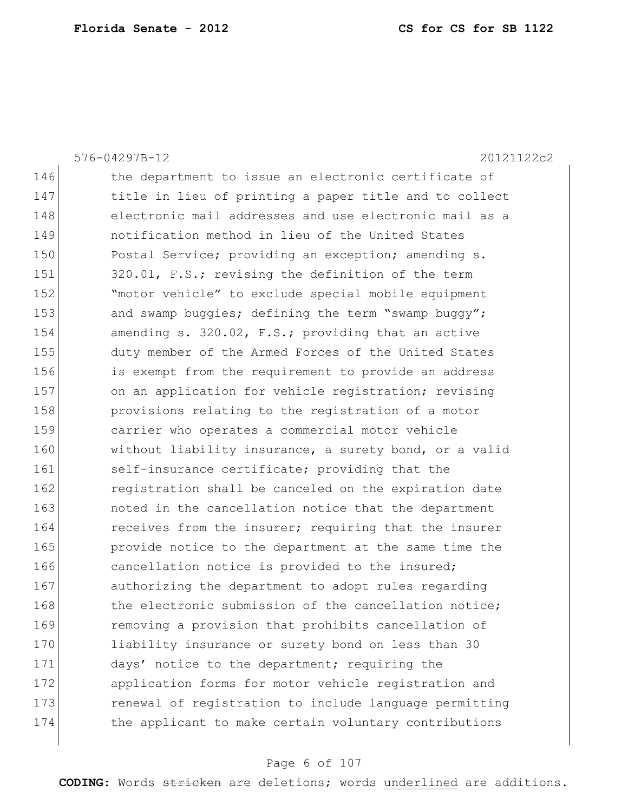576-04297B-12 20121122c2 146 the department to issue an electronic certificate of 147 title in lieu of printing a paper title and to collect 148 electronic mail addresses and use electronic mail as a 149 notification method in lieu of the United States 150 Postal Service; providing an exception; amending s. 151 320.01, F.S.; revising the definition of the term 152 "motor vehicle" to exclude special mobile equipment 153 and swamp buggies; defining the term "swamp buggy"; 154 amending s. 320.02, F.S.; providing that an active 155 duty member of the Armed Forces of the United States 156 is exempt from the requirement to provide an address 157 on an application for vehicle registration; revising 158 **provisions relating to the registration of a motor** 159 carrier who operates a commercial motor vehicle 160 without liability insurance, a surety bond, or a valid 161 self-insurance certificate; providing that the 162 **registration shall be canceled on the expiration date** 163 **noted in the cancellation notice that the department** 164 receives from the insurer; requiring that the insurer 165 **provide notice to the department at the same time the** 166 cancellation notice is provided to the insured; 167 authorizing the department to adopt rules regarding 168 the electronic submission of the cancellation notice: 169 removing a provision that prohibits cancellation of 170 liability insurance or surety bond on less than 30 171 days' notice to the department; requiring the 172 application forms for motor vehicle registration and 173 **renewal of registration to include language permitting** 174 the applicant to make certain voluntary contributions

#### Page 6 of 107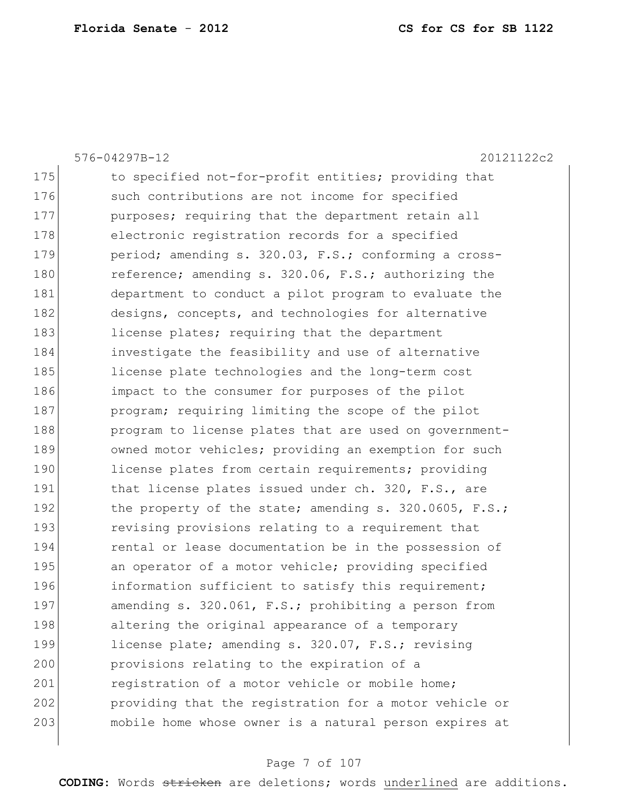|     | 576-04297B-12<br>20121122c2                                 |
|-----|-------------------------------------------------------------|
| 175 | to specified not-for-profit entities; providing that        |
| 176 | such contributions are not income for specified             |
| 177 | purposes; requiring that the department retain all          |
| 178 | electronic registration records for a specified             |
| 179 | period; amending s. 320.03, F.S.; conforming a cross-       |
| 180 | reference; amending s. 320.06, F.S.; authorizing the        |
| 181 | department to conduct a pilot program to evaluate the       |
| 182 | designs, concepts, and technologies for alternative         |
| 183 | license plates; requiring that the department               |
| 184 | investigate the feasibility and use of alternative          |
| 185 | license plate technologies and the long-term cost           |
| 186 | impact to the consumer for purposes of the pilot            |
| 187 | program; requiring limiting the scope of the pilot          |
| 188 | program to license plates that are used on government-      |
| 189 | owned motor vehicles; providing an exemption for such       |
| 190 | license plates from certain requirements; providing         |
| 191 | that license plates issued under ch. 320, F.S., are         |
| 192 | the property of the state; amending $s. 320.0605$ , $F.S.;$ |
| 193 | revising provisions relating to a requirement that          |
| 194 | rental or lease documentation be in the possession of       |
| 195 | an operator of a motor vehicle; providing specified         |
| 196 | information sufficient to satisfy this requirement;         |
| 197 | amending s. 320.061, F.S.; prohibiting a person from        |
| 198 | altering the original appearance of a temporary             |
| 199 | license plate; amending s. 320.07, F.S.; revising           |
| 200 | provisions relating to the expiration of a                  |
| 201 | registration of a motor vehicle or mobile home;             |
| 202 | providing that the registration for a motor vehicle or      |
| 203 | mobile home whose owner is a natural person expires at      |
|     |                                                             |

## Page 7 of 107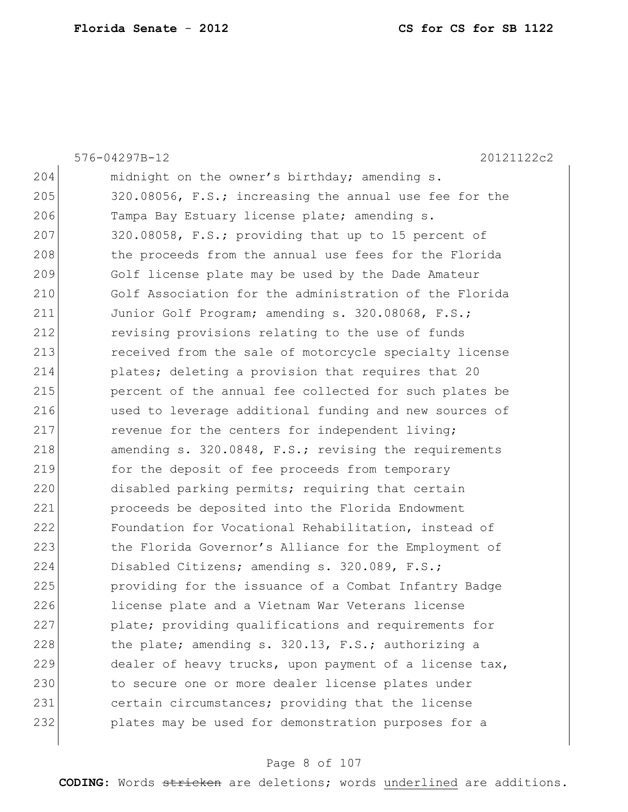|     | 576-04297B-12<br>20121122c2                            |
|-----|--------------------------------------------------------|
| 204 | midnight on the owner's birthday; amending s.          |
| 205 | 320.08056, F.S.; increasing the annual use fee for the |
| 206 | Tampa Bay Estuary license plate; amending s.           |
| 207 | 320.08058, F.S.; providing that up to 15 percent of    |
| 208 | the proceeds from the annual use fees for the Florida  |
| 209 | Golf license plate may be used by the Dade Amateur     |
| 210 | Golf Association for the administration of the Florida |
| 211 | Junior Golf Program; amending s. 320.08068, F.S.;      |
| 212 | revising provisions relating to the use of funds       |
| 213 | received from the sale of motorcycle specialty license |
| 214 | plates; deleting a provision that requires that 20     |
| 215 | percent of the annual fee collected for such plates be |
| 216 | used to leverage additional funding and new sources of |
| 217 | revenue for the centers for independent living;        |
| 218 | amending s. 320.0848, F.S.; revising the requirements  |
| 219 | for the deposit of fee proceeds from temporary         |
| 220 | disabled parking permits; requiring that certain       |
| 221 | proceeds be deposited into the Florida Endowment       |
| 222 | Foundation for Vocational Rehabilitation, instead of   |
| 223 | the Florida Governor's Alliance for the Employment of  |
| 224 | Disabled Citizens; amending s. 320.089, F.S.;          |
| 225 | providing for the issuance of a Combat Infantry Badge  |
| 226 | license plate and a Vietnam War Veterans license       |
| 227 | plate; providing qualifications and requirements for   |
| 228 | the plate; amending s. 320.13, F.S.; authorizing a     |
| 229 | dealer of heavy trucks, upon payment of a license tax, |
| 230 | to secure one or more dealer license plates under      |
| 231 | certain circumstances; providing that the license      |
| 232 | plates may be used for demonstration purposes for a    |
|     |                                                        |

## Page 8 of 107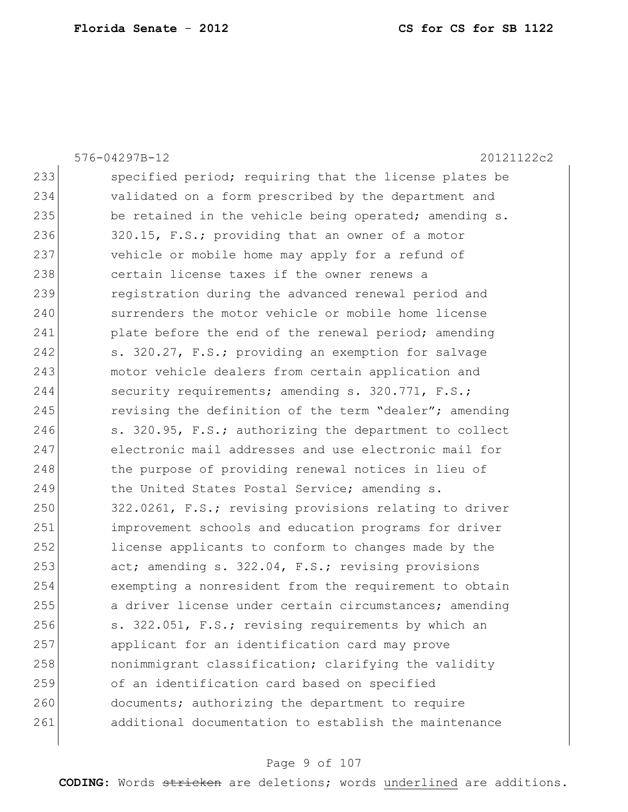|     | 576-04297B-12<br>20121122c2                            |
|-----|--------------------------------------------------------|
| 233 | specified period; requiring that the license plates be |
| 234 | validated on a form prescribed by the department and   |
| 235 | be retained in the vehicle being operated; amending s. |
| 236 | 320.15, F.S.; providing that an owner of a motor       |
| 237 | vehicle or mobile home may apply for a refund of       |
| 238 | certain license taxes if the owner renews a            |
| 239 | registration during the advanced renewal period and    |
| 240 | surrenders the motor vehicle or mobile home license    |
| 241 | plate before the end of the renewal period; amending   |
| 242 | s. 320.27, F.S.; providing an exemption for salvage    |
| 243 | motor vehicle dealers from certain application and     |
| 244 | security requirements; amending s. 320.771, F.S.;      |
| 245 | revising the definition of the term "dealer"; amending |
| 246 | s. 320.95, F.S.; authorizing the department to collect |
| 247 | electronic mail addresses and use electronic mail for  |
| 248 | the purpose of providing renewal notices in lieu of    |
| 249 | the United States Postal Service; amending s.          |
| 250 | 322.0261, F.S.; revising provisions relating to driver |
| 251 | improvement schools and education programs for driver  |
| 252 | license applicants to conform to changes made by the   |
| 253 | act; amending s. 322.04, F.S.; revising provisions     |
| 254 | exempting a nonresident from the requirement to obtain |
| 255 | a driver license under certain circumstances; amending |
| 256 | s. 322.051, F.S.; revising requirements by which an    |
| 257 | applicant for an identification card may prove         |
| 258 | nonimmigrant classification; clarifying the validity   |
| 259 | of an identification card based on specified           |
| 260 | documents; authorizing the department to require       |
| 261 | additional documentation to establish the maintenance  |
|     |                                                        |

## Page 9 of 107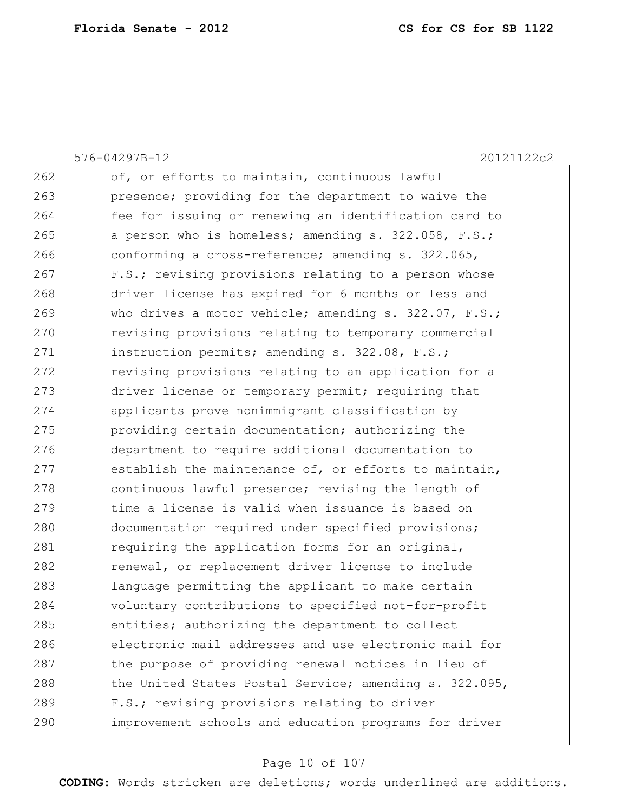576-04297B-12 20121122c2 262 of, or efforts to maintain, continuous lawful 263 **presence;** providing for the department to waive the 264 fee for issuing or renewing an identification card to 265 a person who is homeless; amending s. 322.058, F.S.; 266 conforming a cross-reference; amending s. 322.065, 267 F.S.; revising provisions relating to a person whose 268 driver license has expired for 6 months or less and 269 Who drives a motor vehicle; amending s. 322.07, F.S.; 270 revising provisions relating to temporary commercial 271 instruction permits; amending s. 322.08, F.S.; 272 revising provisions relating to an application for a 273 driver license or temporary permit; requiring that 274 applicants prove nonimmigrant classification by 275 **providing certain documentation;** authorizing the 276 department to require additional documentation to 277 establish the maintenance of, or efforts to maintain, 278 continuous lawful presence; revising the length of 279 time a license is valid when issuance is based on 280 documentation required under specified provisions; 281 requiring the application forms for an original, 282 **renewal,** or replacement driver license to include 283 language permitting the applicant to make certain 284 voluntary contributions to specified not-for-profit 285 entities; authorizing the department to collect 286 electronic mail addresses and use electronic mail for 287 the purpose of providing renewal notices in lieu of 288 the United States Postal Service; amending s. 322.095, 289 F.S.; revising provisions relating to driver 290 improvement schools and education programs for driver

#### Page 10 of 107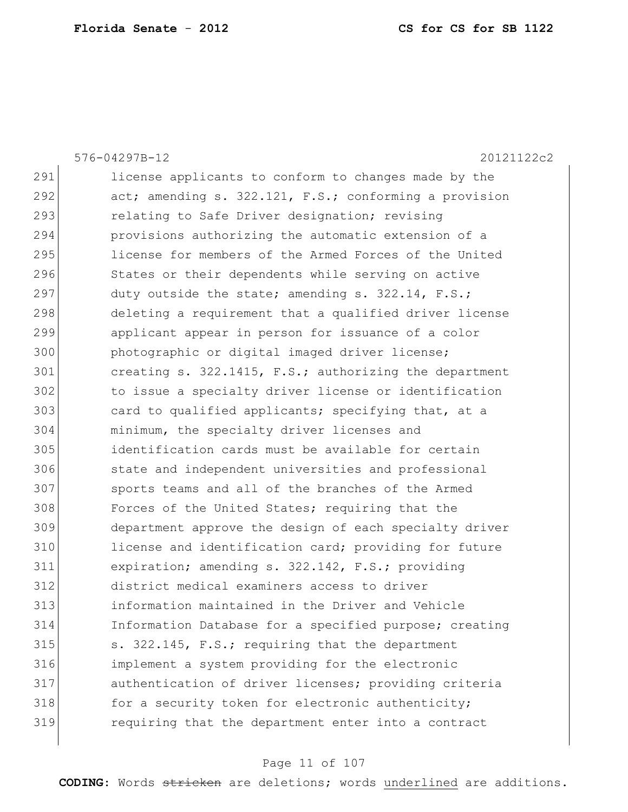576-04297B-12 20121122c2 291 license applicants to conform to changes made by the 292 act; amending s. 322.121, F.S.; conforming a provision 293 relating to Safe Driver designation; revising 294 provisions authorizing the automatic extension of a 295 license for members of the Armed Forces of the United 296 States or their dependents while serving on active 297 duty outside the state; amending  $s. 322.14$ ,  $F.S.;$ 298 deleting a requirement that a qualified driver license 299 applicant appear in person for issuance of a color 300 **photographic or digital imaged driver license;** 301 creating s. 322.1415, F.S.; authorizing the department 302 to issue a specialty driver license or identification 303 card to qualified applicants; specifying that, at a 304 minimum, the specialty driver licenses and 305 identification cards must be available for certain 306 state and independent universities and professional 307 sports teams and all of the branches of the Armed 308 Forces of the United States; requiring that the 309 department approve the design of each specialty driver 310 license and identification card; providing for future 311 expiration; amending s. 322.142, F.S.; providing 312 district medical examiners access to driver 313 information maintained in the Driver and Vehicle 314 Information Database for a specified purpose; creating 315 s. 322.145, F.S.; requiring that the department 316 implement a system providing for the electronic 317 authentication of driver licenses; providing criteria 318 for a security token for electronic authenticity; 319 requiring that the department enter into a contract

#### Page 11 of 107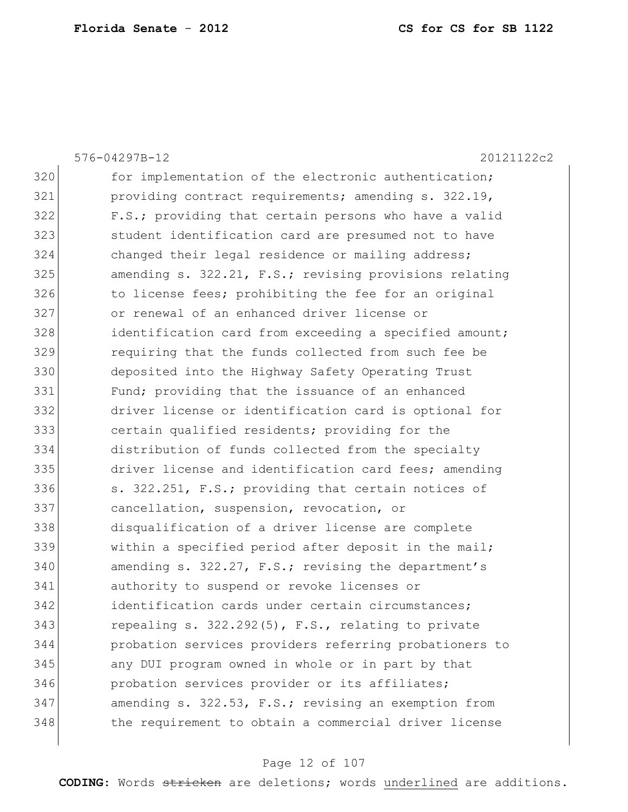|     | 576-04297B-12<br>20121122c2                            |
|-----|--------------------------------------------------------|
| 320 | for implementation of the electronic authentication;   |
| 321 | providing contract requirements; amending s. 322.19,   |
| 322 | F.S.; providing that certain persons who have a valid  |
| 323 | student identification card are presumed not to have   |
| 324 | changed their legal residence or mailing address;      |
| 325 | amending s. 322.21, F.S.; revising provisions relating |
| 326 | to license fees; prohibiting the fee for an original   |
| 327 | or renewal of an enhanced driver license or            |
| 328 | identification card from exceeding a specified amount; |
| 329 | requiring that the funds collected from such fee be    |
| 330 | deposited into the Highway Safety Operating Trust      |
| 331 | Fund; providing that the issuance of an enhanced       |
| 332 | driver license or identification card is optional for  |
| 333 | certain qualified residents; providing for the         |
| 334 | distribution of funds collected from the specialty     |
| 335 | driver license and identification card fees; amending  |
| 336 | s. 322.251, F.S.; providing that certain notices of    |
| 337 | cancellation, suspension, revocation, or               |
| 338 | disqualification of a driver license are complete      |
| 339 | within a specified period after deposit in the mail;   |
| 340 | amending s. 322.27, F.S.; revising the department's    |
| 341 | authority to suspend or revoke licenses or             |
| 342 | identification cards under certain circumstances;      |
| 343 | repealing s. 322.292(5), F.S., relating to private     |
| 344 | probation services providers referring probationers to |
| 345 | any DUI program owned in whole or in part by that      |
| 346 | probation services provider or its affiliates;         |
| 347 | amending s. 322.53, F.S.; revising an exemption from   |
| 348 | the requirement to obtain a commercial driver license  |
|     |                                                        |

## Page 12 of 107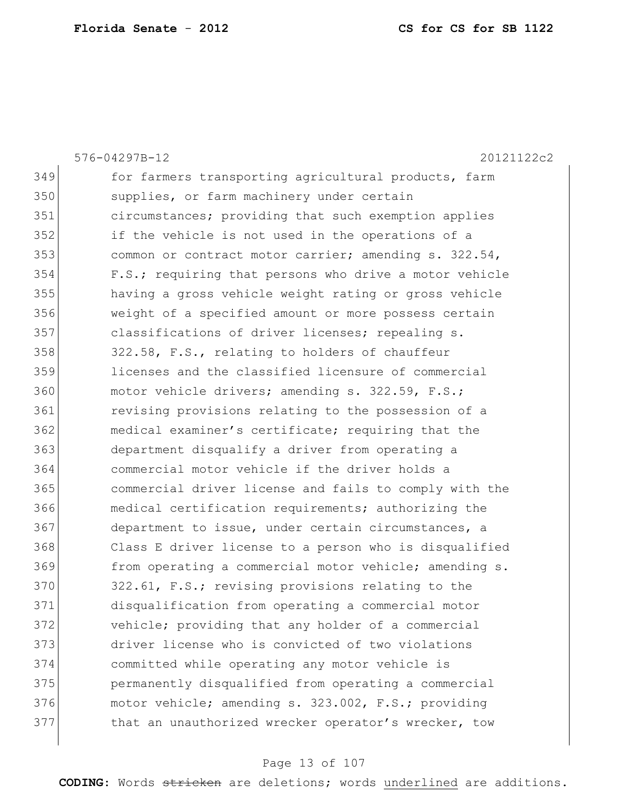|     | 576-04297B-12<br>20121122c2                            |
|-----|--------------------------------------------------------|
| 349 | for farmers transporting agricultural products, farm   |
| 350 | supplies, or farm machinery under certain              |
| 351 | circumstances; providing that such exemption applies   |
| 352 | if the vehicle is not used in the operations of a      |
| 353 | common or contract motor carrier; amending s. 322.54,  |
| 354 | F.S.; requiring that persons who drive a motor vehicle |
| 355 | having a gross vehicle weight rating or gross vehicle  |
| 356 | weight of a specified amount or more possess certain   |
| 357 | classifications of driver licenses; repealing s.       |
| 358 | 322.58, F.S., relating to holders of chauffeur         |
| 359 | licenses and the classified licensure of commercial    |
| 360 | motor vehicle drivers; amending s. 322.59, F.S.;       |
| 361 | revising provisions relating to the possession of a    |
| 362 | medical examiner's certificate; requiring that the     |
| 363 | department disqualify a driver from operating a        |
| 364 | commercial motor vehicle if the driver holds a         |
| 365 | commercial driver license and fails to comply with the |
| 366 | medical certification requirements; authorizing the    |
| 367 | department to issue, under certain circumstances, a    |
| 368 | Class E driver license to a person who is disqualified |
| 369 | from operating a commercial motor vehicle; amending s. |
| 370 | 322.61, F.S.; revising provisions relating to the      |
| 371 | disqualification from operating a commercial motor     |
| 372 | vehicle; providing that any holder of a commercial     |
| 373 | driver license who is convicted of two violations      |
| 374 | committed while operating any motor vehicle is         |
| 375 | permanently disqualified from operating a commercial   |
| 376 | motor vehicle; amending s. 323.002, F.S.; providing    |
| 377 | that an unauthorized wrecker operator's wrecker, tow   |
|     |                                                        |

## Page 13 of 107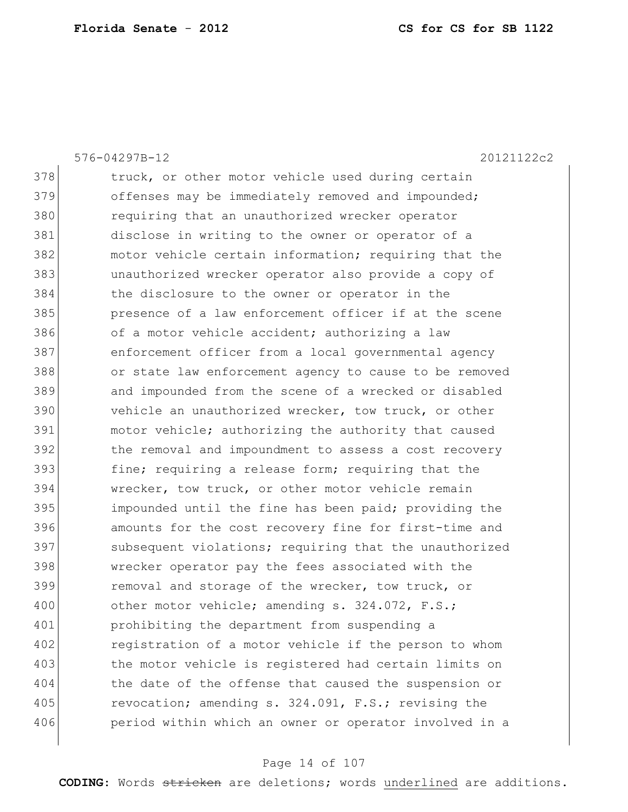576-04297B-12 20121122c2 378 truck, or other motor vehicle used during certain 379 offenses may be immediately removed and impounded; 380 requiring that an unauthorized wrecker operator 381 disclose in writing to the owner or operator of a 382 motor vehicle certain information; requiring that the 383 unauthorized wrecker operator also provide a copy of 384 the disclosure to the owner or operator in the 385 presence of a law enforcement officer if at the scene 386 of a motor vehicle accident; authorizing a law 387 enforcement officer from a local governmental agency 388 or state law enforcement agency to cause to be removed 389 and impounded from the scene of a wrecked or disabled 390 vehicle an unauthorized wrecker, tow truck, or other 391 motor vehicle; authorizing the authority that caused 392 the removal and impoundment to assess a cost recovery 393 fine; requiring a release form; requiring that the 394 wrecker, tow truck, or other motor vehicle remain 395 impounded until the fine has been paid; providing the 396 amounts for the cost recovery fine for first-time and 397 subsequent violations; requiring that the unauthorized 398 wrecker operator pay the fees associated with the 399 removal and storage of the wrecker, tow truck, or 400 other motor vehicle; amending s. 324.072, F.S.; 401 prohibiting the department from suspending a 402 registration of a motor vehicle if the person to whom 403 the motor vehicle is registered had certain limits on 404 the date of the offense that caused the suspension or 405 revocation; amending s. 324.091, F.S.; revising the 406 **period within which an owner or operator involved in a** 

#### Page 14 of 107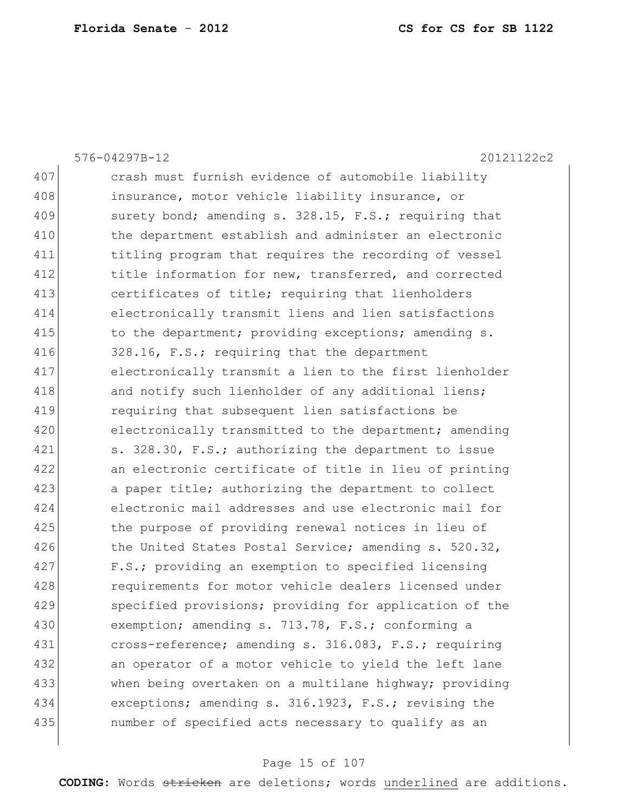407 crash must furnish evidence of automobile liability 408 **insurance, motor vehicle liability insurance, or** 409 surety bond; amending s. 328.15, F.S.; requiring that 410 the department establish and administer an electronic 411 titling program that requires the recording of vessel 412 title information for new, transferred, and corrected 413 certificates of title; requiring that lienholders 414 electronically transmit liens and lien satisfactions 415 to the department; providing exceptions; amending s. 416 328.16, F.S.; requiring that the department 417 electronically transmit a lien to the first lienholder 418 and notify such lienholder of any additional liens; 419 requiring that subsequent lien satisfactions be 420 electronically transmitted to the department; amending 421 s. 328.30, F.S.; authorizing the department to issue 422 an electronic certificate of title in lieu of printing 423 a paper title; authorizing the department to collect 424 electronic mail addresses and use electronic mail for 425 the purpose of providing renewal notices in lieu of 426 the United States Postal Service; amending s. 520.32, 427 F.S.; providing an exemption to specified licensing 428 **requirements** for motor vehicle dealers licensed under 429 specified provisions; providing for application of the 430 exemption; amending s. 713.78, F.S.; conforming a 431 cross-reference; amending s. 316.083, F.S.; requiring 432 an operator of a motor vehicle to yield the left lane 433 when being overtaken on a multilane highway; providing 434 exceptions; amending s. 316.1923, F.S.; revising the 435 number of specified acts necessary to qualify as an

576-04297B-12 20121122c2

#### Page 15 of 107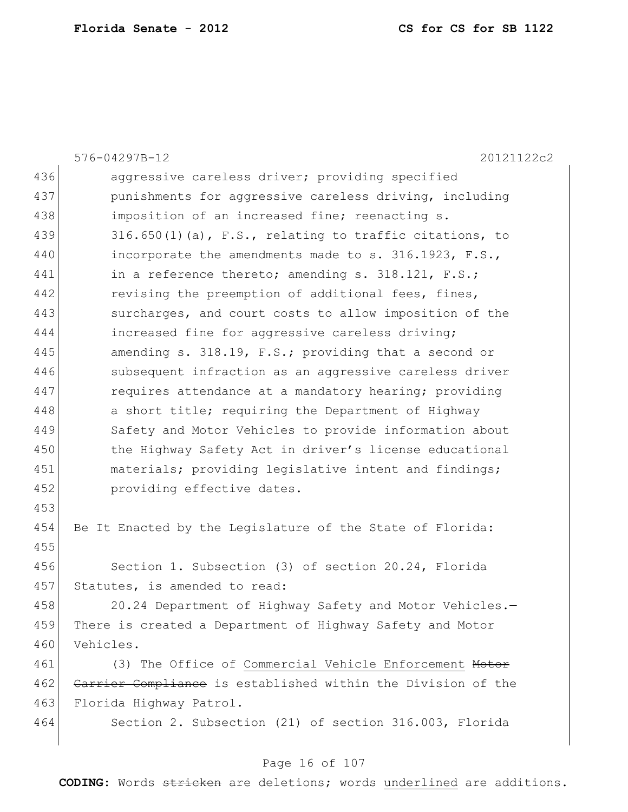|     | 576-04297B-12<br>20121122c2                                  |
|-----|--------------------------------------------------------------|
| 436 | aggressive careless driver; providing specified              |
| 437 | punishments for aggressive careless driving, including       |
| 438 | imposition of an increased fine; reenacting s.               |
| 439 | $316.650(1)$ (a), F.S., relating to traffic citations, to    |
| 440 | incorporate the amendments made to s. 316.1923, F.S.,        |
| 441 | in a reference thereto; amending s. 318.121, F.S.;           |
| 442 | revising the preemption of additional fees, fines,           |
| 443 | surcharges, and court costs to allow imposition of the       |
| 444 | increased fine for aggressive careless driving;              |
| 445 | amending s. 318.19, F.S.; providing that a second or         |
| 446 | subsequent infraction as an aggressive careless driver       |
| 447 | requires attendance at a mandatory hearing; providing        |
| 448 | a short title; requiring the Department of Highway           |
| 449 | Safety and Motor Vehicles to provide information about       |
| 450 | the Highway Safety Act in driver's license educational       |
| 451 | materials; providing legislative intent and findings;        |
| 452 | providing effective dates.                                   |
| 453 |                                                              |
| 454 | Be It Enacted by the Legislature of the State of Florida:    |
| 455 |                                                              |
| 456 | Section 1. Subsection (3) of section 20.24, Florida          |
| 457 | Statutes, is amended to read:                                |
| 458 | 20.24 Department of Highway Safety and Motor Vehicles.-      |
| 459 | There is created a Department of Highway Safety and Motor    |
| 460 | Vehicles.                                                    |
| 461 | (3) The Office of Commercial Vehicle Enforcement Motor       |
| 462 | Carrier Compliance is established within the Division of the |
| 463 | Florida Highway Patrol.                                      |
| 464 | Section 2. Subsection (21) of section 316.003, Florida       |
|     |                                                              |

## Page 16 of 107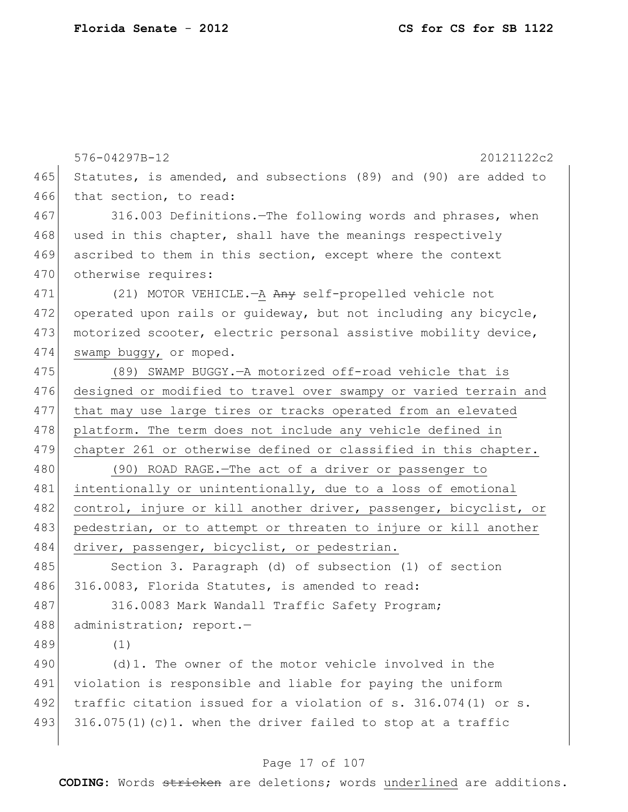|     | 576-04297B-12<br>20121122c2                                      |
|-----|------------------------------------------------------------------|
| 465 | Statutes, is amended, and subsections (89) and (90) are added to |
| 466 | that section, to read:                                           |
| 467 | 316.003 Definitions. The following words and phrases, when       |
| 468 | used in this chapter, shall have the meanings respectively       |
| 469 | ascribed to them in this section, except where the context       |
| 470 | otherwise requires:                                              |
| 471 | (21) MOTOR VEHICLE. - A Any self-propelled vehicle not           |
| 472 | operated upon rails or guideway, but not including any bicycle,  |
| 473 | motorized scooter, electric personal assistive mobility device,  |
| 474 | swamp buggy, or moped.                                           |
| 475 | (89) SWAMP BUGGY. - A motorized off-road vehicle that is         |
| 476 | designed or modified to travel over swampy or varied terrain and |
| 477 | that may use large tires or tracks operated from an elevated     |
| 478 | platform. The term does not include any vehicle defined in       |
| 479 | chapter 261 or otherwise defined or classified in this chapter.  |
| 480 | (90) ROAD RAGE. - The act of a driver or passenger to            |
| 481 | intentionally or unintentionally, due to a loss of emotional     |
| 482 | control, injure or kill another driver, passenger, bicyclist, or |
| 483 | pedestrian, or to attempt or threaten to injure or kill another  |
| 484 | driver, passenger, bicyclist, or pedestrian.                     |
| 485 | Section 3. Paragraph (d) of subsection (1) of section            |
| 486 | 316.0083, Florida Statutes, is amended to read:                  |
| 487 | 316.0083 Mark Wandall Traffic Safety Program;                    |
| 488 | administration; report.-                                         |
| 489 | (1)                                                              |
| 490 | (d) 1. The owner of the motor vehicle involved in the            |
| 491 | violation is responsible and liable for paying the uniform       |
| 492 | traffic citation issued for a violation of s. $316.074(1)$ or s. |
| 493 | 316.075(1)(c)1. when the driver failed to stop at a traffic      |

## Page 17 of 107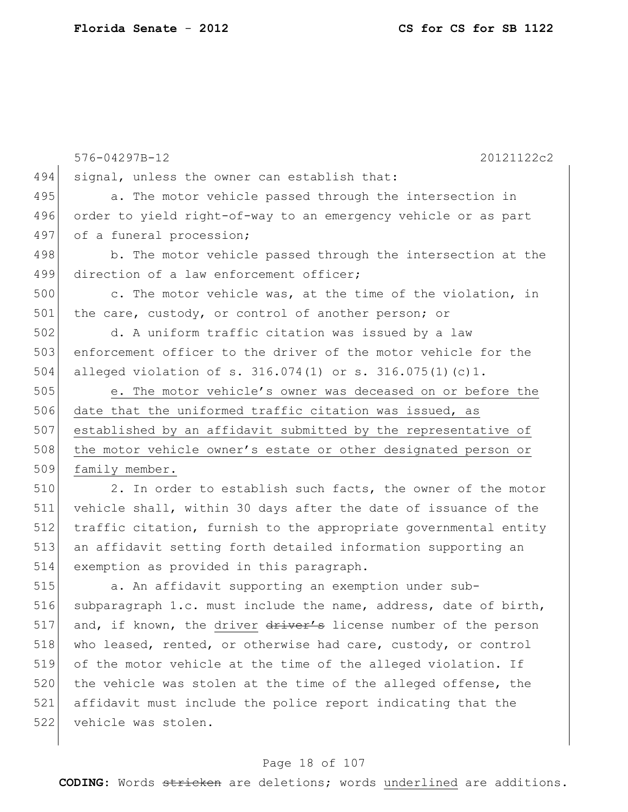522 vehicle was stolen.

|     | 20121122c2<br>576-04297B-12                                      |
|-----|------------------------------------------------------------------|
| 494 | signal, unless the owner can establish that:                     |
| 495 | a. The motor vehicle passed through the intersection in          |
| 496 | order to yield right-of-way to an emergency vehicle or as part   |
| 497 | of a funeral procession;                                         |
| 498 | b. The motor vehicle passed through the intersection at the      |
| 499 | direction of a law enforcement officer;                          |
| 500 | c. The motor vehicle was, at the time of the violation, in       |
| 501 | the care, custody, or control of another person; or              |
| 502 | d. A uniform traffic citation was issued by a law                |
| 503 | enforcement officer to the driver of the motor vehicle for the   |
| 504 | alleged violation of s. $316.074(1)$ or s. $316.075(1)(c)1$ .    |
| 505 | e. The motor vehicle's owner was deceased on or before the       |
| 506 | date that the uniformed traffic citation was issued, as          |
| 507 | established by an affidavit submitted by the representative of   |
| 508 | the motor vehicle owner's estate or other designated person or   |
| 509 | family member.                                                   |
| 510 | 2. In order to establish such facts, the owner of the motor      |
| 511 | vehicle shall, within 30 days after the date of issuance of the  |
| 512 | traffic citation, furnish to the appropriate governmental entity |
| 513 | an affidavit setting forth detailed information supporting an    |
| 514 | exemption as provided in this paragraph.                         |
| 515 | a. An affidavit supporting an exemption under sub-               |
| 516 | subparagraph 1.c. must include the name, address, date of birth, |
| 517 | and, if known, the driver driver's license number of the person  |
| 518 | who leased, rented, or otherwise had care, custody, or control   |
| 519 | of the motor vehicle at the time of the alleged violation. If    |
| 520 | the vehicle was stolen at the time of the alleged offense, the   |
| 521 | affidavit must include the police report indicating that the     |

## Page 18 of 107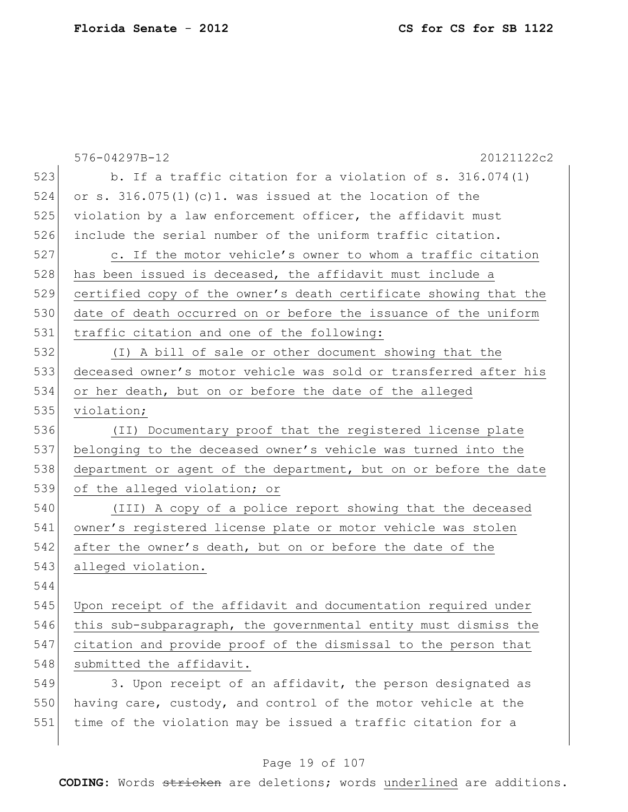|     | 576-04297B-12<br>20121122c2                                      |
|-----|------------------------------------------------------------------|
| 523 | b. If a traffic citation for a violation of s. 316.074(1)        |
| 524 | or s. $316.075(1)$ (c)1. was issued at the location of the       |
| 525 | violation by a law enforcement officer, the affidavit must       |
| 526 | include the serial number of the uniform traffic citation.       |
| 527 | c. If the motor vehicle's owner to whom a traffic citation       |
| 528 | has been issued is deceased, the affidavit must include a        |
| 529 | certified copy of the owner's death certificate showing that the |
| 530 | date of death occurred on or before the issuance of the uniform  |
| 531 | traffic citation and one of the following:                       |
| 532 | (I) A bill of sale or other document showing that the            |
| 533 | deceased owner's motor vehicle was sold or transferred after his |
| 534 | or her death, but on or before the date of the alleged           |
| 535 | violation;                                                       |
| 536 | (II) Documentary proof that the registered license plate         |
| 537 | belonging to the deceased owner's vehicle was turned into the    |
| 538 | department or agent of the department, but on or before the date |
| 539 | of the alleged violation; or                                     |
| 540 | (III) A copy of a police report showing that the deceased        |
| 541 | owner's registered license plate or motor vehicle was stolen     |
| 542 | after the owner's death, but on or before the date of the        |
| 543 | alleged violation.                                               |
| 544 |                                                                  |
| 545 | Upon receipt of the affidavit and documentation required under   |
| 546 | this sub-subparagraph, the governmental entity must dismiss the  |
| 547 | citation and provide proof of the dismissal to the person that   |
| 548 | submitted the affidavit.                                         |
| 549 | 3. Upon receipt of an affidavit, the person designated as        |
| 550 | having care, custody, and control of the motor vehicle at the    |
| 551 | time of the violation may be issued a traffic citation for a     |

## Page 19 of 107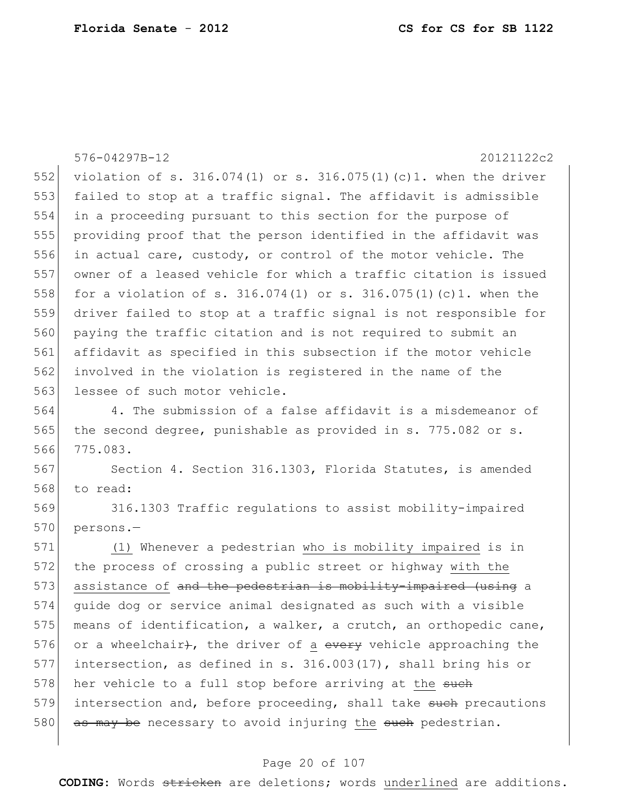576-04297B-12 20121122c2 552 violation of s. 316.074(1) or s. 316.075(1)(c)1. when the driver 553 failed to stop at a traffic signal. The affidavit is admissible 554 in a proceeding pursuant to this section for the purpose of 555 providing proof that the person identified in the affidavit was 556 in actual care, custody, or control of the motor vehicle. The 557 owner of a leased vehicle for which a traffic citation is issued 558 for a violation of s.  $316.074(1)$  or s.  $316.075(1)(c)1$ . when the 559 driver failed to stop at a traffic signal is not responsible for 560 paying the traffic citation and is not required to submit an 561 affidavit as specified in this subsection if the motor vehicle 562 involved in the violation is registered in the name of the 563 lessee of such motor vehicle. 564 4. The submission of a false affidavit is a misdemeanor of 565 the second degree, punishable as provided in s. 775.082 or s. 566 775.083. 567 Section 4. Section 316.1303, Florida Statutes, is amended 568 to read: 569 316.1303 Traffic regulations to assist mobility-impaired 570 persons.-571 (1) Whenever a pedestrian who is mobility impaired is in 572 the process of crossing a public street or highway with the 573 assistance of and the pedestrian is mobility-impaired (using a 574 guide dog or service animal designated as such with a visible 575 means of identification, a walker, a crutch, an orthopedic cane, 576 or a wheelchair), the driver of a every vehicle approaching the 577 intersection, as defined in s. 316.003(17), shall bring his or 578 her vehicle to a full stop before arriving at the such

579 intersection and, before proceeding, shall take such precautions 580  $\sigma$  as may be necessary to avoid injuring the such pedestrian.

#### Page 20 of 107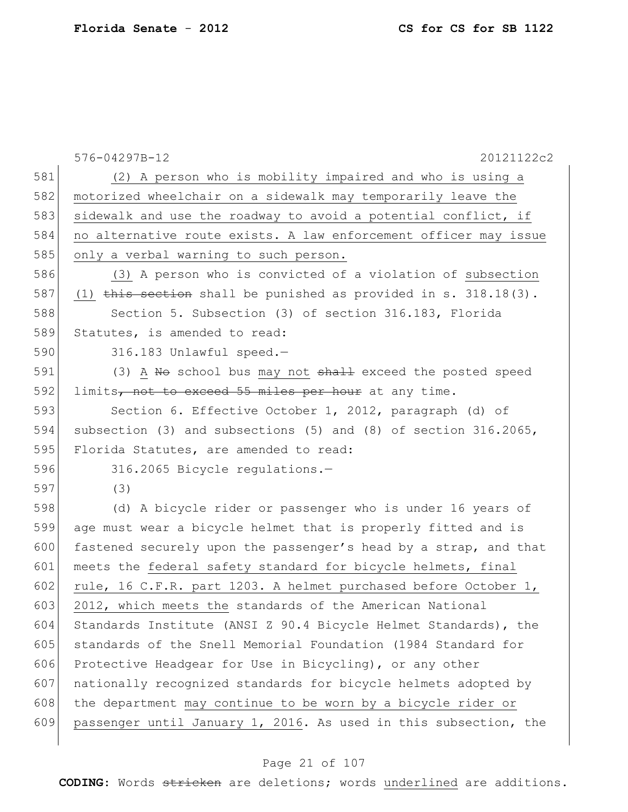|     | 576-04297B-12<br>20121122c2                                        |
|-----|--------------------------------------------------------------------|
| 581 | (2) A person who is mobility impaired and who is using a           |
| 582 | motorized wheelchair on a sidewalk may temporarily leave the       |
| 583 | sidewalk and use the roadway to avoid a potential conflict, if     |
| 584 | no alternative route exists. A law enforcement officer may issue   |
| 585 | only a verbal warning to such person.                              |
| 586 | (3) A person who is convicted of a violation of subsection         |
| 587 | (1) this section shall be punished as provided in s. $318.18(3)$ . |
| 588 | Section 5. Subsection (3) of section 316.183, Florida              |
| 589 | Statutes, is amended to read:                                      |
| 590 | 316.183 Unlawful speed.-                                           |
| 591 | (3) A No school bus may not shall exceed the posted speed          |
| 592 | limits, not to exceed 55 miles per hour at any time.               |
| 593 | Section 6. Effective October 1, 2012, paragraph (d) of             |
| 594 | subsection (3) and subsections (5) and (8) of section 316.2065,    |
| 595 | Florida Statutes, are amended to read:                             |
| 596 | 316.2065 Bicycle regulations.-                                     |
| 597 | (3)                                                                |
| 598 | (d) A bicycle rider or passenger who is under 16 years of          |
| 599 | age must wear a bicycle helmet that is properly fitted and is      |
| 600 | fastened securely upon the passenger's head by a strap, and that   |
| 601 | meets the federal safety standard for bicycle helmets, final       |
| 602 | rule, 16 C.F.R. part 1203. A helmet purchased before October 1,    |
| 603 | 2012, which meets the standards of the American National           |
| 604 | Standards Institute (ANSI Z 90.4 Bicycle Helmet Standards), the    |
| 605 | standards of the Snell Memorial Foundation (1984 Standard for      |
| 606 | Protective Headgear for Use in Bicycling), or any other            |
| 607 | nationally recognized standards for bicycle helmets adopted by     |
| 608 | the department may continue to be worn by a bicycle rider or       |
| 609 | passenger until January 1, 2016. As used in this subsection, the   |
|     |                                                                    |

## Page 21 of 107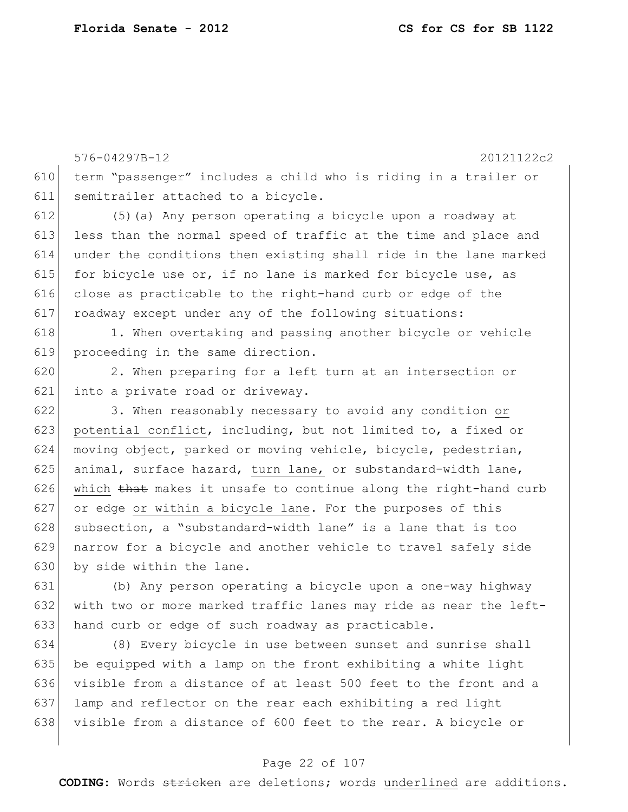576-04297B-12 20121122c2 610 term "passenger" includes a child who is riding in a trailer or 611 semitrailer attached to a bicycle. 612 (5)(a) Any person operating a bicycle upon a roadway at 613 less than the normal speed of traffic at the time and place and 614 under the conditions then existing shall ride in the lane marked 615 for bicycle use or, if no lane is marked for bicycle use, as 616 close as practicable to the right-hand curb or edge of the 617 roadway except under any of the following situations: 618 1. When overtaking and passing another bicycle or vehicle 619 proceeding in the same direction. 620 2. When preparing for a left turn at an intersection or 621 into a private road or driveway. 622 3. When reasonably necessary to avoid any condition or 623 potential conflict, including, but not limited to, a fixed or 624 moving object, parked or moving vehicle, bicycle, pedestrian, 625 animal, surface hazard, turn lane, or substandard-width lane, 626 which that makes it unsafe to continue along the right-hand curb 627 or edge or within a bicycle lane. For the purposes of this 628 subsection, a "substandard-width lane" is a lane that is too 629 narrow for a bicycle and another vehicle to travel safely side 630 by side within the lane. 631 (b) Any person operating a bicycle upon a one-way highway

632 with two or more marked traffic lanes may ride as near the left-633 hand curb or edge of such roadway as practicable. 634 (8) Every bicycle in use between sunset and sunrise shall

635 be equipped with a lamp on the front exhibiting a white light visible from a distance of at least 500 feet to the front and a lamp and reflector on the rear each exhibiting a red light visible from a distance of 600 feet to the rear. A bicycle or

#### Page 22 of 107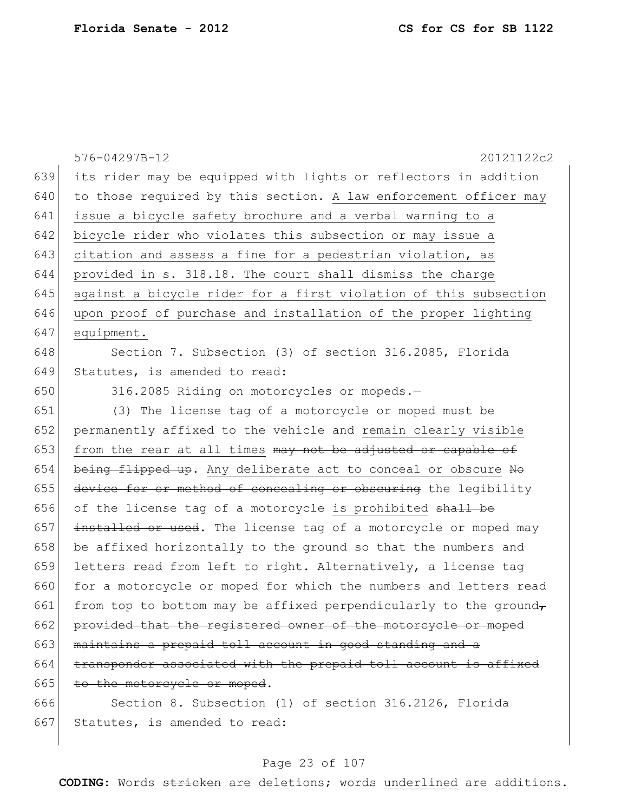|     | 576-04297B-12<br>20121122c2                                      |
|-----|------------------------------------------------------------------|
| 639 | its rider may be equipped with lights or reflectors in addition  |
| 640 | to those required by this section. A law enforcement officer may |
| 641 | issue a bicycle safety brochure and a verbal warning to a        |
| 642 | bicycle rider who violates this subsection or may issue a        |
| 643 | citation and assess a fine for a pedestrian violation, as        |
| 644 | provided in s. 318.18. The court shall dismiss the charge        |
| 645 | against a bicycle rider for a first violation of this subsection |
| 646 | upon proof of purchase and installation of the proper lighting   |
| 647 | equipment.                                                       |
| 648 | Section 7. Subsection (3) of section 316.2085, Florida           |
| 649 | Statutes, is amended to read:                                    |
| 650 | 316.2085 Riding on motorcycles or mopeds.-                       |
| 651 | (3) The license tag of a motorcycle or moped must be             |
| 652 | permanently affixed to the vehicle and remain clearly visible    |
| 653 | from the rear at all times may not be adjusted or capable of     |
| 654 | being flipped up. Any deliberate act to conceal or obscure No    |
| 655 | device for or method of concealing or obscuring the legibility   |
| 656 | of the license tag of a motorcycle is prohibited shall be        |
| 657 | installed or used. The license tag of a motorcycle or moped may  |
| 658 | be affixed horizontally to the ground so that the numbers and    |
| 659 | letters read from left to right. Alternatively, a license tag    |
| 660 | for a motorcycle or moped for which the numbers and letters read |
| 661 | from top to bottom may be affixed perpendicularly to the ground- |
| 662 | provided that the registered owner of the motorcycle or moped    |
| 663 | maintains a prepaid toll account in good standing and a          |
| 664 | transponder associated with the prepaid toll account is affixed  |
| 665 | to the motorcycle or moped.                                      |
| 666 | Section 8. Subsection (1) of section 316.2126, Florida           |

# 667 Statutes, is amended to read:

# Page 23 of 107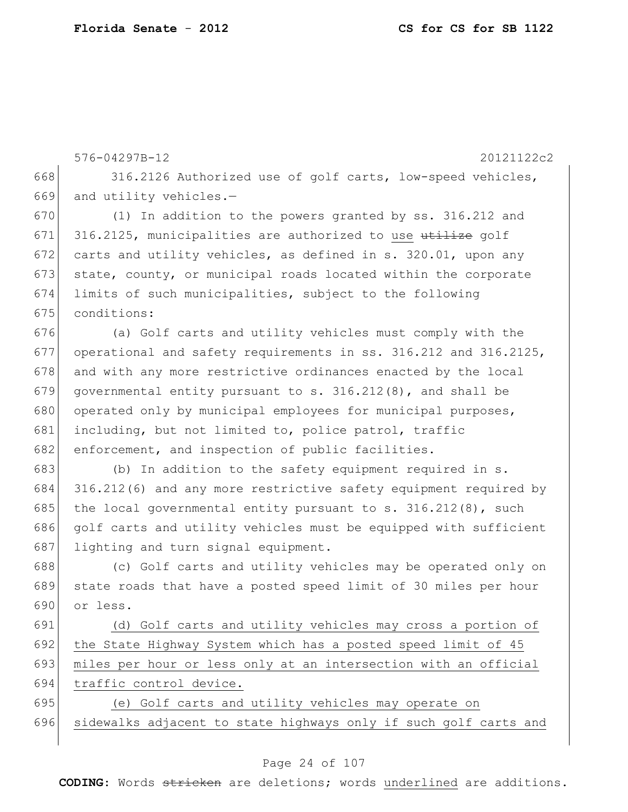|     | 576-04297B-12<br>20121122c2                                      |
|-----|------------------------------------------------------------------|
| 668 | 316.2126 Authorized use of golf carts, low-speed vehicles,       |
| 669 | and utility vehicles.-                                           |
| 670 | (1) In addition to the powers granted by ss. 316.212 and         |
| 671 | 316.2125, municipalities are authorized to use utilize golf      |
| 672 | carts and utility vehicles, as defined in s. 320.01, upon any    |
| 673 | state, county, or municipal roads located within the corporate   |
| 674 | limits of such municipalities, subject to the following          |
| 675 | conditions:                                                      |
| 676 | (a) Golf carts and utility vehicles must comply with the         |
| 677 | operational and safety requirements in ss. 316.212 and 316.2125, |
| 678 | and with any more restrictive ordinances enacted by the local    |
| 679 | governmental entity pursuant to s. $316.212(8)$ , and shall be   |
| 680 | operated only by municipal employees for municipal purposes,     |
| 681 | including, but not limited to, police patrol, traffic            |
| 682 | enforcement, and inspection of public facilities.                |
| 683 | (b) In addition to the safety equipment required in s.           |
| 684 | 316.212(6) and any more restrictive safety equipment required by |
| 685 | the local governmental entity pursuant to $s. 316.212(8)$ , such |
| 686 | golf carts and utility vehicles must be equipped with sufficient |
| 687 | lighting and turn signal equipment.                              |
| 688 | (c) Golf carts and utility vehicles may be operated only on      |
| 689 | state roads that have a posted speed limit of 30 miles per hour  |
| 690 | or less.                                                         |
| 691 | (d) Golf carts and utility vehicles may cross a portion of       |
| 692 | the State Highway System which has a posted speed limit of 45    |
| 693 | miles per hour or less only at an intersection with an official  |
| 694 | traffic control device.                                          |
| 695 | (e) Golf carts and utility vehicles may operate on               |
| 696 | sidewalks adjacent to state highways only if such golf carts and |
|     |                                                                  |

## Page 24 of 107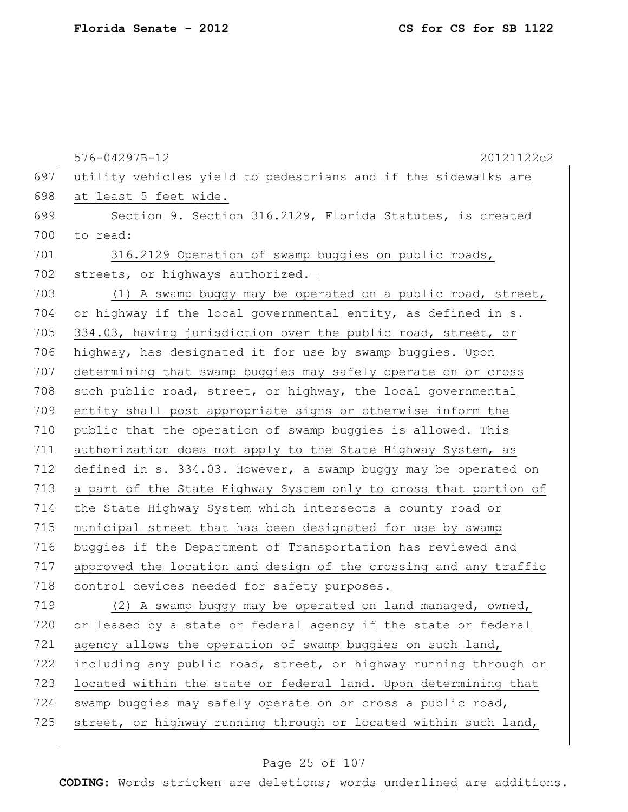|     | 576-04297B-12<br>20121122c2                                      |
|-----|------------------------------------------------------------------|
| 697 | utility vehicles yield to pedestrians and if the sidewalks are   |
| 698 | at least 5 feet wide.                                            |
| 699 | Section 9. Section 316.2129, Florida Statutes, is created        |
| 700 | to read:                                                         |
| 701 | 316.2129 Operation of swamp buggies on public roads,             |
| 702 | streets, or highways authorized.-                                |
| 703 | (1) A swamp buggy may be operated on a public road, street,      |
| 704 | or highway if the local governmental entity, as defined in s.    |
| 705 | 334.03, having jurisdiction over the public road, street, or     |
| 706 | highway, has designated it for use by swamp buggies. Upon        |
| 707 | determining that swamp buggies may safely operate on or cross    |
| 708 | such public road, street, or highway, the local governmental     |
| 709 | entity shall post appropriate signs or otherwise inform the      |
| 710 | public that the operation of swamp buggies is allowed. This      |
| 711 | authorization does not apply to the State Highway System, as     |
| 712 | defined in s. 334.03. However, a swamp buggy may be operated on  |
| 713 | a part of the State Highway System only to cross that portion of |
| 714 | the State Highway System which intersects a county road or       |
| 715 | municipal street that has been designated for use by swamp       |
| 716 | buggies if the Department of Transportation has reviewed and     |
| 717 | approved the location and design of the crossing and any traffic |
| 718 | control devices needed for safety purposes.                      |
| 719 | (2) A swamp buggy may be operated on land managed, owned,        |
| 720 | or leased by a state or federal agency if the state or federal   |
| 721 | agency allows the operation of swamp buggies on such land,       |
| 722 | including any public road, street, or highway running through or |
| 723 | located within the state or federal land. Upon determining that  |
| 724 | swamp buggies may safely operate on or cross a public road,      |
| 725 | street, or highway running through or located within such land,  |

## Page 25 of 107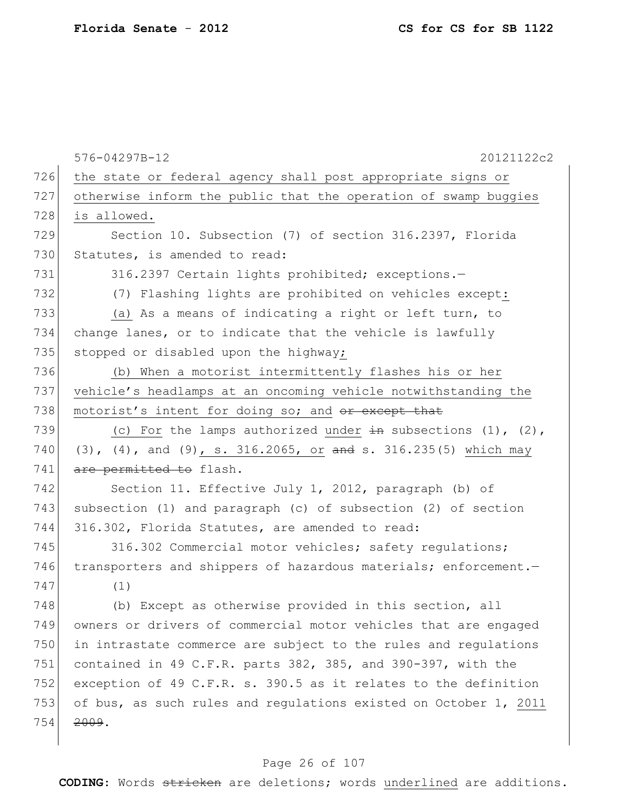|     | 576-04297B-12<br>20121122c2                                            |
|-----|------------------------------------------------------------------------|
| 726 | the state or federal agency shall post appropriate signs or            |
| 727 | otherwise inform the public that the operation of swamp buggies        |
| 728 | is allowed.                                                            |
| 729 | Section 10. Subsection (7) of section 316.2397, Florida                |
| 730 | Statutes, is amended to read:                                          |
| 731 | 316.2397 Certain lights prohibited; exceptions.-                       |
| 732 | (7) Flashing lights are prohibited on vehicles except:                 |
| 733 | (a) As a means of indicating a right or left turn, to                  |
| 734 | change lanes, or to indicate that the vehicle is lawfully              |
| 735 | stopped or disabled upon the highway;                                  |
| 736 | (b) When a motorist intermittently flashes his or her                  |
| 737 | vehicle's headlamps at an oncoming vehicle notwithstanding the         |
| 738 | motorist's intent for doing so; and or except that                     |
| 739 | (c) For the lamps authorized under $\frac{1}{2}$ subsections (1), (2), |
| 740 | (3), (4), and (9), s. 316.2065, or and s. 316.235(5) which may         |
| 741 | are permitted to flash.                                                |
| 742 | Section 11. Effective July 1, 2012, paragraph (b) of                   |
| 743 | subsection (1) and paragraph (c) of subsection (2) of section          |
| 744 | 316.302, Florida Statutes, are amended to read:                        |
| 745 | 316.302 Commercial motor vehicles; safety requlations;                 |
| 746 | transporters and shippers of hazardous materials; enforcement.-        |
| 747 | (1)                                                                    |
| 748 | (b) Except as otherwise provided in this section, all                  |
| 749 | owners or drivers of commercial motor vehicles that are engaged        |
| 750 | in intrastate commerce are subject to the rules and regulations        |
| 751 | contained in 49 C.F.R. parts 382, 385, and 390-397, with the           |
| 752 | exception of 49 C.F.R. s. 390.5 as it relates to the definition        |
| 753 | of bus, as such rules and regulations existed on October 1, 2011       |
| 754 | 2009.                                                                  |
|     |                                                                        |

## Page 26 of 107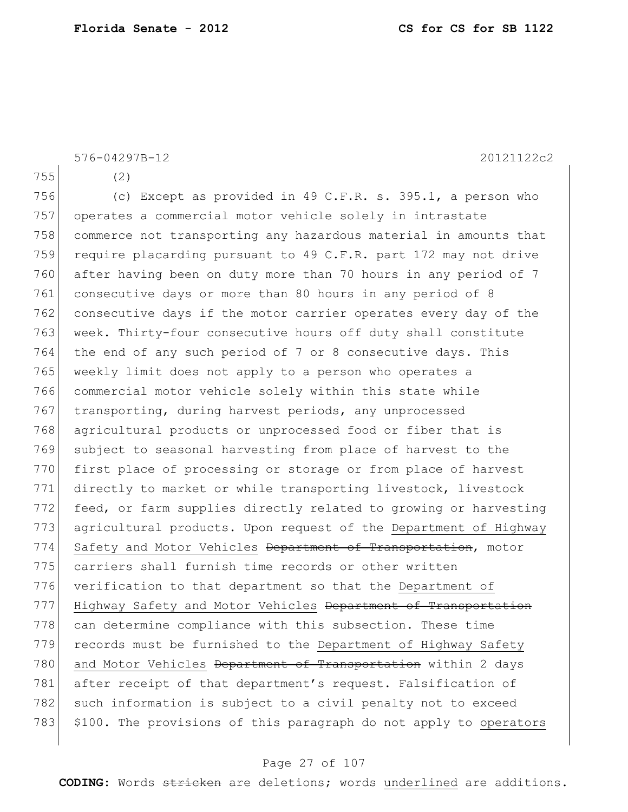576-04297B-12 20121122c2

755 (2)

756 (c) Except as provided in 49 C.F.R. s. 395.1, a person who 757 operates a commercial motor vehicle solely in intrastate 758 commerce not transporting any hazardous material in amounts that 759 require placarding pursuant to 49 C.F.R. part 172 may not drive 760 after having been on duty more than 70 hours in any period of 7 761 consecutive days or more than 80 hours in any period of 8 762 consecutive days if the motor carrier operates every day of the 763 week. Thirty-four consecutive hours off duty shall constitute 764 the end of any such period of 7 or 8 consecutive days. This 765 weekly limit does not apply to a person who operates a 766 commercial motor vehicle solely within this state while 767 transporting, during harvest periods, any unprocessed 768 agricultural products or unprocessed food or fiber that is 769 subject to seasonal harvesting from place of harvest to the 770 first place of processing or storage or from place of harvest 771 directly to market or while transporting livestock, livestock 772 feed, or farm supplies directly related to growing or harvesting 773 agricultural products. Upon request of the Department of Highway 774 Safety and Motor Vehicles Department of Transportation, motor 775 carriers shall furnish time records or other written 776 verification to that department so that the Department of 777 Highway Safety and Motor Vehicles Department of Transportation 778 can determine compliance with this subsection. These time 779 records must be furnished to the Department of Highway Safety 780 and Motor Vehicles Department of Transportation within 2 days 781 after receipt of that department's request. Falsification of 782 such information is subject to a civil penalty not to exceed 783 \$100. The provisions of this paragraph do not apply to operators

#### Page 27 of 107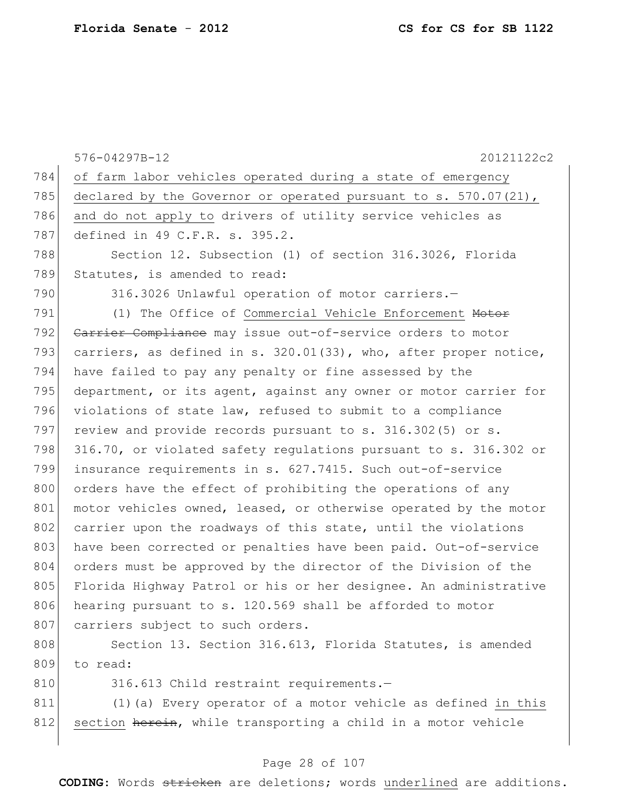|     | 20121122c2<br>576-04297B-12                                      |
|-----|------------------------------------------------------------------|
| 784 | of farm labor vehicles operated during a state of emergency      |
| 785 | declared by the Governor or operated pursuant to s. 570.07(21),  |
| 786 | and do not apply to drivers of utility service vehicles as       |
| 787 | defined in 49 C.F.R. s. 395.2.                                   |
| 788 | Section 12. Subsection (1) of section 316.3026, Florida          |
| 789 | Statutes, is amended to read:                                    |
| 790 | 316.3026 Unlawful operation of motor carriers.-                  |
| 791 | (1) The Office of Commercial Vehicle Enforcement Motor           |
| 792 | Carrier Compliance may issue out-of-service orders to motor      |
| 793 | carriers, as defined in s. 320.01(33), who, after proper notice, |
| 794 | have failed to pay any penalty or fine assessed by the           |
| 795 | department, or its agent, against any owner or motor carrier for |
| 796 | violations of state law, refused to submit to a compliance       |
| 797 | review and provide records pursuant to s. 316.302(5) or s.       |
| 798 | 316.70, or violated safety regulations pursuant to s. 316.302 or |
| 799 | insurance requirements in s. 627.7415. Such out-of-service       |
| 800 | orders have the effect of prohibiting the operations of any      |
| 801 | motor vehicles owned, leased, or otherwise operated by the motor |
| 802 | carrier upon the roadways of this state, until the violations    |
| 803 | have been corrected or penalties have been paid. Out-of-service  |
| 804 | orders must be approved by the director of the Division of the   |
| 805 | Florida Highway Patrol or his or her designee. An administrative |
| 806 | hearing pursuant to s. 120.569 shall be afforded to motor        |
| 807 | carriers subject to such orders.                                 |
| 808 | Section 13. Section 316.613, Florida Statutes, is amended        |
| 809 | to read:                                                         |
| 810 | 316.613 Child restraint requirements.-                           |
| 811 | (1) (a) Every operator of a motor vehicle as defined in this     |
| 812 | section herein, while transporting a child in a motor vehicle    |

## Page 28 of 107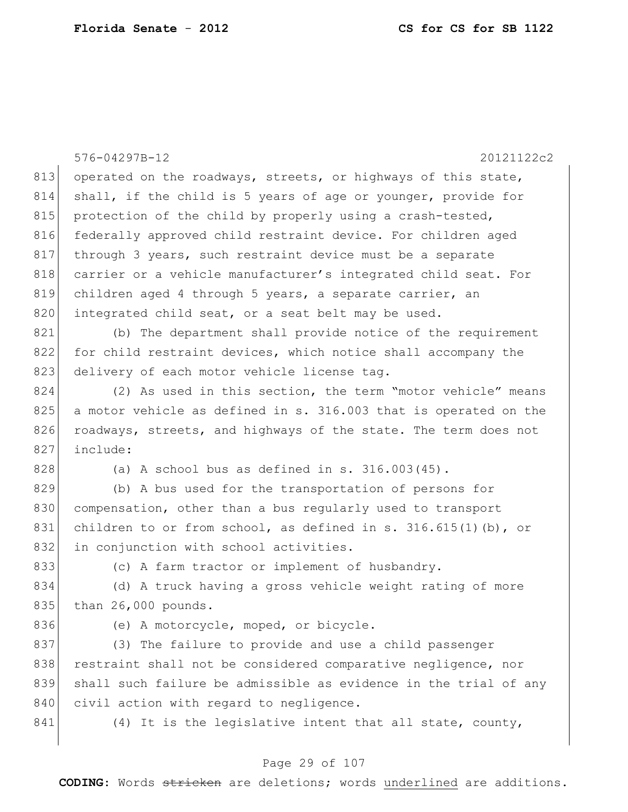|     | 20121122c2<br>576-04297B-12                                       |
|-----|-------------------------------------------------------------------|
| 813 | operated on the roadways, streets, or highways of this state,     |
| 814 | shall, if the child is 5 years of age or younger, provide for     |
| 815 | protection of the child by properly using a crash-tested,         |
| 816 | federally approved child restraint device. For children aged      |
| 817 | through 3 years, such restraint device must be a separate         |
| 818 | carrier or a vehicle manufacturer's integrated child seat. For    |
| 819 | children aged 4 through 5 years, a separate carrier, an           |
| 820 | integrated child seat, or a seat belt may be used.                |
| 821 | (b) The department shall provide notice of the requirement        |
| 822 | for child restraint devices, which notice shall accompany the     |
| 823 | delivery of each motor vehicle license tag.                       |
| 824 | (2) As used in this section, the term "motor vehicle" means       |
| 825 | a motor vehicle as defined in s. 316.003 that is operated on the  |
| 826 | roadways, streets, and highways of the state. The term does not   |
| 827 | include:                                                          |
| 828 | (a) A school bus as defined in s. $316.003(45)$ .                 |
| 829 | (b) A bus used for the transportation of persons for              |
| 830 | compensation, other than a bus regularly used to transport        |
| 831 | children to or from school, as defined in s. $316.615(1)$ (b), or |
| 832 | in conjunction with school activities.                            |
| 833 | (c) A farm tractor or implement of husbandry.                     |
| 834 | (d) A truck having a gross vehicle weight rating of more          |
| 835 | than 26,000 pounds.                                               |
| 836 | (e) A motorcycle, moped, or bicycle.                              |
| 837 | (3) The failure to provide and use a child passenger              |
| 838 | restraint shall not be considered comparative negligence, nor     |
| 839 | shall such failure be admissible as evidence in the trial of any  |
| 840 | civil action with regard to negligence.                           |
| 841 | (4) It is the legislative intent that all state, county,          |
|     |                                                                   |

## Page 29 of 107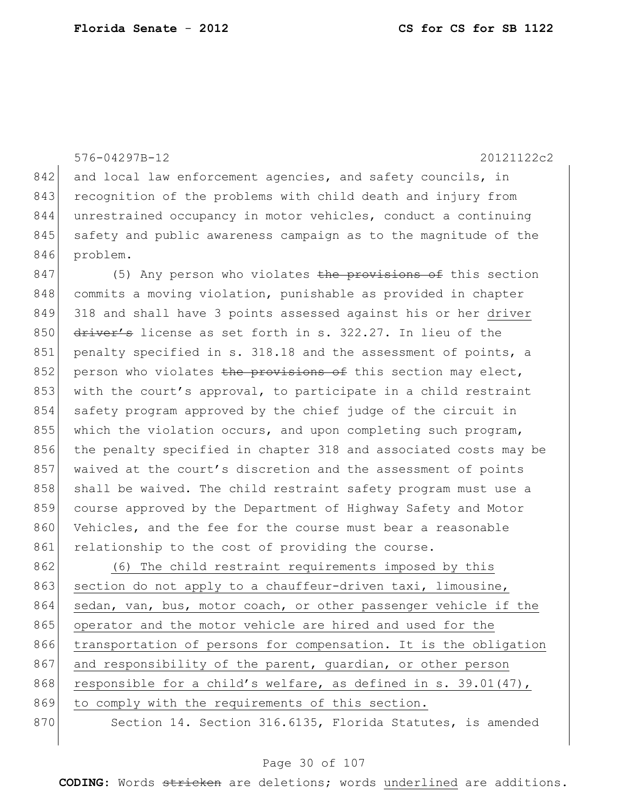576-04297B-12 20121122c2 842 and local law enforcement agencies, and safety councils, in 843 recognition of the problems with child death and injury from 844 unrestrained occupancy in motor vehicles, conduct a continuing 845 safety and public awareness campaign as to the magnitude of the 846 problem.

847 (5) Any person who violates the provisions of this section 848 commits a moving violation, punishable as provided in chapter 849 318 and shall have 3 points assessed against his or her driver 850  $\frac{d}{dx}$  driver's license as set forth in s. 322.27. In lieu of the 851 penalty specified in s. 318.18 and the assessment of points, a 852 person who violates the provisions of this section may elect, 853 with the court's approval, to participate in a child restraint 854 safety program approved by the chief judge of the circuit in 855 which the violation occurs, and upon completing such program, 856 the penalty specified in chapter 318 and associated costs may be 857 waived at the court's discretion and the assessment of points 858 shall be waived. The child restraint safety program must use a 859 course approved by the Department of Highway Safety and Motor 860 Vehicles, and the fee for the course must bear a reasonable 861 relationship to the cost of providing the course.

862 (6) The child restraint requirements imposed by this 863 section do not apply to a chauffeur-driven taxi, limousine, 864 sedan, van, bus, motor coach, or other passenger vehicle if the 865 operator and the motor vehicle are hired and used for the 866 transportation of persons for compensation. It is the obligation 867 and responsibility of the parent, guardian, or other person 868 responsible for a child's welfare, as defined in s.  $39.01(47)$ , 869 to comply with the requirements of this section.

870 Section 14. Section 316.6135, Florida Statutes, is amended

#### Page 30 of 107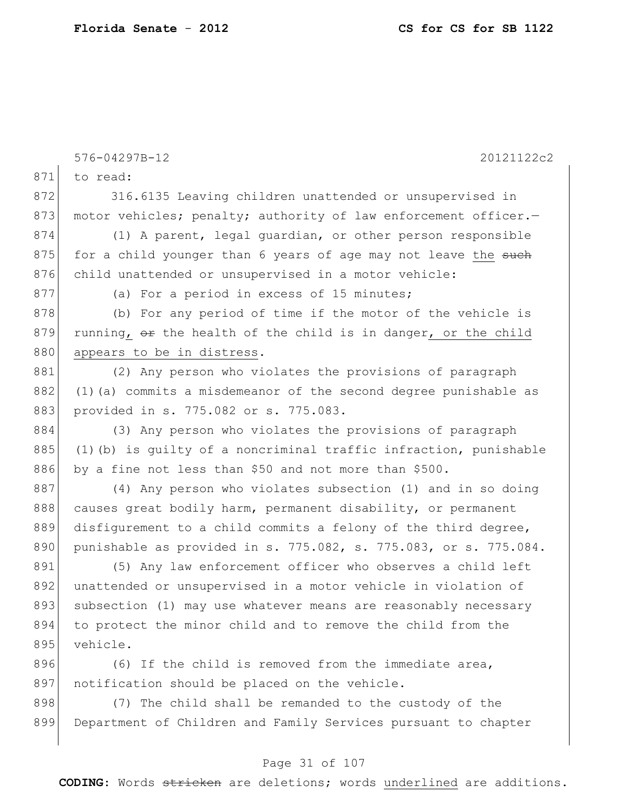|     | 576-04297B-12<br>20121122c2                                         |
|-----|---------------------------------------------------------------------|
| 871 | to read:                                                            |
| 872 | 316.6135 Leaving children unattended or unsupervised in             |
| 873 | motor vehicles; penalty; authority of law enforcement officer.-     |
| 874 | (1) A parent, legal quardian, or other person responsible           |
| 875 | for a child younger than 6 years of age may not leave the such      |
| 876 | child unattended or unsupervised in a motor vehicle:                |
| 877 | (a) For a period in excess of 15 minutes;                           |
| 878 | (b) For any period of time if the motor of the vehicle is           |
| 879 | running, or the health of the child is in danger, or the child      |
| 880 | appears to be in distress.                                          |
| 881 | (2) Any person who violates the provisions of paragraph             |
| 882 | (1) (a) commits a misdemeanor of the second degree punishable as    |
| 883 | provided in s. 775.082 or s. 775.083.                               |
| 884 | (3) Any person who violates the provisions of paragraph             |
| 885 | $(1)$ (b) is guilty of a noncriminal traffic infraction, punishable |
| 886 | by a fine not less than \$50 and not more than \$500.               |
| 887 | (4) Any person who violates subsection (1) and in so doing          |
| 888 | causes great bodily harm, permanent disability, or permanent        |
| 889 | disfigurement to a child commits a felony of the third degree,      |
| 890 | punishable as provided in s. 775.082, s. 775.083, or s. 775.084.    |
| 891 | (5) Any law enforcement officer who observes a child left           |
| 892 | unattended or unsupervised in a motor vehicle in violation of       |
| 893 | subsection (1) may use whatever means are reasonably necessary      |
| 894 | to protect the minor child and to remove the child from the         |
| 895 | vehicle.                                                            |
| 896 | (6) If the child is removed from the immediate area,                |
| 897 | notification should be placed on the vehicle.                       |
| 898 | (7) The child shall be remanded to the custody of the               |
| 899 | Department of Children and Family Services pursuant to chapter      |

## Page 31 of 107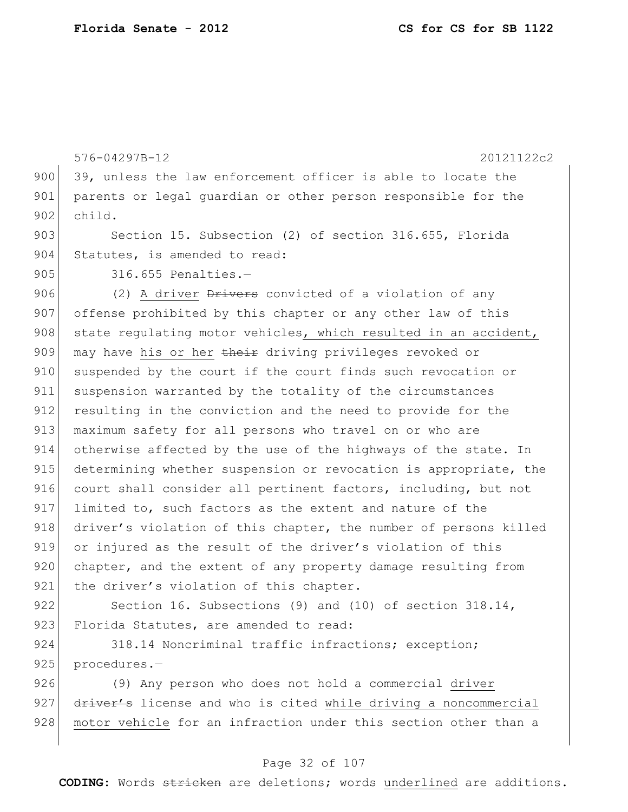576-04297B-12 20121122c2 900 39, unless the law enforcement officer is able to locate the 901 parents or legal guardian or other person responsible for the 902 child. 903 Section 15. Subsection (2) of section 316.655, Florida 904 Statutes, is amended to read: 905 316.655 Penalties.-906 (2) A driver  $\frac{1}{2}$  a convicted of a violation of any 907 offense prohibited by this chapter or any other law of this 908 state regulating motor vehicles, which resulted in an accident, 909 may have his or her their driving privileges revoked or 910 suspended by the court if the court finds such revocation or 911 suspension warranted by the totality of the circumstances 912 resulting in the conviction and the need to provide for the 913 maximum safety for all persons who travel on or who are 914 otherwise affected by the use of the highways of the state. In 915 determining whether suspension or revocation is appropriate, the 916 court shall consider all pertinent factors, including, but not 917 limited to, such factors as the extent and nature of the 918 driver's violation of this chapter, the number of persons killed 919 or injured as the result of the driver's violation of this 920 chapter, and the extent of any property damage resulting from 921 the driver's violation of this chapter. 922 Section 16. Subsections (9) and (10) of section 318.14,

923 Florida Statutes, are amended to read:

924 318.14 Noncriminal traffic infractions; exception; 925 procedures.-

926 (9) Any person who does not hold a commercial driver 927 driver's license and who is cited while driving a noncommercial 928 motor vehicle for an infraction under this section other than a

#### Page 32 of 107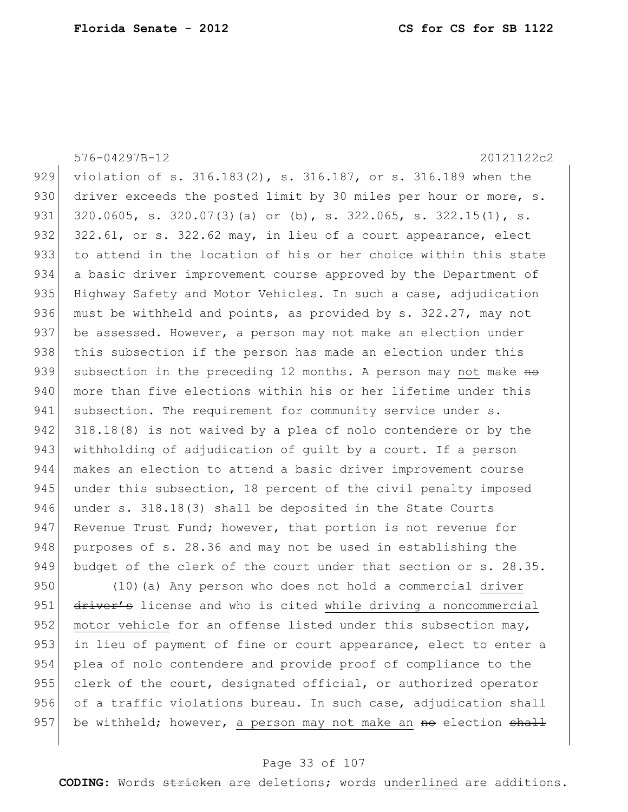576-04297B-12 20121122c2

929 violation of s. 316.183(2), s. 316.187, or s. 316.189 when the 930 driver exceeds the posted limit by 30 miles per hour or more, s. 931 320.0605, s. 320.07(3)(a) or (b), s. 322.065, s. 322.15(1), s. 932 322.61, or s. 322.62 may, in lieu of a court appearance, elect 933 to attend in the location of his or her choice within this state 934 a basic driver improvement course approved by the Department of 935 Highway Safety and Motor Vehicles. In such a case, adjudication 936 must be withheld and points, as provided by s. 322.27, may not 937 be assessed. However, a person may not make an election under 938 this subsection if the person has made an election under this 939 subsection in the preceding 12 months. A person may not make no 940 more than five elections within his or her lifetime under this 941 subsection. The requirement for community service under s. 942 318.18(8) is not waived by a plea of nolo contendere or by the 943 withholding of adjudication of guilt by a court. If a person 944 makes an election to attend a basic driver improvement course 945 under this subsection, 18 percent of the civil penalty imposed 946 under s. 318.18(3) shall be deposited in the State Courts 947 Revenue Trust Fund; however, that portion is not revenue for 948 purposes of s. 28.36 and may not be used in establishing the 949 budget of the clerk of the court under that section or s. 28.35.

950 (10)(a) Any person who does not hold a commercial driver 951 driver's license and who is cited while driving a noncommercial 952 motor vehicle for an offense listed under this subsection may, 953 in lieu of payment of fine or court appearance, elect to enter a 954 plea of nolo contendere and provide proof of compliance to the 955 clerk of the court, designated official, or authorized operator 956 of a traffic violations bureau. In such case, adjudication shall 957 be withheld; however, a person may not make an  $m\Theta$  election  $shath$ 

#### Page 33 of 107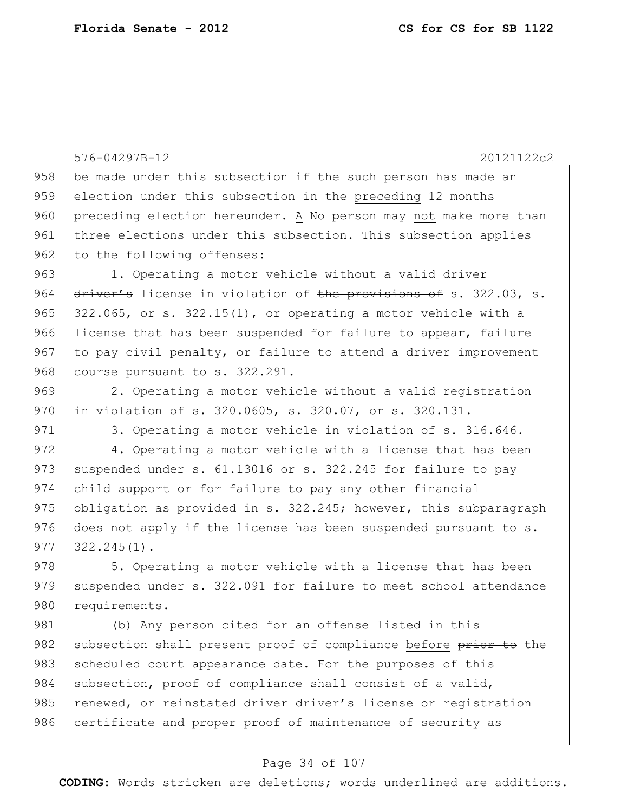576-04297B-12 20121122c2 958 be made under this subsection if the such person has made an 959 election under this subsection in the preceding 12 months 960 preceding election hereunder. A No person may not make more than 961 three elections under this subsection. This subsection applies 962 to the following offenses: 963 1. Operating a motor vehicle without a valid driver 964 driver's license in violation of the provisions of s. 322.03, s. 965  $322.065$ , or s.  $322.15(1)$ , or operating a motor vehicle with a 966 license that has been suspended for failure to appear, failure 967 to pay civil penalty, or failure to attend a driver improvement 968 course pursuant to s. 322.291. 969 2. Operating a motor vehicle without a valid registration 970 in violation of s. 320.0605, s. 320.07, or s. 320.131. 971 3. Operating a motor vehicle in violation of s. 316.646. 972 4. Operating a motor vehicle with a license that has been 973 suspended under s.  $61.13016$  or s. 322.245 for failure to pay 974 child support or for failure to pay any other financial 975 obligation as provided in s.  $322.245$ ; however, this subparagraph 976 does not apply if the license has been suspended pursuant to  $s$ .  $977 \mid 322.245(1)$ . 978 5. Operating a motor vehicle with a license that has been

979 suspended under s. 322.091 for failure to meet school attendance 980 requirements.

981 (b) Any person cited for an offense listed in this 982 subsection shall present proof of compliance before prior to the 983 scheduled court appearance date. For the purposes of this 984 subsection, proof of compliance shall consist of a valid, 985 renewed, or reinstated driver driver's license or registration 986 certificate and proper proof of maintenance of security as

#### Page 34 of 107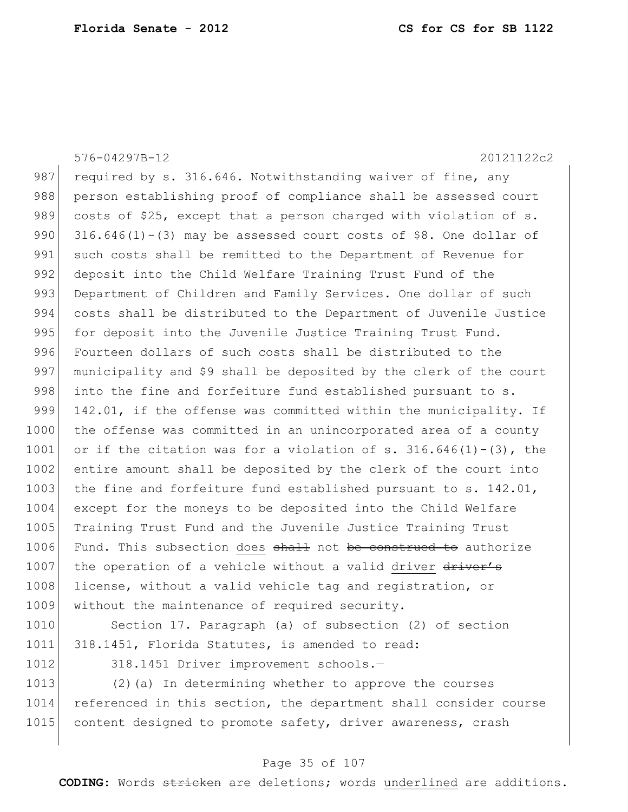576-04297B-12 20121122c2 987 required by s. 316.646. Notwithstanding waiver of fine, any 988 person establishing proof of compliance shall be assessed court 989 costs of \$25, except that a person charged with violation of s. 990  $316.646(1) - (3)$  may be assessed court costs of \$8. One dollar of 991 such costs shall be remitted to the Department of Revenue for 992 deposit into the Child Welfare Training Trust Fund of the 993 Department of Children and Family Services. One dollar of such 994 costs shall be distributed to the Department of Juvenile Justice 995 for deposit into the Juvenile Justice Training Trust Fund. 996 Fourteen dollars of such costs shall be distributed to the 997 municipality and \$9 shall be deposited by the clerk of the court 998 into the fine and forfeiture fund established pursuant to s. 999 142.01, if the offense was committed within the municipality. If 1000 the offense was committed in an unincorporated area of a county 1001 or if the citation was for a violation of s.  $316.646(1)-(3)$ , the 1002 entire amount shall be deposited by the clerk of the court into 1003 the fine and forfeiture fund established pursuant to s.  $142.01$ , 1004 except for the moneys to be deposited into the Child Welfare 1005 Training Trust Fund and the Juvenile Justice Training Trust 1006 Fund. This subsection does shall not be construed to authorize 1007 the operation of a vehicle without a valid driver driver's 1008 license, without a valid vehicle tag and registration, or 1009 without the maintenance of required security. 1010 Section 17. Paragraph (a) of subsection (2) of section 1011 318.1451, Florida Statutes, is amended to read:

1012 318.1451 Driver improvement schools.-

1013 (2)(a) In determining whether to approve the courses 1014 referenced in this section, the department shall consider course 1015 content designed to promote safety, driver awareness, crash

#### Page 35 of 107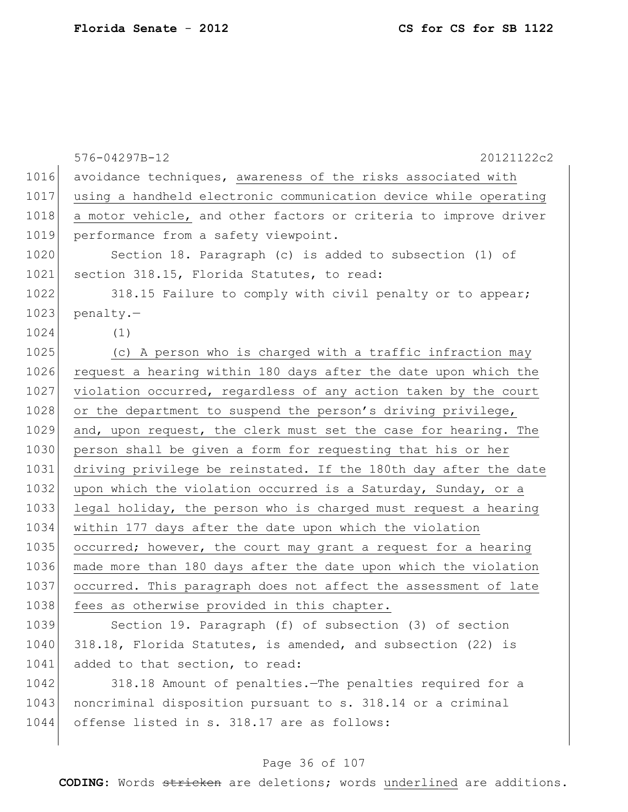|      | 576-04297B-12<br>20121122c2                                      |
|------|------------------------------------------------------------------|
| 1016 | avoidance techniques, awareness of the risks associated with     |
| 1017 | using a handheld electronic communication device while operating |
| 1018 | a motor vehicle, and other factors or criteria to improve driver |
| 1019 | performance from a safety viewpoint.                             |
| 1020 | Section 18. Paragraph (c) is added to subsection (1) of          |
| 1021 | section 318.15, Florida Statutes, to read:                       |
| 1022 | 318.15 Failure to comply with civil penalty or to appear;        |
| 1023 | penalty.-                                                        |
| 1024 | (1)                                                              |
| 1025 | (c) A person who is charged with a traffic infraction may        |
| 1026 | request a hearing within 180 days after the date upon which the  |
| 1027 | violation occurred, regardless of any action taken by the court  |
| 1028 | or the department to suspend the person's driving privilege,     |
| 1029 | and, upon request, the clerk must set the case for hearing. The  |
| 1030 | person shall be given a form for requesting that his or her      |
| 1031 | driving privilege be reinstated. If the 180th day after the date |
| 1032 | upon which the violation occurred is a Saturday, Sunday, or a    |
| 1033 | legal holiday, the person who is charged must request a hearing  |
| 1034 | within 177 days after the date upon which the violation          |
| 1035 | occurred; however, the court may grant a request for a hearing   |
| 1036 | made more than 180 days after the date upon which the violation  |
| 1037 | occurred. This paragraph does not affect the assessment of late  |
| 1038 | fees as otherwise provided in this chapter.                      |
| 1039 | Section 19. Paragraph (f) of subsection (3) of section           |
| 1040 | 318.18, Florida Statutes, is amended, and subsection (22) is     |
|      |                                                                  |

1042 318.18 Amount of penalties. The penalties required for a 1043 | noncriminal disposition pursuant to s. 318.14 or a criminal 1044 offense listed in s. 318.17 are as follows:

1041 added to that section, to read:

### Page 36 of 107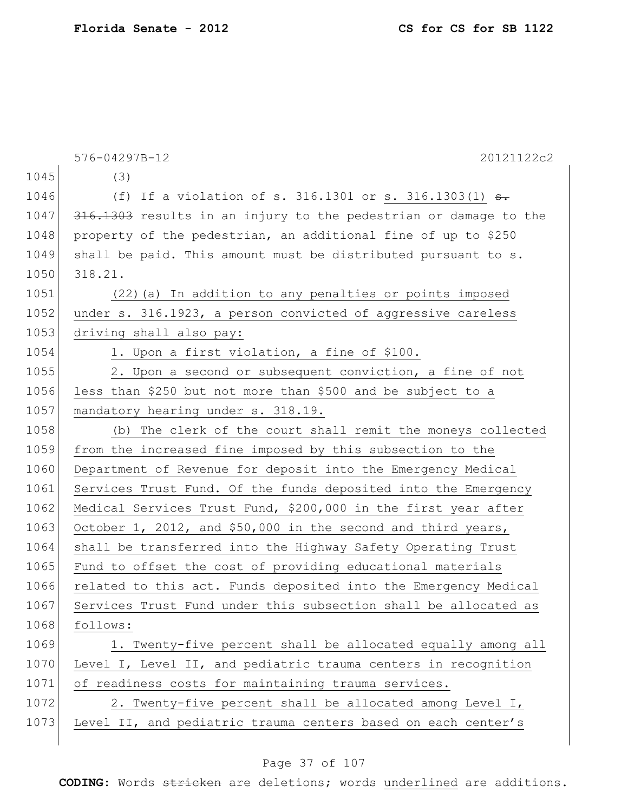|      | 20121122c2<br>576-04297B-12                                      |
|------|------------------------------------------------------------------|
| 1045 | (3)                                                              |
| 1046 | (f) If a violation of s. 316.1301 or s. 316.1303(1) $\theta$ .   |
| 1047 | 316.1303 results in an injury to the pedestrian or damage to the |
| 1048 | property of the pedestrian, an additional fine of up to \$250    |
| 1049 | shall be paid. This amount must be distributed pursuant to s.    |
| 1050 | 318.21.                                                          |
| 1051 | (22) (a) In addition to any penalties or points imposed          |
| 1052 | under s. 316.1923, a person convicted of aggressive careless     |
| 1053 | driving shall also pay:                                          |
| 1054 | 1. Upon a first violation, a fine of \$100.                      |
| 1055 | 2. Upon a second or subsequent conviction, a fine of not         |
| 1056 | less than \$250 but not more than \$500 and be subject to a      |
| 1057 | mandatory hearing under s. 318.19.                               |
| 1058 | (b) The clerk of the court shall remit the moneys collected      |
| 1059 | from the increased fine imposed by this subsection to the        |
| 1060 | Department of Revenue for deposit into the Emergency Medical     |
| 1061 | Services Trust Fund. Of the funds deposited into the Emergency   |
| 1062 | Medical Services Trust Fund, \$200,000 in the first year after   |
| 1063 | October 1, 2012, and \$50,000 in the second and third years,     |
| 1064 | shall be transferred into the Highway Safety Operating Trust     |
| 1065 | Fund to offset the cost of providing educational materials       |
| 1066 | related to this act. Funds deposited into the Emergency Medical  |
| 1067 | Services Trust Fund under this subsection shall be allocated as  |
| 1068 | follows:                                                         |
| 1069 | 1. Twenty-five percent shall be allocated equally among all      |
| 1070 | Level I, Level II, and pediatric trauma centers in recognition   |
| 1071 | of readiness costs for maintaining trauma services.              |
| 1072 | 2. Twenty-five percent shall be allocated among Level I,         |
| 1073 | Level II, and pediatric trauma centers based on each center's    |
|      |                                                                  |

# Page 37 of 107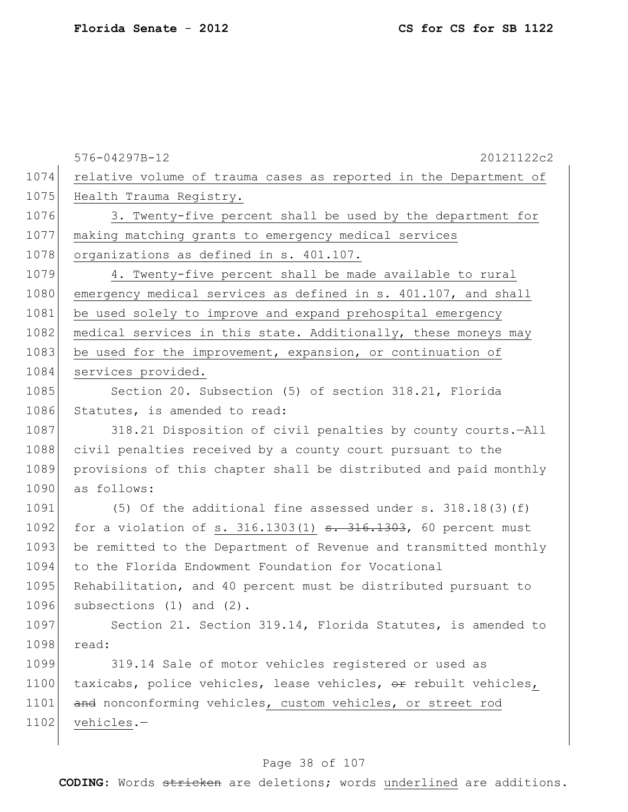|      | 576-04297B-12<br>20121122c2                                         |
|------|---------------------------------------------------------------------|
| 1074 | relative volume of trauma cases as reported in the Department of    |
| 1075 | Health Trauma Registry.                                             |
| 1076 | 3. Twenty-five percent shall be used by the department for          |
| 1077 | making matching grants to emergency medical services                |
| 1078 | organizations as defined in s. 401.107.                             |
| 1079 | 4. Twenty-five percent shall be made available to rural             |
| 1080 | emergency medical services as defined in s. 401.107, and shall      |
| 1081 | be used solely to improve and expand prehospital emergency          |
| 1082 | medical services in this state. Additionally, these moneys may      |
| 1083 | be used for the improvement, expansion, or continuation of          |
| 1084 | services provided.                                                  |
| 1085 | Section 20. Subsection (5) of section 318.21, Florida               |
| 1086 | Statutes, is amended to read:                                       |
| 1087 | 318.21 Disposition of civil penalties by county courts.-All         |
| 1088 | civil penalties received by a county court pursuant to the          |
| 1089 | provisions of this chapter shall be distributed and paid monthly    |
| 1090 | as follows:                                                         |
| 1091 | (5) Of the additional fine assessed under s. $318.18(3)$ (f)        |
| 1092 | for a violation of s. $316.1303(1)$ s. $316.1303$ , 60 percent must |
| 1093 | be remitted to the Department of Revenue and transmitted monthly    |
| 1094 | to the Florida Endowment Foundation for Vocational                  |
| 1095 | Rehabilitation, and 40 percent must be distributed pursuant to      |
| 1096 | subsections $(1)$ and $(2)$ .                                       |
| 1097 | Section 21. Section 319.14, Florida Statutes, is amended to         |
| 1098 | read:                                                               |
| 1099 | 319.14 Sale of motor vehicles registered or used as                 |
| 1100 | taxicabs, police vehicles, lease vehicles, or rebuilt vehicles,     |
| 1101 | and nonconforming vehicles, custom vehicles, or street rod          |
| 1102 | vehicles.-                                                          |
|      |                                                                     |

# Page 38 of 107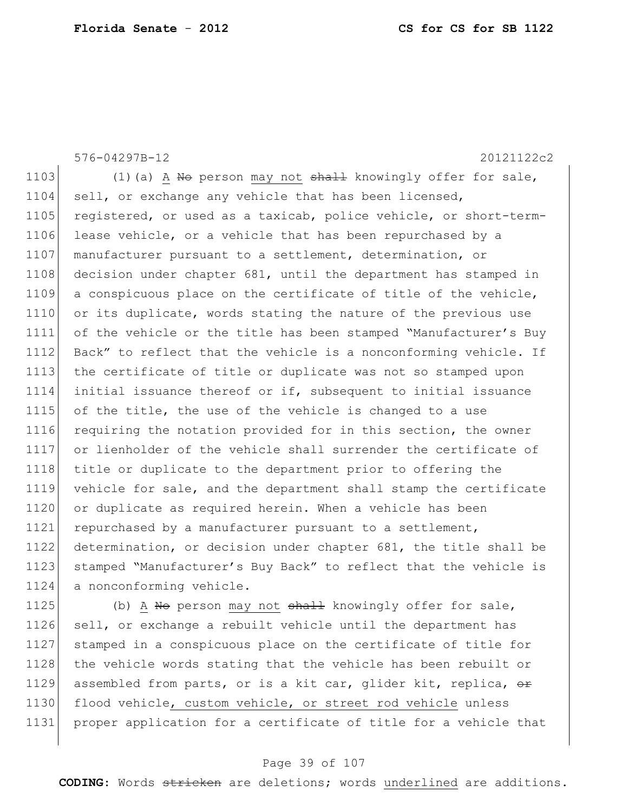576-04297B-12 20121122c2 1103 (1)(a) A No person may not  $shahl$  knowingly offer for sale, 1104 sell, or exchange any vehicle that has been licensed, 1105 registered, or used as a taxicab, police vehicle, or short-term-1106 lease vehicle, or a vehicle that has been repurchased by a 1107 manufacturer pursuant to a settlement, determination, or 1108 decision under chapter 681, until the department has stamped in 1109 a conspicuous place on the certificate of title of the vehicle, 1110 or its duplicate, words stating the nature of the previous use 1111 of the vehicle or the title has been stamped "Manufacturer's Buy 1112 Back" to reflect that the vehicle is a nonconforming vehicle. If 1113 the certificate of title or duplicate was not so stamped upon 1114 initial issuance thereof or if, subsequent to initial issuance 1115 of the title, the use of the vehicle is changed to a use 1116 requiring the notation provided for in this section, the owner 1117 or lienholder of the vehicle shall surrender the certificate of 1118 title or duplicate to the department prior to offering the 1119 vehicle for sale, and the department shall stamp the certificate 1120 or duplicate as required herein. When a vehicle has been 1121 repurchased by a manufacturer pursuant to a settlement, 1122 determination, or decision under chapter 681, the title shall be 1123 stamped "Manufacturer's Buy Back" to reflect that the vehicle is 1124 a nonconforming vehicle. 1125 (b) A No person may not  $shall$  knowingly offer for sale,

1126 sell, or exchange a rebuilt vehicle until the department has 1127 stamped in a conspicuous place on the certificate of title for 1128 the vehicle words stating that the vehicle has been rebuilt or 1129 assembled from parts, or is a kit car, glider kit, replica,  $\Theta$ r 1130 flood vehicle, custom vehicle, or street rod vehicle unless 1131 proper application for a certificate of title for a vehicle that

#### Page 39 of 107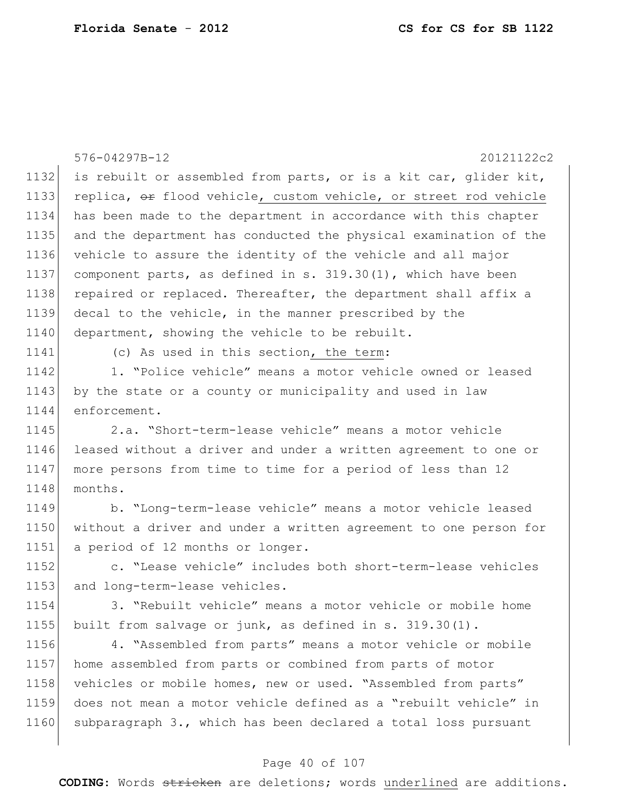|      | 576-04297B-12<br>20121122c2                                      |
|------|------------------------------------------------------------------|
| 1132 | is rebuilt or assembled from parts, or is a kit car, glider kit, |
| 1133 | replica, or flood vehicle, custom vehicle, or street rod vehicle |
| 1134 | has been made to the department in accordance with this chapter  |
| 1135 | and the department has conducted the physical examination of the |
| 1136 | vehicle to assure the identity of the vehicle and all major      |
| 1137 | component parts, as defined in s. 319.30(1), which have been     |
| 1138 | repaired or replaced. Thereafter, the department shall affix a   |
| 1139 | decal to the vehicle, in the manner prescribed by the            |
| 1140 | department, showing the vehicle to be rebuilt.                   |
| 1141 | (c) As used in this section, the term:                           |
| 1142 | 1. "Police vehicle" means a motor vehicle owned or leased        |
| 1143 | by the state or a county or municipality and used in law         |
| 1144 | enforcement.                                                     |
| 1145 | 2.a. "Short-term-lease vehicle" means a motor vehicle            |
| 1146 | leased without a driver and under a written agreement to one or  |
| 1147 | more persons from time to time for a period of less than 12      |
| 1148 | months.                                                          |
| 1149 | b. "Long-term-lease vehicle" means a motor vehicle leased        |
| 1150 | without a driver and under a written agreement to one person for |
| 1151 | a period of 12 months or longer.                                 |
| 1152 | c. "Lease vehicle" includes both short-term-lease vehicles       |
| 1153 | and long-term-lease vehicles.                                    |
| 1154 | 3. "Rebuilt vehicle" means a motor vehicle or mobile home        |
| 1155 | built from salvage or junk, as defined in s. 319.30(1).          |
| 1156 | 4. "Assembled from parts" means a motor vehicle or mobile        |
| 1157 | home assembled from parts or combined from parts of motor        |
| 1158 | vehicles or mobile homes, new or used. "Assembled from parts"    |
| 1159 | does not mean a motor vehicle defined as a "rebuilt vehicle" in  |
| 1160 | subparagraph 3., which has been declared a total loss pursuant   |

# Page 40 of 107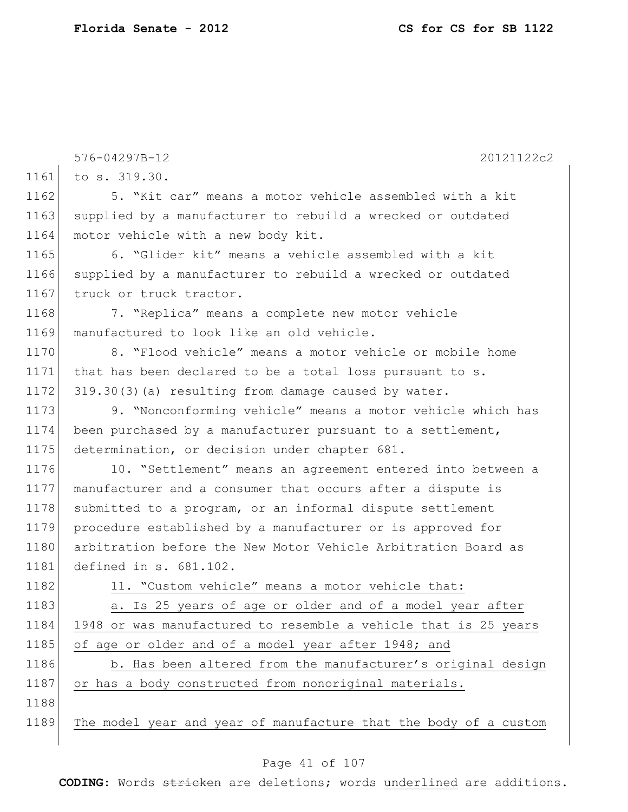|      | 576-04297B-12<br>20121122c2                                      |
|------|------------------------------------------------------------------|
| 1161 | to s. 319.30.                                                    |
| 1162 | 5. "Kit car" means a motor vehicle assembled with a kit          |
| 1163 | supplied by a manufacturer to rebuild a wrecked or outdated      |
| 1164 | motor vehicle with a new body kit.                               |
| 1165 | 6. "Glider kit" means a vehicle assembled with a kit             |
| 1166 | supplied by a manufacturer to rebuild a wrecked or outdated      |
| 1167 | truck or truck tractor.                                          |
| 1168 | 7. "Replica" means a complete new motor vehicle                  |
| 1169 | manufactured to look like an old vehicle.                        |
| 1170 | 8. "Flood vehicle" means a motor vehicle or mobile home          |
| 1171 | that has been declared to be a total loss pursuant to s.         |
| 1172 | 319.30(3) (a) resulting from damage caused by water.             |
| 1173 | 9. "Nonconforming vehicle" means a motor vehicle which has       |
| 1174 | been purchased by a manufacturer pursuant to a settlement,       |
| 1175 | determination, or decision under chapter 681.                    |
| 1176 | 10. "Settlement" means an agreement entered into between a       |
| 1177 | manufacturer and a consumer that occurs after a dispute is       |
| 1178 | submitted to a program, or an informal dispute settlement        |
| 1179 | procedure established by a manufacturer or is approved for       |
| 1180 | arbitration before the New Motor Vehicle Arbitration Board as    |
| 1181 | defined in s. 681.102.                                           |
| 1182 | 11. "Custom vehicle" means a motor vehicle that:                 |
| 1183 | a. Is 25 years of age or older and of a model year after         |
| 1184 | 1948 or was manufactured to resemble a vehicle that is 25 years  |
| 1185 | of age or older and of a model year after 1948; and              |
| 1186 | b. Has been altered from the manufacturer's original design      |
| 1187 | or has a body constructed from nonoriginal materials.            |
| 1188 |                                                                  |
| 1189 | The model year and year of manufacture that the body of a custom |
|      |                                                                  |

# Page 41 of 107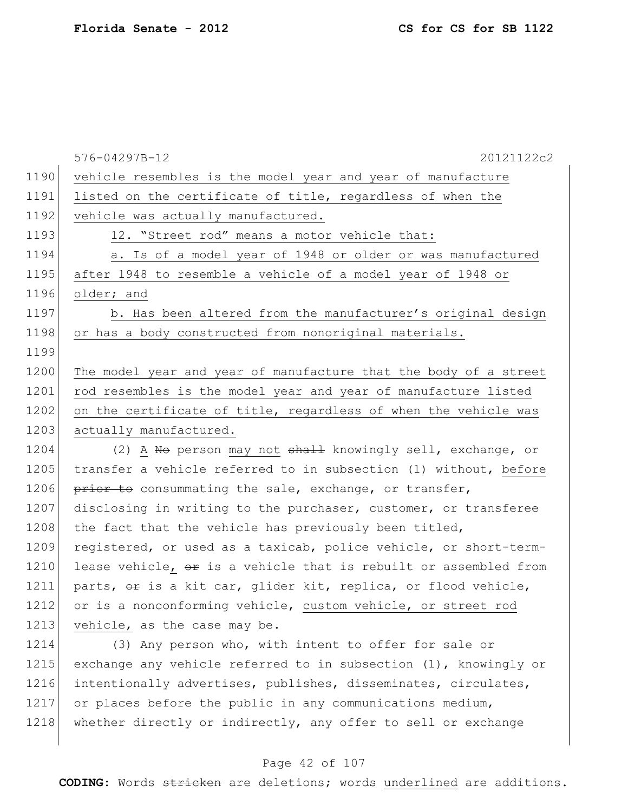|      | 20121122c2<br>576-04297B-12                                         |
|------|---------------------------------------------------------------------|
| 1190 | vehicle resembles is the model year and year of manufacture         |
| 1191 | listed on the certificate of title, regardless of when the          |
| 1192 | vehicle was actually manufactured.                                  |
| 1193 | 12. "Street rod" means a motor vehicle that:                        |
| 1194 | a. Is of a model year of 1948 or older or was manufactured          |
| 1195 | after 1948 to resemble a vehicle of a model year of 1948 or         |
| 1196 | older; and                                                          |
| 1197 | b. Has been altered from the manufacturer's original design         |
| 1198 | or has a body constructed from nonoriginal materials.               |
| 1199 |                                                                     |
| 1200 | The model year and year of manufacture that the body of a street    |
| 1201 | rod resembles is the model year and year of manufacture listed      |
| 1202 | on the certificate of title, regardless of when the vehicle was     |
| 1203 | actually manufactured.                                              |
| 1204 | (2) A No person may not shall knowingly sell, exchange, or          |
| 1205 | transfer a vehicle referred to in subsection (1) without, before    |
| 1206 | prior to consummating the sale, exchange, or transfer,              |
| 1207 | disclosing in writing to the purchaser, customer, or transferee     |
| 1208 | the fact that the vehicle has previously been titled,               |
| 1209 | registered, or used as a taxicab, police vehicle, or short-term-    |
| 1210 | lease vehicle, or is a vehicle that is rebuilt or assembled from    |
| 1211 | parts, or is a kit car, glider kit, replica, or flood vehicle,      |
| 1212 | or is a nonconforming vehicle, custom vehicle, or street rod        |
| 1213 | vehicle, as the case may be.                                        |
| 1214 | (3) Any person who, with intent to offer for sale or                |
| 1215 | exchange any vehicle referred to in subsection $(1)$ , knowingly or |
| 1216 | intentionally advertises, publishes, disseminates, circulates,      |

1217 or places before the public in any communications medium, 1218 whether directly or indirectly, any offer to sell or exchange

### Page 42 of 107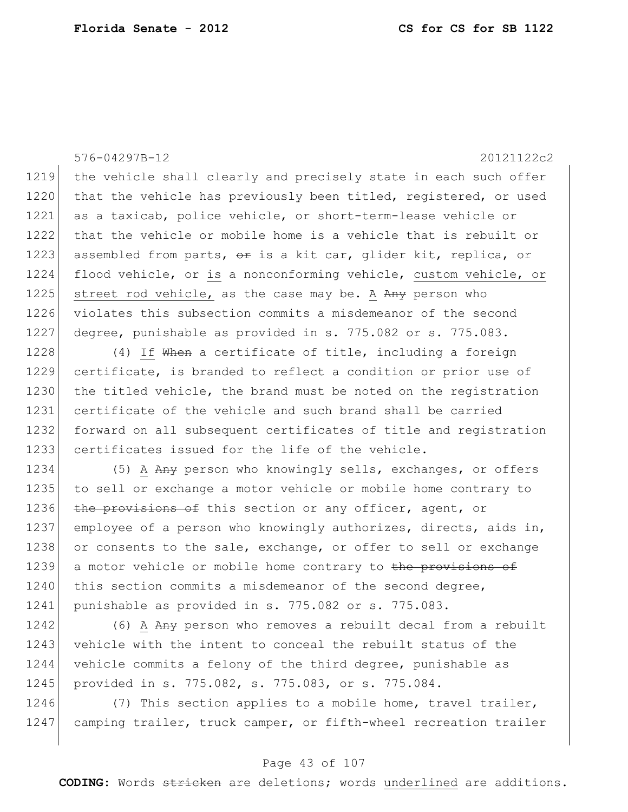576-04297B-12 20121122c2 1219 the vehicle shall clearly and precisely state in each such offer 1220 that the vehicle has previously been titled, registered, or used 1221 as a taxicab, police vehicle, or short-term-lease vehicle or 1222 that the vehicle or mobile home is a vehicle that is rebuilt or 1223 assembled from parts,  $\theta$  is a kit car, glider kit, replica, or 1224 flood vehicle, or is a nonconforming vehicle, custom vehicle, or 1225 street rod vehicle, as the case may be. A  $Any$  person who 1226 violates this subsection commits a misdemeanor of the second 1227 degree, punishable as provided in s. 775.082 or s. 775.083. 1228 (4) If When a certificate of title, including a foreign 1229 certificate, is branded to reflect a condition or prior use of 1230 the titled vehicle, the brand must be noted on the registration 1231 certificate of the vehicle and such brand shall be carried 1232 forward on all subsequent certificates of title and registration 1233 certificates issued for the life of the vehicle. 1234 (5) A Any person who knowingly sells, exchanges, or offers 1235 to sell or exchange a motor vehicle or mobile home contrary to 1236 the provisions of this section or any officer, agent, or 1237 employee of a person who knowingly authorizes, directs, aids in, 1238 or consents to the sale, exchange, or offer to sell or exchange 1239 a motor vehicle or mobile home contrary to the provisions of 1240 this section commits a misdemeanor of the second degree, 1241 punishable as provided in s. 775.082 or s. 775.083. 1242 (6) A Any person who removes a rebuilt decal from a rebuilt

1243 vehicle with the intent to conceal the rebuilt status of the 1244 vehicle commits a felony of the third degree, punishable as 1245 provided in s. 775.082, s. 775.083, or s. 775.084.

1246 (7) This section applies to a mobile home, travel trailer, 1247 camping trailer, truck camper, or fifth-wheel recreation trailer

### Page 43 of 107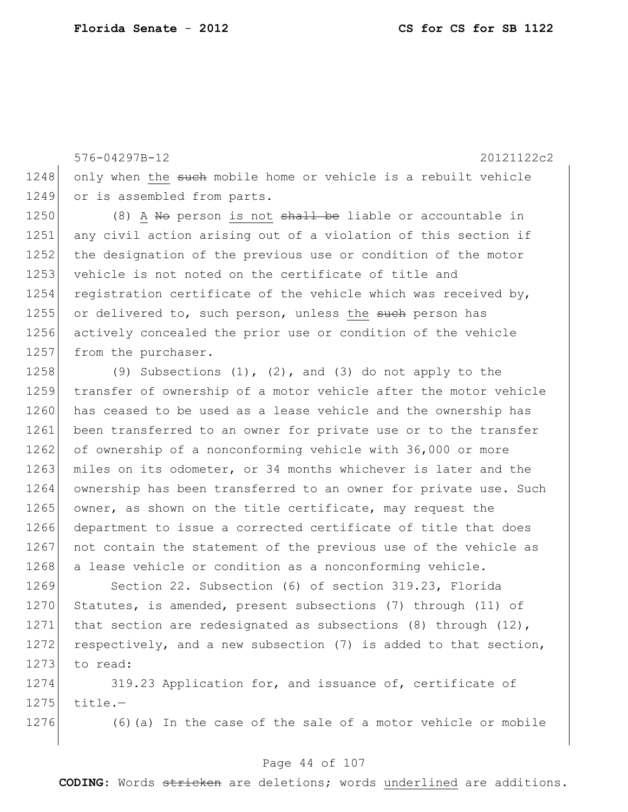576-04297B-12 20121122c2 1248 only when the such mobile home or vehicle is a rebuilt vehicle 1249 or is assembled from parts. 1250 (8)  $\overline{A}$  No person is not shall be liable or accountable in 1251 any civil action arising out of a violation of this section if 1252 the designation of the previous use or condition of the motor 1253 vehicle is not noted on the certificate of title and 1254 registration certificate of the vehicle which was received by, 1255 or delivered to, such person, unless the such person has 1256 actively concealed the prior use or condition of the vehicle 1257 from the purchaser. 1258 (9) Subsections  $(1)$ ,  $(2)$ , and  $(3)$  do not apply to the

1259 transfer of ownership of a motor vehicle after the motor vehicle 1260 has ceased to be used as a lease vehicle and the ownership has 1261 been transferred to an owner for private use or to the transfer 1262 of ownership of a nonconforming vehicle with 36,000 or more 1263 miles on its odometer, or 34 months whichever is later and the 1264 ownership has been transferred to an owner for private use. Such 1265 owner, as shown on the title certificate, may request the 1266 department to issue a corrected certificate of title that does 1267 not contain the statement of the previous use of the vehicle as 1268 a lease vehicle or condition as a nonconforming vehicle.

1269 Section 22. Subsection (6) of section 319.23, Florida 1270 Statutes, is amended, present subsections (7) through (11) of 1271 that section are redesignated as subsections (8) through (12), 1272 respectively, and a new subsection (7) is added to that section, 1273 to read:

1274 319.23 Application for, and issuance of, certificate of  $1275$  title.-

 $1276$  (6)(a) In the case of the sale of a motor vehicle or mobile

### Page 44 of 107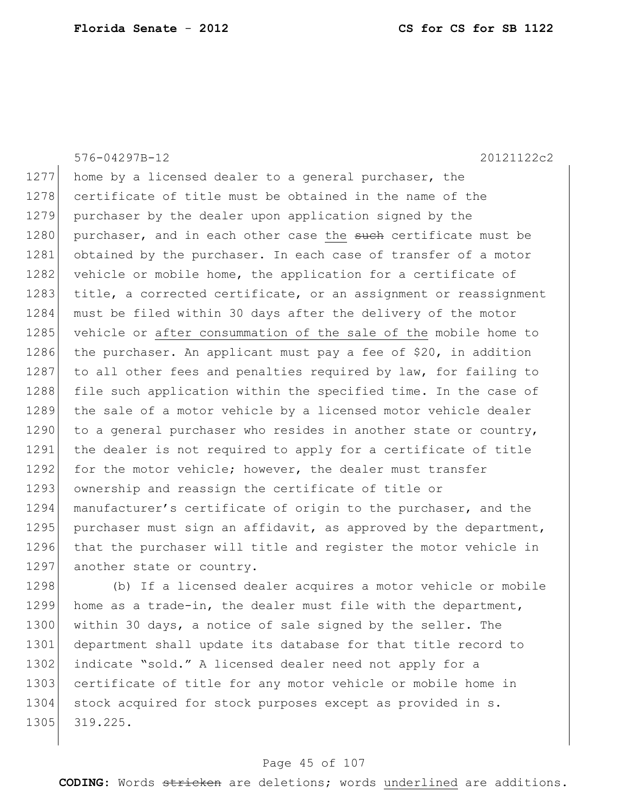576-04297B-12 20121122c2 1277 home by a licensed dealer to a general purchaser, the 1278 certificate of title must be obtained in the name of the 1279 purchaser by the dealer upon application signed by the 1280 purchaser, and in each other case the such certificate must be 1281 obtained by the purchaser. In each case of transfer of a motor 1282 vehicle or mobile home, the application for a certificate of 1283 title, a corrected certificate, or an assignment or reassignment 1284 must be filed within 30 days after the delivery of the motor 1285 vehicle or after consummation of the sale of the mobile home to 1286 the purchaser. An applicant must pay a fee of \$20, in addition 1287 to all other fees and penalties required by law, for failing to 1288 file such application within the specified time. In the case of 1289 the sale of a motor vehicle by a licensed motor vehicle dealer 1290 to a general purchaser who resides in another state or country, 1291 the dealer is not required to apply for a certificate of title 1292 for the motor vehicle; however, the dealer must transfer 1293 ownership and reassign the certificate of title or 1294 manufacturer's certificate of origin to the purchaser, and the 1295 purchaser must sign an affidavit, as approved by the department, 1296 that the purchaser will title and register the motor vehicle in 1297 another state or country. 1298 (b) If a licensed dealer acquires a motor vehicle or mobile

1299 home as a trade-in, the dealer must file with the department, 1300 within 30 days, a notice of sale signed by the seller. The 1301 department shall update its database for that title record to 1302 indicate "sold." A licensed dealer need not apply for a 1303 certificate of title for any motor vehicle or mobile home in 1304 stock acquired for stock purposes except as provided in s. 1305 319.225.

#### Page 45 of 107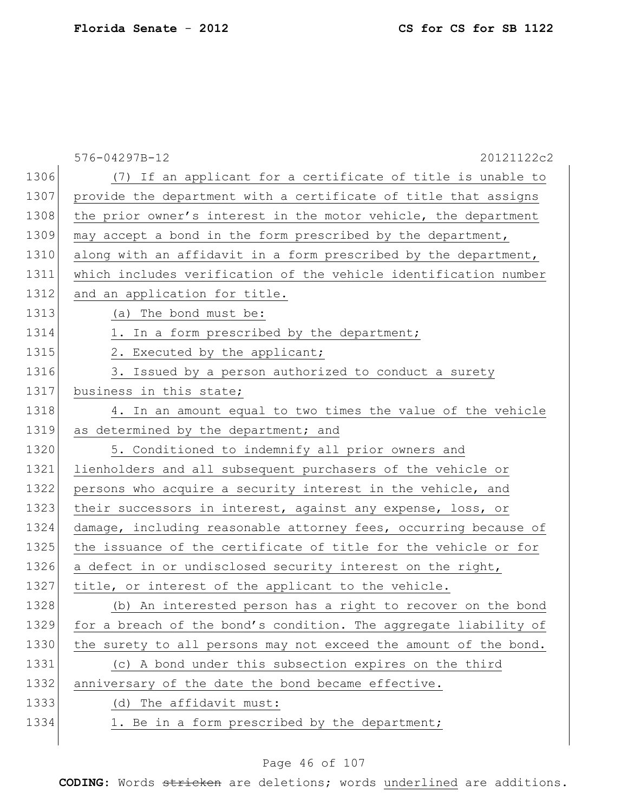|      | 576-04297B-12<br>20121122c2                                      |
|------|------------------------------------------------------------------|
| 1306 | (7) If an applicant for a certificate of title is unable to      |
| 1307 | provide the department with a certificate of title that assigns  |
| 1308 | the prior owner's interest in the motor vehicle, the department  |
| 1309 | may accept a bond in the form prescribed by the department,      |
| 1310 | along with an affidavit in a form prescribed by the department,  |
| 1311 | which includes verification of the vehicle identification number |
| 1312 | and an application for title.                                    |
| 1313 | (a) The bond must be:                                            |
| 1314 | 1. In a form prescribed by the department;                       |
| 1315 | 2. Executed by the applicant;                                    |
| 1316 | 3. Issued by a person authorized to conduct a surety             |
| 1317 | business in this state;                                          |
| 1318 | 4. In an amount equal to two times the value of the vehicle      |
| 1319 | as determined by the department; and                             |
| 1320 | 5. Conditioned to indemnify all prior owners and                 |
| 1321 | lienholders and all subsequent purchasers of the vehicle or      |
| 1322 | persons who acquire a security interest in the vehicle, and      |
| 1323 | their successors in interest, against any expense, loss, or      |
| 1324 | damage, including reasonable attorney fees, occurring because of |
| 1325 | the issuance of the certificate of title for the vehicle or for  |
| 1326 | a defect in or undisclosed security interest on the right,       |
| 1327 | title, or interest of the applicant to the vehicle.              |
| 1328 | (b) An interested person has a right to recover on the bond      |
| 1329 | for a breach of the bond's condition. The aggregate liability of |
| 1330 | the surety to all persons may not exceed the amount of the bond. |
| 1331 | (c) A bond under this subsection expires on the third            |
| 1332 | anniversary of the date the bond became effective.               |
| 1333 | (d) The affidavit must:                                          |
| 1334 | 1. Be in a form prescribed by the department;                    |
|      |                                                                  |

# Page 46 of 107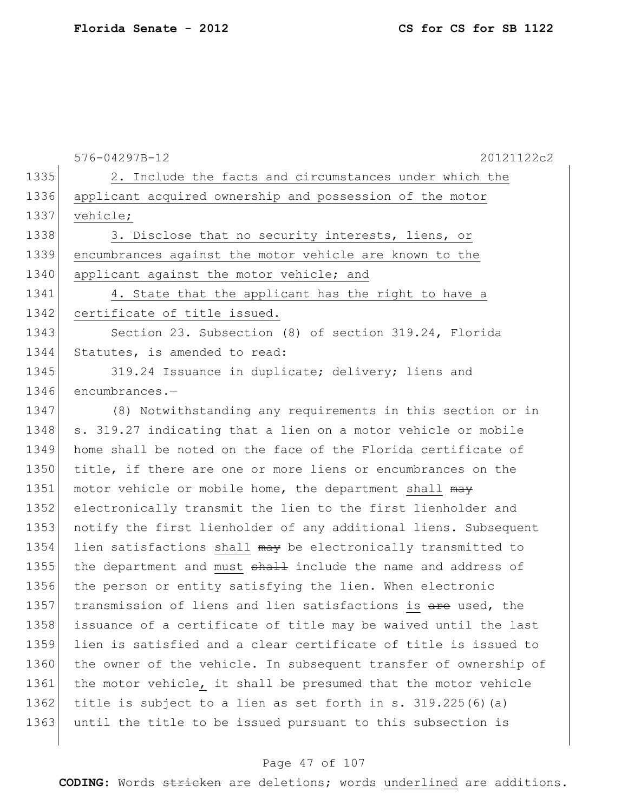|      | 20121122c2<br>576-04297B-12                                      |
|------|------------------------------------------------------------------|
| 1335 | 2. Include the facts and circumstances under which the           |
| 1336 | applicant acquired ownership and possession of the motor         |
| 1337 | vehicle;                                                         |
| 1338 | 3. Disclose that no security interests, liens, or                |
| 1339 | encumbrances against the motor vehicle are known to the          |
| 1340 | applicant against the motor vehicle; and                         |
| 1341 | 4. State that the applicant has the right to have a              |
| 1342 | certificate of title issued.                                     |
| 1343 | Section 23. Subsection (8) of section 319.24, Florida            |
| 1344 | Statutes, is amended to read:                                    |
| 1345 | 319.24 Issuance in duplicate; delivery; liens and                |
| 1346 | encumbrances.-                                                   |
| 1347 | (8) Notwithstanding any requirements in this section or in       |
| 1348 | s. 319.27 indicating that a lien on a motor vehicle or mobile    |
| 1349 | home shall be noted on the face of the Florida certificate of    |
| 1350 | title, if there are one or more liens or encumbrances on the     |
| 1351 | motor vehicle or mobile home, the department shall may           |
| 1352 | electronically transmit the lien to the first lienholder and     |
| 1353 | notify the first lienholder of any additional liens. Subsequent  |
| 1354 | lien satisfactions shall may be electronically transmitted to    |
| 1355 | the department and must shall include the name and address of    |
| 1356 | the person or entity satisfying the lien. When electronic        |
| 1357 | transmission of liens and lien satisfactions is are used, the    |
| 1358 | issuance of a certificate of title may be waived until the last  |
| 1359 | lien is satisfied and a clear certificate of title is issued to  |
| 1360 | the owner of the vehicle. In subsequent transfer of ownership of |
| 1361 | the motor vehicle, it shall be presumed that the motor vehicle   |
| 1362 | title is subject to a lien as set forth in s. 319.225(6)(a)      |
| 1363 | until the title to be issued pursuant to this subsection is      |
|      |                                                                  |

# Page 47 of 107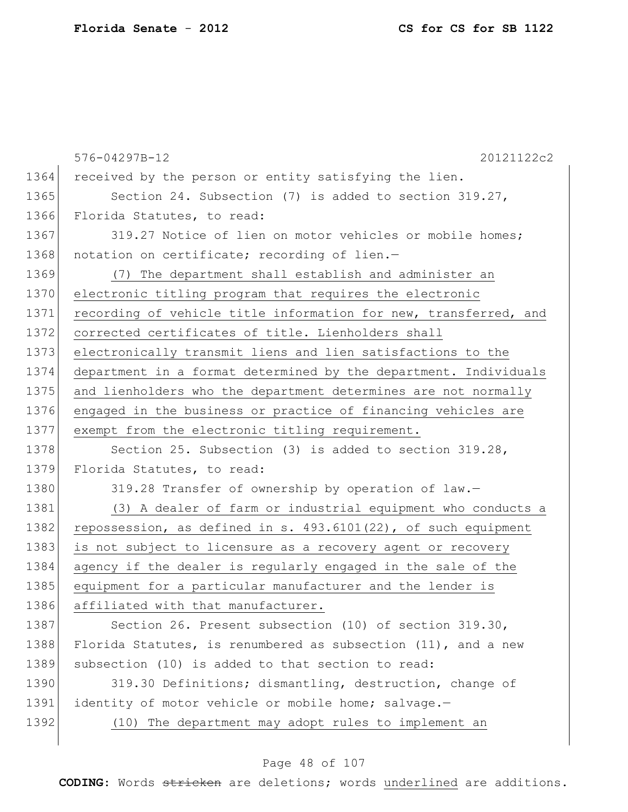|      | 576-04297B-12<br>20121122c2                                      |
|------|------------------------------------------------------------------|
| 1364 | received by the person or entity satisfying the lien.            |
| 1365 | Section 24. Subsection (7) is added to section 319.27,           |
| 1366 | Florida Statutes, to read:                                       |
| 1367 | 319.27 Notice of lien on motor vehicles or mobile homes;         |
| 1368 | notation on certificate; recording of lien.-                     |
| 1369 | (7) The department shall establish and administer an             |
| 1370 | electronic titling program that requires the electronic          |
| 1371 | recording of vehicle title information for new, transferred, and |
| 1372 | corrected certificates of title. Lienholders shall               |
| 1373 | electronically transmit liens and lien satisfactions to the      |
| 1374 | department in a format determined by the department. Individuals |
| 1375 | and lienholders who the department determines are not normally   |
| 1376 | engaged in the business or practice of financing vehicles are    |
| 1377 | exempt from the electronic titling requirement.                  |
| 1378 | Section 25. Subsection (3) is added to section 319.28,           |
| 1379 | Florida Statutes, to read:                                       |
| 1380 | 319.28 Transfer of ownership by operation of law.-               |
| 1381 | (3) A dealer of farm or industrial equipment who conducts a      |
| 1382 | repossession, as defined in s. 493.6101(22), of such equipment   |
| 1383 | is not subject to licensure as a recovery agent or recovery      |
| 1384 | agency if the dealer is regularly engaged in the sale of the     |
| 1385 | equipment for a particular manufacturer and the lender is        |
| 1386 | affiliated with that manufacturer.                               |
| 1387 | Section 26. Present subsection (10) of section 319.30,           |
| 1388 | Florida Statutes, is renumbered as subsection $(11)$ , and a new |
| 1389 | subsection (10) is added to that section to read:                |
| 1390 | 319.30 Definitions; dismantling, destruction, change of          |
| 1391 | identity of motor vehicle or mobile home; salvage.-              |
| 1392 | (10) The department may adopt rules to implement an              |
|      |                                                                  |

# Page 48 of 107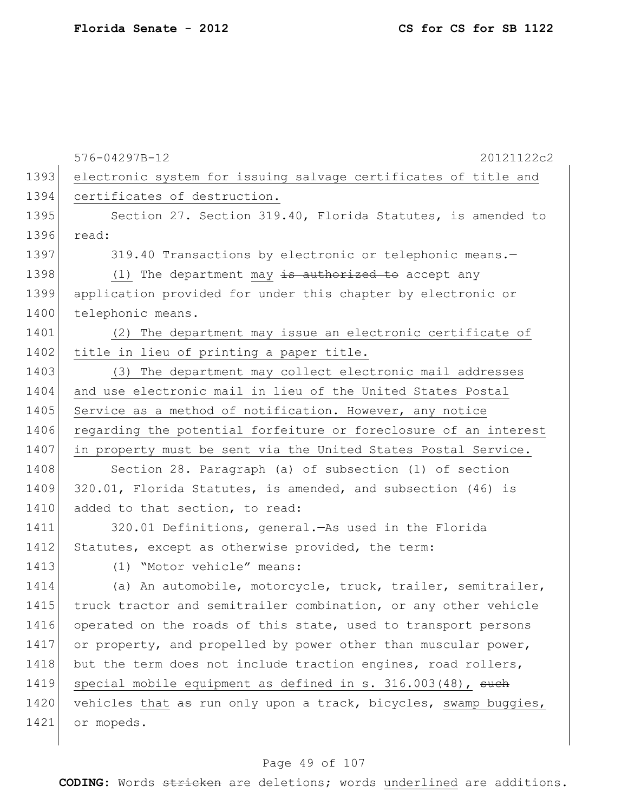|      | 576-04297B-12<br>20121122c2                                      |
|------|------------------------------------------------------------------|
| 1393 | electronic system for issuing salvage certificates of title and  |
| 1394 | certificates of destruction.                                     |
| 1395 | Section 27. Section 319.40, Florida Statutes, is amended to      |
| 1396 | read:                                                            |
| 1397 | 319.40 Transactions by electronic or telephonic means.-          |
| 1398 | (1) The department may $\frac{1}{18}$ authorized to accept any   |
| 1399 | application provided for under this chapter by electronic or     |
| 1400 | telephonic means.                                                |
| 1401 | (2) The department may issue an electronic certificate of        |
| 1402 | title in lieu of printing a paper title.                         |
| 1403 | (3) The department may collect electronic mail addresses         |
| 1404 | and use electronic mail in lieu of the United States Postal      |
| 1405 | Service as a method of notification. However, any notice         |
| 1406 | regarding the potential forfeiture or foreclosure of an interest |
| 1407 | in property must be sent via the United States Postal Service.   |
| 1408 | Section 28. Paragraph (a) of subsection (1) of section           |
| 1409 | 320.01, Florida Statutes, is amended, and subsection (46) is     |
| 1410 | added to that section, to read:                                  |
| 1411 | 320.01 Definitions, general. As used in the Florida              |
| 1412 | Statutes, except as otherwise provided, the term:                |
| 1413 | (1) "Motor vehicle" means:                                       |
| 1414 | (a) An automobile, motorcycle, truck, trailer, semitrailer,      |
| 1415 | truck tractor and semitrailer combination, or any other vehicle  |
| 1416 | operated on the roads of this state, used to transport persons   |
| 1417 | or property, and propelled by power other than muscular power,   |
| 1418 | but the term does not include traction engines, road rollers,    |
| 1419 | special mobile equipment as defined in s. 316.003(48), such      |
| 1420 | vehicles that as run only upon a track, bicycles, swamp buggies, |
| 1421 | or mopeds.                                                       |
|      |                                                                  |

# Page 49 of 107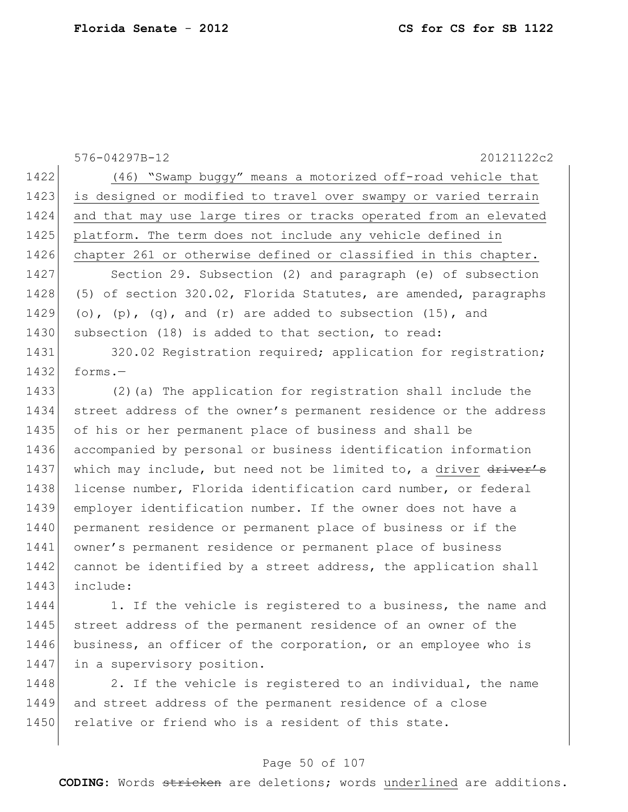576-04297B-12 20121122c2 1422 (46) "Swamp buggy" means a motorized off-road vehicle that 1423 is designed or modified to travel over swampy or varied terrain 1424 and that may use large tires or tracks operated from an elevated 1425 platform. The term does not include any vehicle defined in 1426 chapter 261 or otherwise defined or classified in this chapter. 1427 Section 29. Subsection (2) and paragraph (e) of subsection 1428 (5) of section 320.02, Florida Statutes, are amended, paragraphs 1429 (o),  $(p)$ ,  $(q)$ , and  $(r)$  are added to subsection  $(15)$ , and 1430 subsection (18) is added to that section, to read: 1431 320.02 Registration required; application for registration;  $1432$  forms. 1433 (2)(a) The application for registration shall include the 1434 street address of the owner's permanent residence or the address 1435 of his or her permanent place of business and shall be 1436 accompanied by personal or business identification information

1437 which may include, but need not be limited to, a driver driver's 1438 license number, Florida identification card number, or federal 1439 employer identification number. If the owner does not have a 1440 permanent residence or permanent place of business or if the 1441 owner's permanent residence or permanent place of business 1442 cannot be identified by a street address, the application shall 1443 include:

1444 1. If the vehicle is registered to a business, the name and 1445 street address of the permanent residence of an owner of the 1446 business, an officer of the corporation, or an employee who is 1447 in a supervisory position.

1448 2. If the vehicle is registered to an individual, the name 1449 and street address of the permanent residence of a close 1450 relative or friend who is a resident of this state.

### Page 50 of 107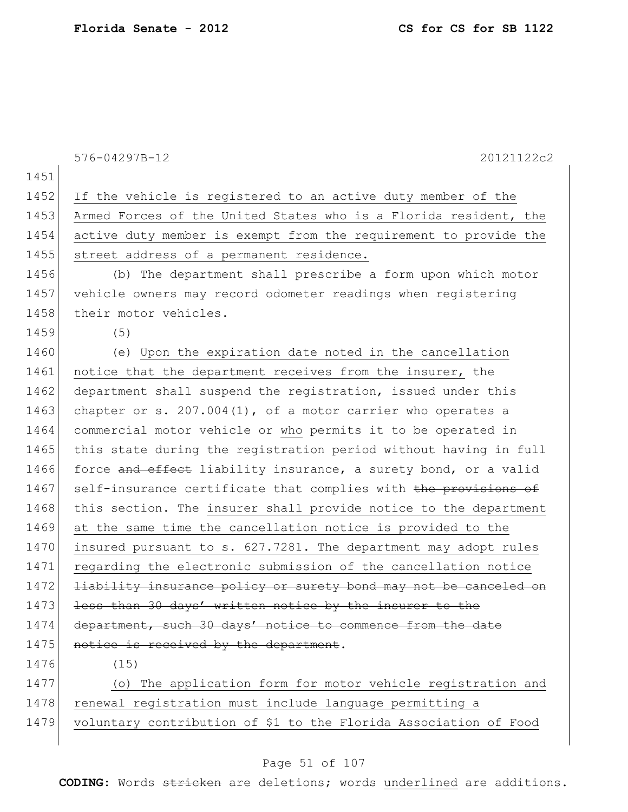576-04297B-12 20121122c2 1451 1452 If the vehicle is registered to an active duty member of the 1453 Armed Forces of the United States who is a Florida resident, the 1454 active duty member is exempt from the requirement to provide the 1455 street address of a permanent residence. 1456 (b) The department shall prescribe a form upon which motor 1457 vehicle owners may record odometer readings when registering 1458 their motor vehicles. 1459 (5) 1460 (e) Upon the expiration date noted in the cancellation 1461 notice that the department receives from the insurer, the 1462 department shall suspend the registration, issued under this 1463 chapter or s.  $207.004(1)$ , of a motor carrier who operates a 1464 commercial motor vehicle or who permits it to be operated in 1465 this state during the registration period without having in full 1466 force and effect liability insurance, a surety bond, or a valid 1467 self-insurance certificate that complies with the provisions of 1468 this section. The insurer shall provide notice to the department 1469 at the same time the cancellation notice is provided to the 1470 insured pursuant to s. 627.7281. The department may adopt rules 1471 regarding the electronic submission of the cancellation notice 1472 <del>liability insurance policy or surety bond may not be canceled on</del> 1473 less than 30 days' written notice by the insurer to the 1474 department, such 30 days' notice to commence from the date 1475 notice is received by the department. 1476 (15) 1477 (o) The application form for motor vehicle registration and 1478 renewal registration must include language permitting a 1479 voluntary contribution of \$1 to the Florida Association of Food

#### Page 51 of 107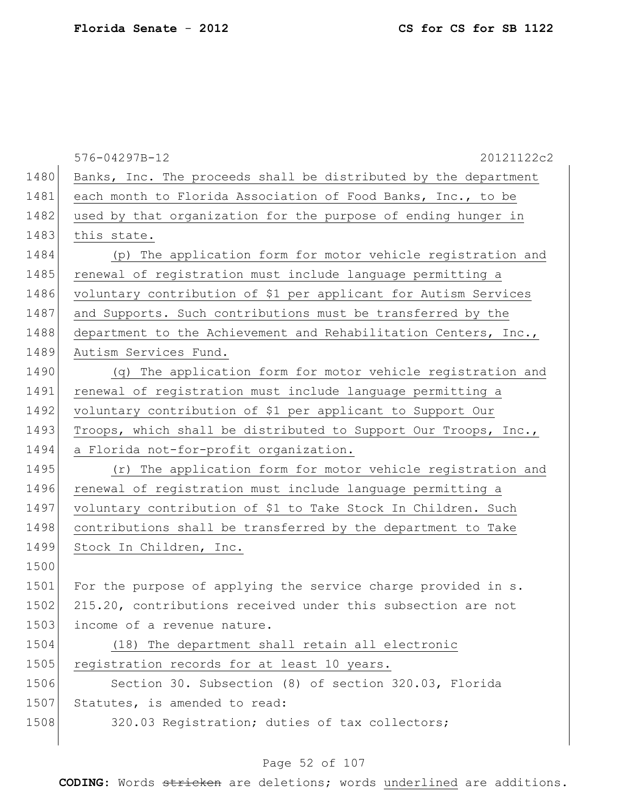|      | 576-04297B-12<br>20121122c2                                     |
|------|-----------------------------------------------------------------|
| 1480 | Banks, Inc. The proceeds shall be distributed by the department |
| 1481 | each month to Florida Association of Food Banks, Inc., to be    |
| 1482 | used by that organization for the purpose of ending hunger in   |
| 1483 | this state.                                                     |
| 1484 | (p) The application form for motor vehicle registration and     |
| 1485 | renewal of registration must include language permitting a      |
| 1486 | voluntary contribution of \$1 per applicant for Autism Services |
| 1487 | and Supports. Such contributions must be transferred by the     |
| 1488 | department to the Achievement and Rehabilitation Centers, Inc., |
| 1489 | Autism Services Fund.                                           |
| 1490 | (q) The application form for motor vehicle registration and     |
| 1491 | renewal of registration must include language permitting a      |
| 1492 | voluntary contribution of \$1 per applicant to Support Our      |
| 1493 | Troops, which shall be distributed to Support Our Troops, Inc., |
| 1494 | a Florida not-for-profit organization.                          |
| 1495 | (r) The application form for motor vehicle registration and     |
| 1496 | renewal of registration must include language permitting a      |
| 1497 | voluntary contribution of \$1 to Take Stock In Children. Such   |
| 1498 | contributions shall be transferred by the department to Take    |
| 1499 | Stock In Children, Inc.                                         |
| 1500 |                                                                 |
| 1501 | For the purpose of applying the service charge provided in s.   |
| 1502 | 215.20, contributions received under this subsection are not    |
| 1503 | income of a revenue nature.                                     |
| 1504 | (18) The department shall retain all electronic                 |
| 1505 | registration records for at least 10 years.                     |
| 1506 | Section 30. Subsection (8) of section 320.03, Florida           |
| 1507 | Statutes, is amended to read:                                   |
| 1508 | 320.03 Registration; duties of tax collectors;                  |
|      |                                                                 |

# Page 52 of 107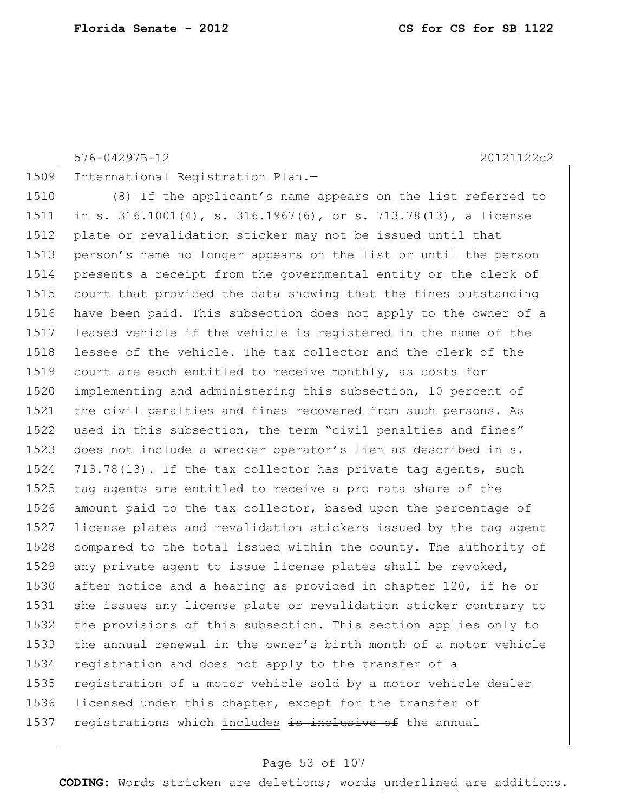```
576-04297B-12 20121122c2
1509 International Registration Plan.-
1510 (8) If the applicant's name appears on the list referred to
1511 in s. 316.1001(4), s. 316.1967(6), or s. 713.78(13), a license 
1512 plate or revalidation sticker may not be issued until that
1513 person's name no longer appears on the list or until the person 
1514 presents a receipt from the governmental entity or the clerk of 
1515 court that provided the data showing that the fines outstanding 
1516 have been paid. This subsection does not apply to the owner of a 
1517 leased vehicle if the vehicle is registered in the name of the 
1518 lessee of the vehicle. The tax collector and the clerk of the 
1519 court are each entitled to receive monthly, as costs for
1520 implementing and administering this subsection, 10 percent of 
1521 the civil penalties and fines recovered from such persons. As 
1522 used in this subsection, the term "civil penalties and fines" 
1523 does not include a wrecker operator's lien as described in s.
1524 713.78(13). If the tax collector has private tag agents, such 
1525 tag agents are entitled to receive a pro rata share of the
```
amount paid to the tax collector, based upon the percentage of

any private agent to issue license plates shall be revoked,

registration and does not apply to the transfer of a

1536 licensed under this chapter, except for the transfer of 1537 registrations which includes is inclusive of the annual

 license plates and revalidation stickers issued by the tag agent compared to the total issued within the county. The authority of

1530 after notice and a hearing as provided in chapter 120, if he or she issues any license plate or revalidation sticker contrary to the provisions of this subsection. This section applies only to the annual renewal in the owner's birth month of a motor vehicle

1535 registration of a motor vehicle sold by a motor vehicle dealer

#### Page 53 of 107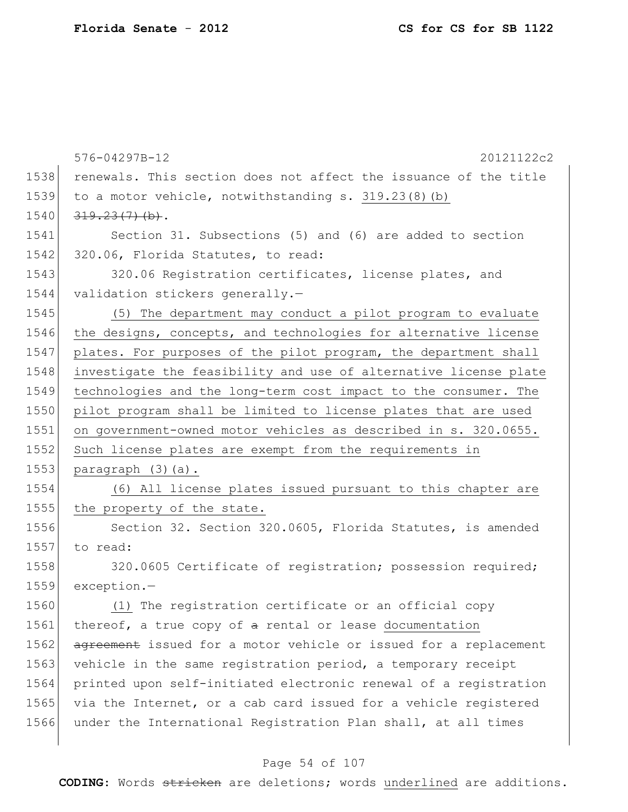|      | 576-04297B-12<br>20121122c2                                      |
|------|------------------------------------------------------------------|
| 1538 | renewals. This section does not affect the issuance of the title |
| 1539 | to a motor vehicle, notwithstanding s. 319.23(8)(b)              |
| 1540 | $319.23(7)$ (b).                                                 |
| 1541 | Section 31. Subsections (5) and (6) are added to section         |
| 1542 | 320.06, Florida Statutes, to read:                               |
| 1543 | 320.06 Registration certificates, license plates, and            |
| 1544 | validation stickers generally.-                                  |
| 1545 | (5) The department may conduct a pilot program to evaluate       |
| 1546 | the designs, concepts, and technologies for alternative license  |
| 1547 | plates. For purposes of the pilot program, the department shall  |
| 1548 | investigate the feasibility and use of alternative license plate |
| 1549 | technologies and the long-term cost impact to the consumer. The  |
| 1550 | pilot program shall be limited to license plates that are used   |
| 1551 | on government-owned motor vehicles as described in s. 320.0655.  |
| 1552 | Such license plates are exempt from the requirements in          |
| 1553 | paragraph (3)(a).                                                |
| 1554 | (6) All license plates issued pursuant to this chapter are       |
| 1555 | the property of the state.                                       |
| 1556 | Section 32. Section 320.0605, Florida Statutes, is amended       |
| 1557 | to read:                                                         |
| 1558 | 320.0605 Certificate of registration; possession required;       |
| 1559 | $exception. -$                                                   |
| 1560 | (1) The registration certificate or an official copy             |
| 1561 | thereof, a true copy of a rental or lease documentation          |
| 1562 | agreement issued for a motor vehicle or issued for a replacement |
| 1563 | vehicle in the same registration period, a temporary receipt     |
| 1564 | printed upon self-initiated electronic renewal of a registration |
| 1565 | via the Internet, or a cab card issued for a vehicle registered  |
| 1566 | under the International Registration Plan shall, at all times    |
|      |                                                                  |

# Page 54 of 107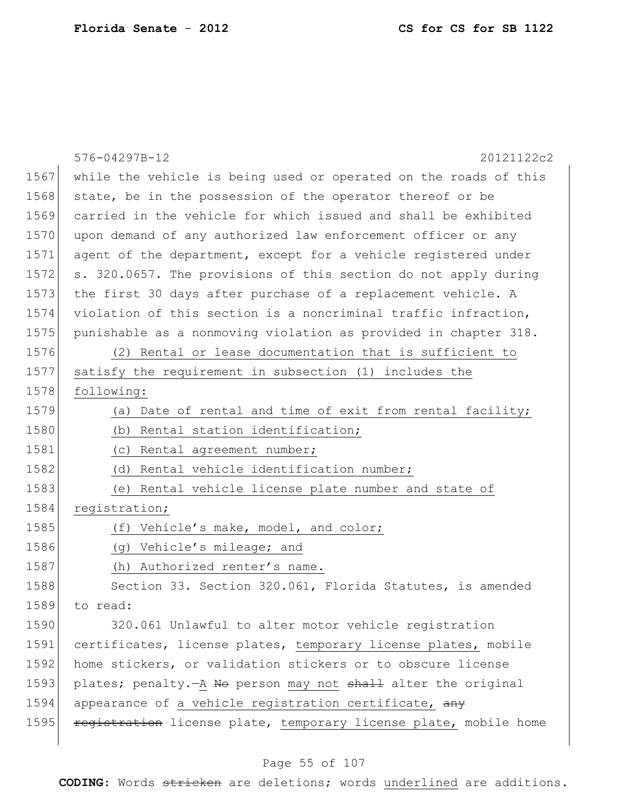|      | 576-04297B-12<br>20121122c2                                      |
|------|------------------------------------------------------------------|
| 1567 | while the vehicle is being used or operated on the roads of this |
| 1568 | state, be in the possession of the operator thereof or be        |
| 1569 | carried in the vehicle for which issued and shall be exhibited   |
| 1570 | upon demand of any authorized law enforcement officer or any     |
| 1571 | agent of the department, except for a vehicle registered under   |
| 1572 | s. 320.0657. The provisions of this section do not apply during  |
| 1573 | the first 30 days after purchase of a replacement vehicle. A     |
| 1574 | violation of this section is a noncriminal traffic infraction,   |
| 1575 | punishable as a nonmoving violation as provided in chapter 318.  |
| 1576 | (2) Rental or lease documentation that is sufficient to          |
| 1577 | satisfy the requirement in subsection (1) includes the           |
| 1578 | following:                                                       |
| 1579 | Date of rental and time of exit from rental facility;<br>(a)     |
| 1580 | (b) Rental station identification;                               |
| 1581 | (c) Rental agreement number;                                     |
| 1582 | Rental vehicle identification number;<br>(d)                     |
| 1583 | (e) Rental vehicle license plate number and state of             |
| 1584 | registration;                                                    |
| 1585 | Vehicle's make, model, and color;<br>(f)                         |
| 1586 | (g) Vehicle's mileage; and                                       |
| 1587 | (h) Authorized renter's name.                                    |
| 1588 | Section 33. Section 320.061, Florida Statutes, is amended        |
| 1589 | to read:                                                         |
| 1590 | 320.061 Unlawful to alter motor vehicle registration             |
| 1591 | certificates, license plates, temporary license plates, mobile   |
| 1592 | home stickers, or validation stickers or to obscure license      |
| 1593 | plates; penalty. - A No person may not shall alter the original  |
| 1594 | appearance of a vehicle registration certificate, any            |
| 1595 | registration license plate, temporary license plate, mobile home |

# Page 55 of 107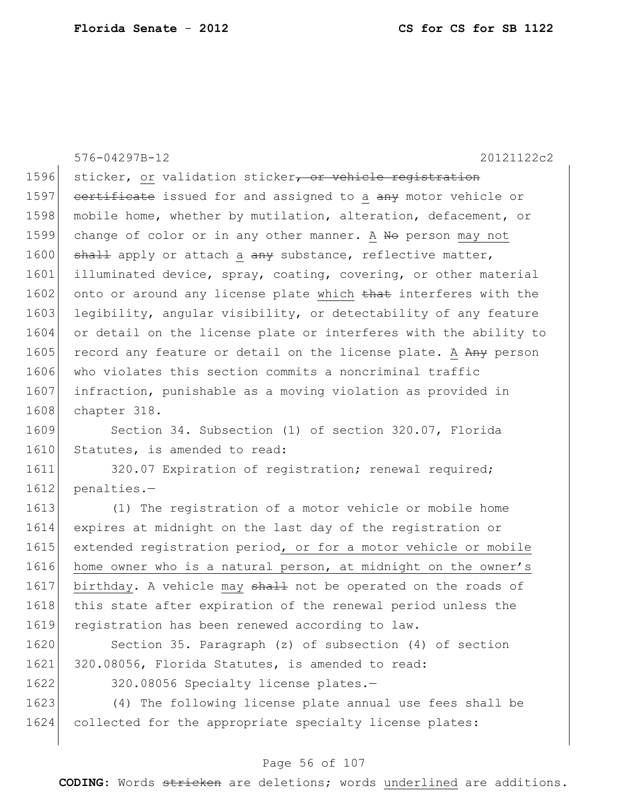576-04297B-12 20121122c2 1596 sticker, or validation sticker, or vehicle registration 1597 certificate issued for and assigned to a any motor vehicle or 1598 mobile home, whether by mutilation, alteration, defacement, or 1599 change of color or in any other manner. A No person may not 1600 shall apply or attach a any substance, reflective matter, 1601 illuminated device, spray, coating, covering, or other material 1602 onto or around any license plate which that interferes with the 1603 legibility, angular visibility, or detectability of any feature 1604 or detail on the license plate or interferes with the ability to 1605 record any feature or detail on the license plate. A Any person 1606 who violates this section commits a noncriminal traffic 1607 infraction, punishable as a moving violation as provided in 1608 chapter 318. 1609 Section 34. Subsection (1) of section 320.07, Florida 1610 Statutes, is amended to read: 1611 320.07 Expiration of registration; renewal required; 1612 penalties.-

1613 (1) The registration of a motor vehicle or mobile home 1614 expires at midnight on the last day of the registration or 1615 extended registration period, or for a motor vehicle or mobile 1616 home owner who is a natural person, at midnight on the owner's 1617 birthday. A vehicle may shall not be operated on the roads of 1618 this state after expiration of the renewal period unless the 1619 registration has been renewed according to law.

1620 Section 35. Paragraph (z) of subsection (4) of section 1621 320.08056, Florida Statutes, is amended to read:

1622 320.08056 Specialty license plates.-

1623 (4) The following license plate annual use fees shall be 1624 collected for the appropriate specialty license plates:

#### Page 56 of 107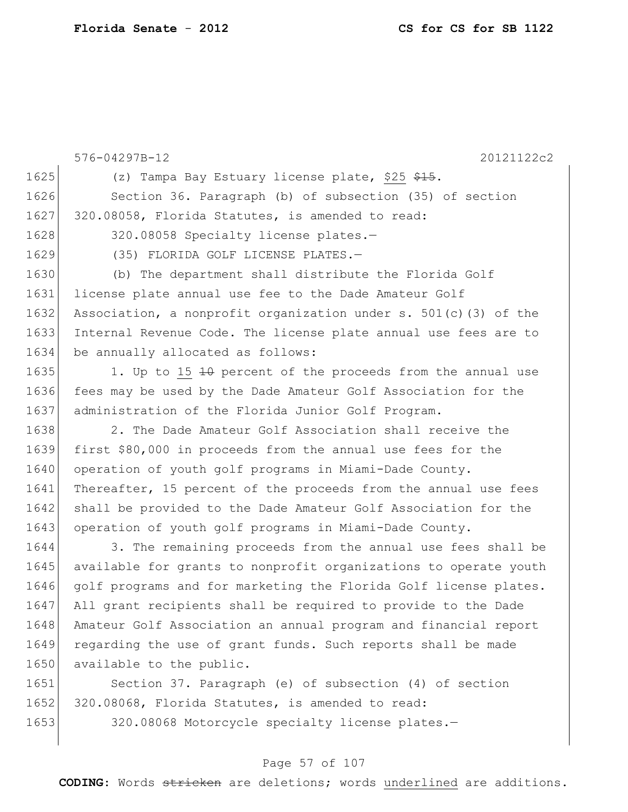576-04297B-12 20121122c2 1625 (z) Tampa Bay Estuary license plate, \$25  $\frac{25}{7}$ . 1626 Section 36. Paragraph (b) of subsection (35) of section 1627 320.08058, Florida Statutes, is amended to read: 1628 320.08058 Specialty license plates.-1629 (35) FLORIDA GOLF LICENSE PLATES.-1630 (b) The department shall distribute the Florida Golf 1631 license plate annual use fee to the Dade Amateur Golf 1632 Association, a nonprofit organization under s.  $501(c)(3)$  of the 1633 Internal Revenue Code. The license plate annual use fees are to 1634 be annually allocated as follows: 1635 1. Up to 15 10 percent of the proceeds from the annual use 1636 fees may be used by the Dade Amateur Golf Association for the 1637 | administration of the Florida Junior Golf Program. 1638 2. The Dade Amateur Golf Association shall receive the 1639 first \$80,000 in proceeds from the annual use fees for the 1640 operation of youth golf programs in Miami-Dade County. 1641 Thereafter, 15 percent of the proceeds from the annual use fees 1642 shall be provided to the Dade Amateur Golf Association for the 1643 operation of youth golf programs in Miami-Dade County. 1644 3. The remaining proceeds from the annual use fees shall be 1645 available for grants to nonprofit organizations to operate youth 1646 golf programs and for marketing the Florida Golf license plates. 1647 All grant recipients shall be required to provide to the Dade 1648 Amateur Golf Association an annual program and financial report 1649 regarding the use of grant funds. Such reports shall be made 1650 available to the public. 1651 Section 37. Paragraph (e) of subsection (4) of section

1652 320.08068, Florida Statutes, is amended to read:

1653 320.08068 Motorcycle specialty license plates.—

### Page 57 of 107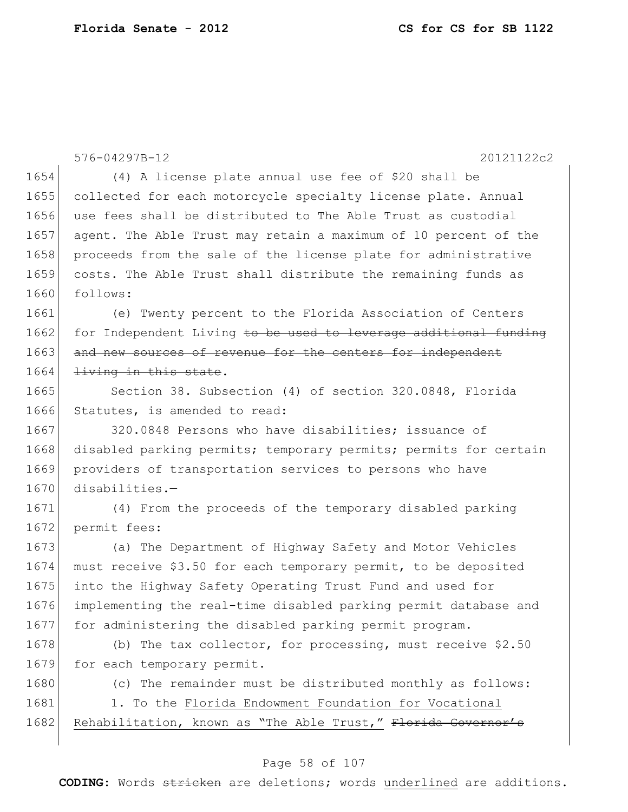|      | 576-04297B-12<br>20121122c2                                      |
|------|------------------------------------------------------------------|
| 1654 | (4) A license plate annual use fee of \$20 shall be              |
| 1655 | collected for each motorcycle specialty license plate. Annual    |
| 1656 | use fees shall be distributed to The Able Trust as custodial     |
| 1657 | agent. The Able Trust may retain a maximum of 10 percent of the  |
| 1658 | proceeds from the sale of the license plate for administrative   |
| 1659 | costs. The Able Trust shall distribute the remaining funds as    |
| 1660 | follows:                                                         |
| 1661 | (e) Twenty percent to the Florida Association of Centers         |
| 1662 | for Independent Living to be used to leverage additional funding |
| 1663 | and new sources of revenue for the centers for independent       |
| 1664 | living in this state.                                            |
| 1665 | Section 38. Subsection (4) of section 320.0848, Florida          |
| 1666 | Statutes, is amended to read:                                    |
| 1667 | 320.0848 Persons who have disabilities; issuance of              |
| 1668 | disabled parking permits; temporary permits; permits for certain |
| 1669 | providers of transportation services to persons who have         |
| 1670 | $disabilities. -$                                                |
| 1671 | (4) From the proceeds of the temporary disabled parking          |
| 1672 | permit fees:                                                     |
| 1673 | (a) The Department of Highway Safety and Motor Vehicles          |
| 1674 | must receive \$3.50 for each temporary permit, to be deposited   |
| 1675 | into the Highway Safety Operating Trust Fund and used for        |
| 1676 | implementing the real-time disabled parking permit database and  |
| 1677 | for administering the disabled parking permit program.           |
| 1678 | (b) The tax collector, for processing, must receive $$2.50$      |
| 1679 | for each temporary permit.                                       |
| 1680 | (c) The remainder must be distributed monthly as follows:        |
| 1681 | 1. To the Florida Endowment Foundation for Vocational            |
| 1682 | Rehabilitation, known as "The Able Trust," Florida Governor's    |
|      |                                                                  |

# Page 58 of 107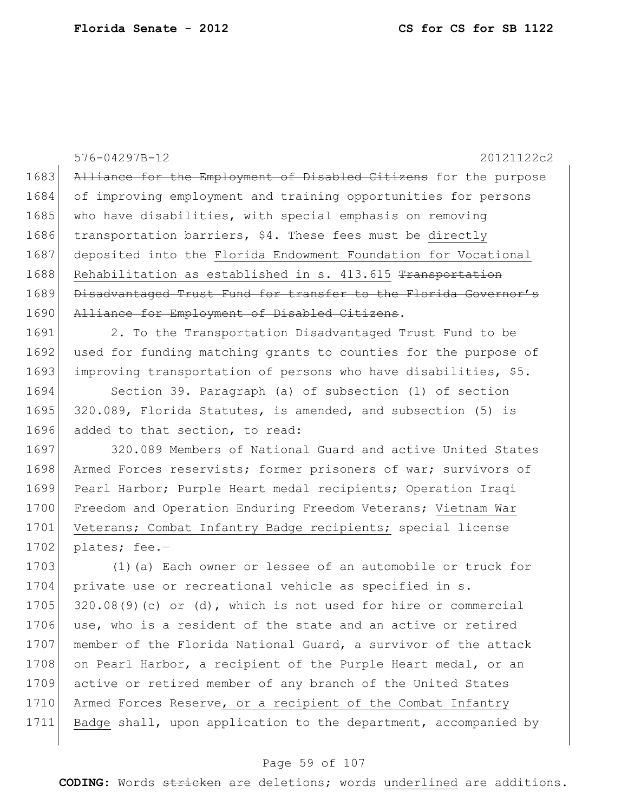576-04297B-12 20121122c2 1683 Alliance for the Employment of Disabled Citizens for the purpose 1684 of improving employment and training opportunities for persons 1685 who have disabilities, with special emphasis on removing 1686 transportation barriers, \$4. These fees must be directly 1687 deposited into the Florida Endowment Foundation for Vocational 1688 Rehabilitation as established in s. 413.615 Transportation 1689 Disadvantaged Trust Fund for transfer to the Florida Governor's 1690 Alliance for Employment of Disabled Citizens. 1691 2. To the Transportation Disadvantaged Trust Fund to be 1692 used for funding matching grants to counties for the purpose of 1693 improving transportation of persons who have disabilities, \$5. 1694 Section 39. Paragraph (a) of subsection (1) of section 1695 320.089, Florida Statutes, is amended, and subsection (5) is 1696 added to that section, to read: 1697 320.089 Members of National Guard and active United States 1698 Armed Forces reservists; former prisoners of war; survivors of 1699 Pearl Harbor; Purple Heart medal recipients; Operation Iraqi 1700 Freedom and Operation Enduring Freedom Veterans; Vietnam War 1701 Veterans; Combat Infantry Badge recipients; special license 1702 plates; fee.-1703 (1)(a) Each owner or lessee of an automobile or truck for 1704 private use or recreational vehicle as specified in s. 1705  $320.08(9)$  (c) or (d), which is not used for hire or commercial 1706 use, who is a resident of the state and an active or retired 1707 member of the Florida National Guard, a survivor of the attack 1708 on Pearl Harbor, a recipient of the Purple Heart medal, or an 1709 active or retired member of any branch of the United States 1710 Armed Forces Reserve, or a recipient of the Combat Infantry 1711 Badge shall, upon application to the department, accompanied by

#### Page 59 of 107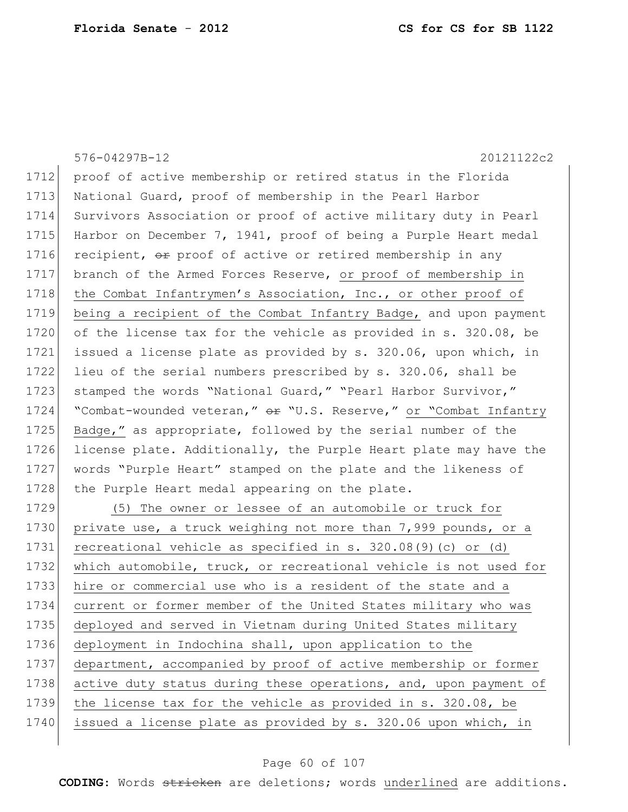576-04297B-12 20121122c2 1712 proof of active membership or retired status in the Florida 1713 National Guard, proof of membership in the Pearl Harbor 1714 Survivors Association or proof of active military duty in Pearl 1715 Harbor on December 7, 1941, proof of being a Purple Heart medal 1716 recipient,  $\Theta$  proof of active or retired membership in any 1717 branch of the Armed Forces Reserve, or proof of membership in 1718 the Combat Infantrymen's Association, Inc., or other proof of 1719 being a recipient of the Combat Infantry Badge, and upon payment 1720 of the license tax for the vehicle as provided in s. 320.08, be 1721 issued a license plate as provided by s. 320.06, upon which, in 1722 lieu of the serial numbers prescribed by s. 320.06, shall be 1723 stamped the words "National Guard," "Pearl Harbor Survivor," 1724 "Combat-wounded veteran," or "U.S. Reserve," or "Combat Infantry 1725 Badge," as appropriate, followed by the serial number of the 1726 license plate. Additionally, the Purple Heart plate may have the 1727 words "Purple Heart" stamped on the plate and the likeness of 1728 the Purple Heart medal appearing on the plate. 1729 (5) The owner or lessee of an automobile or truck for 1730 private use, a truck weighing not more than 7,999 pounds, or a 1731 recreational vehicle as specified in s. 320.08(9)(c) or (d) 1732 which automobile, truck, or recreational vehicle is not used for 1733 hire or commercial use who is a resident of the state and a 1734 current or former member of the United States military who was 1735 deployed and served in Vietnam during United States military 1736 deployment in Indochina shall, upon application to the 1737 department, accompanied by proof of active membership or former 1738 active duty status during these operations, and, upon payment of 1739 the license tax for the vehicle as provided in s. 320.08, be 1740 issued a license plate as provided by s. 320.06 upon which, in

#### Page 60 of 107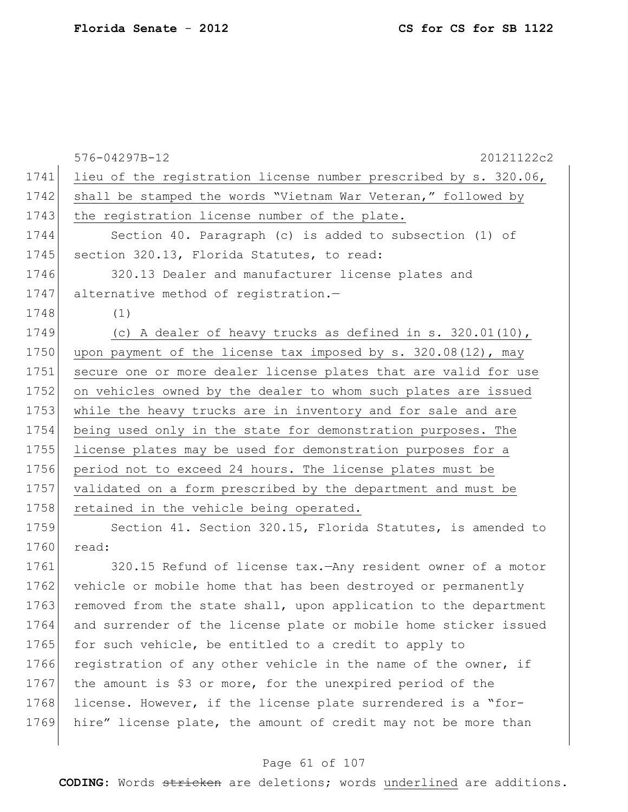|      | 576-04297B-12<br>20121122c2                                      |
|------|------------------------------------------------------------------|
| 1741 | lieu of the registration license number prescribed by s. 320.06, |
| 1742 | shall be stamped the words "Vietnam War Veteran," followed by    |
| 1743 | the registration license number of the plate.                    |
| 1744 | Section 40. Paragraph (c) is added to subsection (1) of          |
| 1745 | section 320.13, Florida Statutes, to read:                       |
| 1746 | 320.13 Dealer and manufacturer license plates and                |
| 1747 | alternative method of registration.-                             |
| 1748 | (1)                                                              |
| 1749 | (c) A dealer of heavy trucks as defined in s. $320.01(10)$ ,     |
| 1750 | upon payment of the license tax imposed by s. 320.08(12), may    |
| 1751 | secure one or more dealer license plates that are valid for use  |
| 1752 | on vehicles owned by the dealer to whom such plates are issued   |
| 1753 | while the heavy trucks are in inventory and for sale and are     |
| 1754 | being used only in the state for demonstration purposes. The     |
| 1755 | license plates may be used for demonstration purposes for a      |
| 1756 | period not to exceed 24 hours. The license plates must be        |
| 1757 | validated on a form prescribed by the department and must be     |
| 1758 | retained in the vehicle being operated.                          |
| 1759 | Section 41. Section 320.15, Florida Statutes, is amended to      |
| 1760 | read:                                                            |

1761 320.15 Refund of license tax.—Any resident owner of a motor 1762 vehicle or mobile home that has been destroyed or permanently 1763 removed from the state shall, upon application to the department 1764 and surrender of the license plate or mobile home sticker issued 1765 for such vehicle, be entitled to a credit to apply to 1766 registration of any other vehicle in the name of the owner, if 1767 the amount is \$3 or more, for the unexpired period of the 1768 license. However, if the license plate surrendered is a "for-1769 hire" license plate, the amount of credit may not be more than

### Page 61 of 107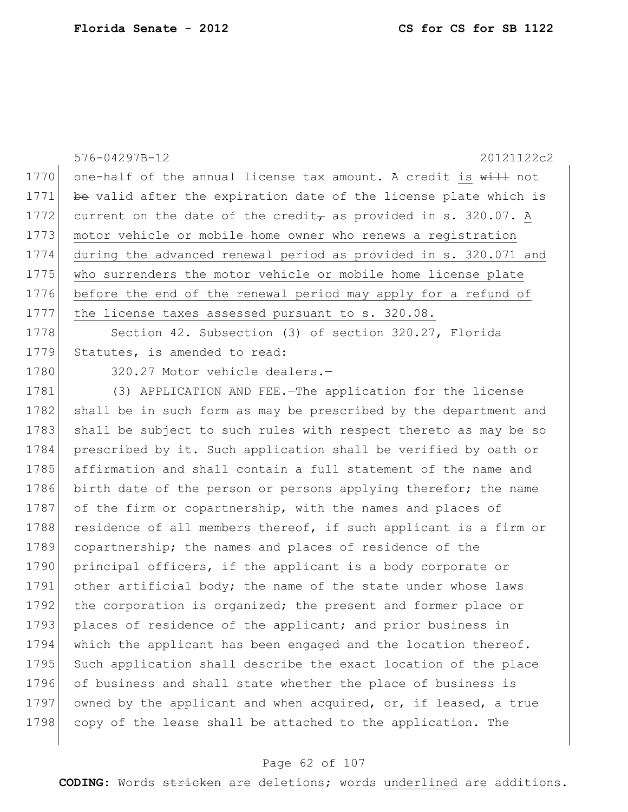|      | 576-04297B-12<br>20121122c2                                                                |
|------|--------------------------------------------------------------------------------------------|
| 1770 | one-half of the annual license tax amount. A credit is will not                            |
| 1771 | be valid after the expiration date of the license plate which is                           |
| 1772 | current on the date of the credit <sub><math>\tau</math></sub> as provided in s. 320.07. A |
| 1773 | motor vehicle or mobile home owner who renews a registration                               |
| 1774 | during the advanced renewal period as provided in s. 320.071 and                           |
| 1775 | who surrenders the motor vehicle or mobile home license plate                              |
| 1776 | before the end of the renewal period may apply for a refund of                             |
| 1777 | the license taxes assessed pursuant to s. 320.08.                                          |
| 1778 | Section 42. Subsection (3) of section 320.27, Florida                                      |
| 1779 | Statutes, is amended to read:                                                              |
| 1780 | 320.27 Motor vehicle dealers.-                                                             |
| 1781 | (3) APPLICATION AND FEE. - The application for the license                                 |
| 1782 | shall be in such form as may be prescribed by the department and                           |
| 1783 | shall be subject to such rules with respect thereto as may be so                           |
| 1784 | prescribed by it. Such application shall be verified by oath or                            |
| 1785 | affirmation and shall contain a full statement of the name and                             |
| 1786 | birth date of the person or persons applying therefor; the name                            |
| 1787 | of the firm or copartnership, with the names and places of                                 |
| 1788 | residence of all members thereof, if such applicant is a firm or                           |
| 1789 | copartnership; the names and places of residence of the                                    |
| 1790 | principal officers, if the applicant is a body corporate or                                |
| 1791 | other artificial body; the name of the state under whose laws                              |
| 1792 | the corporation is organized; the present and former place or                              |
| 1793 | places of residence of the applicant; and prior business in                                |
| 1794 | which the applicant has been engaged and the location thereof.                             |
| 1795 | Such application shall describe the exact location of the place                            |
| 1796 | of business and shall state whether the place of business is                               |
| 1797 | owned by the applicant and when acquired, or, if leased, a true                            |
| 1798 | copy of the lease shall be attached to the application. The                                |
|      |                                                                                            |

# Page 62 of 107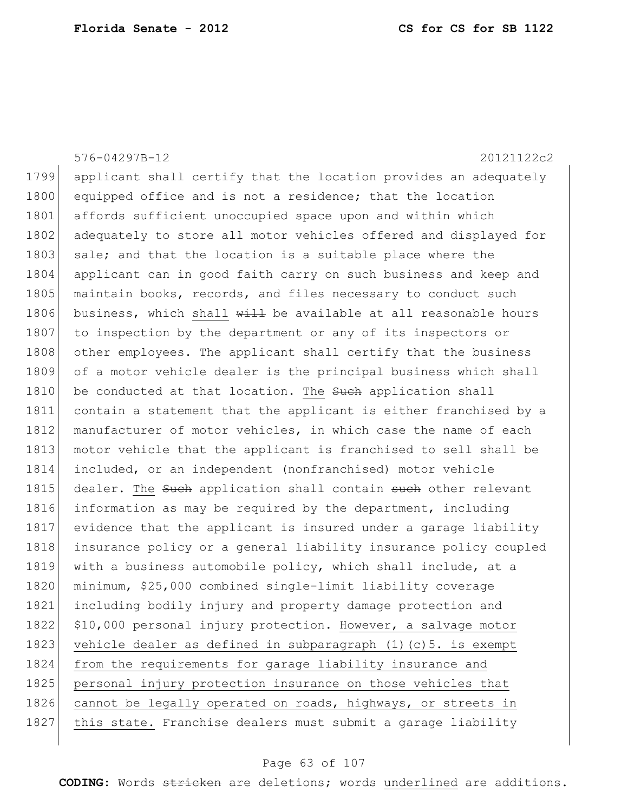576-04297B-12 20121122c2 1799 applicant shall certify that the location provides an adequately 1800 equipped office and is not a residence; that the location 1801 affords sufficient unoccupied space upon and within which 1802 adequately to store all motor vehicles offered and displayed for 1803 sale; and that the location is a suitable place where the 1804 applicant can in good faith carry on such business and keep and 1805 maintain books, records, and files necessary to conduct such 1806 business, which shall  $\frac{11}{2}$  be available at all reasonable hours 1807 to inspection by the department or any of its inspectors or 1808 other employees. The applicant shall certify that the business 1809 of a motor vehicle dealer is the principal business which shall 1810 be conducted at that location. The such application shall 1811 contain a statement that the applicant is either franchised by a 1812 manufacturer of motor vehicles, in which case the name of each 1813 motor vehicle that the applicant is franchised to sell shall be 1814 included, or an independent (nonfranchised) motor vehicle 1815 dealer. The such application shall contain such other relevant 1816 information as may be required by the department, including 1817 evidence that the applicant is insured under a garage liability 1818 insurance policy or a general liability insurance policy coupled 1819 with a business automobile policy, which shall include, at a 1820 minimum, \$25,000 combined single-limit liability coverage 1821 including bodily injury and property damage protection and 1822 \$10,000 personal injury protection. However, a salvage motor 1823 vehicle dealer as defined in subparagraph  $(1)(c)$ 5. is exempt 1824 from the requirements for garage liability insurance and 1825 personal injury protection insurance on those vehicles that 1826 cannot be legally operated on roads, highways, or streets in 1827 this state. Franchise dealers must submit a garage liability

#### Page 63 of 107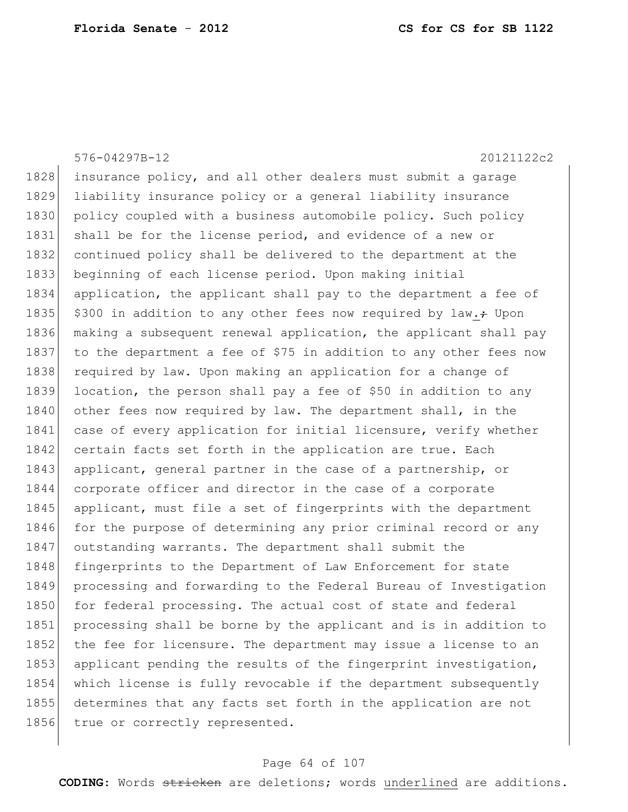576-04297B-12 20121122c2 1828 insurance policy, and all other dealers must submit a garage 1829 liability insurance policy or a general liability insurance 1830 policy coupled with a business automobile policy. Such policy 1831 shall be for the license period, and evidence of a new or 1832 continued policy shall be delivered to the department at the 1833 beginning of each license period. Upon making initial 1834 application, the applicant shall pay to the department a fee of 1835  $\frac{1835}{18300}$  in addition to any other fees now required by law. $\div$  Upon 1836 making a subsequent renewal application, the applicant shall pay 1837 to the department a fee of \$75 in addition to any other fees now 1838 required by law. Upon making an application for a change of 1839 location, the person shall pay a fee of \$50 in addition to any 1840 other fees now required by law. The department shall, in the 1841 case of every application for initial licensure, verify whether 1842 certain facts set forth in the application are true. Each 1843 applicant, general partner in the case of a partnership, or 1844 corporate officer and director in the case of a corporate 1845 applicant, must file a set of fingerprints with the department 1846 for the purpose of determining any prior criminal record or any 1847 outstanding warrants. The department shall submit the 1848 fingerprints to the Department of Law Enforcement for state 1849 processing and forwarding to the Federal Bureau of Investigation 1850 for federal processing. The actual cost of state and federal 1851 processing shall be borne by the applicant and is in addition to 1852 the fee for licensure. The department may issue a license to an 1853 applicant pending the results of the fingerprint investigation, 1854 which license is fully revocable if the department subsequently 1855 determines that any facts set forth in the application are not 1856 true or correctly represented.

#### Page 64 of 107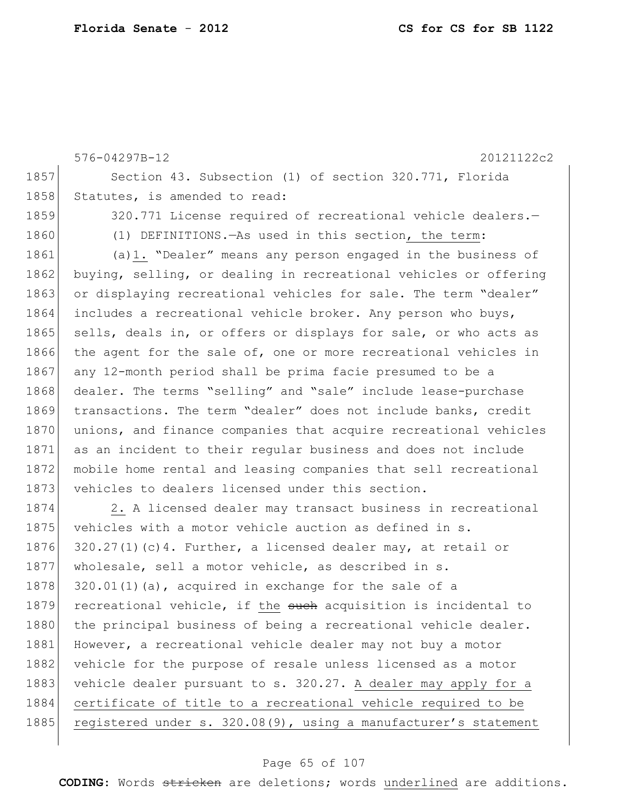576-04297B-12 20121122c2 1857 Section 43. Subsection (1) of section 320.771, Florida 1858 Statutes, is amended to read: 1859 320.771 License required of recreational vehicle dealers. 1860 (1) DEFINITIONS.—As used in this section, the term: 1861 (a)1. "Dealer" means any person engaged in the business of 1862 buying, selling, or dealing in recreational vehicles or offering 1863 or displaying recreational vehicles for sale. The term "dealer" 1864 includes a recreational vehicle broker. Any person who buys, 1865 sells, deals in, or offers or displays for sale, or who acts as 1866 the agent for the sale of, one or more recreational vehicles in 1867 any 12-month period shall be prima facie presumed to be a 1868 dealer. The terms "selling" and "sale" include lease-purchase 1869 transactions. The term "dealer" does not include banks, credit 1870 unions, and finance companies that acquire recreational vehicles 1871 as an incident to their regular business and does not include 1872 mobile home rental and leasing companies that sell recreational 1873 vehicles to dealers licensed under this section. 1874 2. A licensed dealer may transact business in recreational 1875 vehicles with a motor vehicle auction as defined in s. 1876 320.27(1)(c)4. Further, a licensed dealer may, at retail or 1877 wholesale, sell a motor vehicle, as described in s. 1878  $320.01(1)(a)$ , acquired in exchange for the sale of a 1879 recreational vehicle, if the such acquisition is incidental to 1880 the principal business of being a recreational vehicle dealer. 1881 However, a recreational vehicle dealer may not buy a motor 1882 vehicle for the purpose of resale unless licensed as a motor 1883 vehicle dealer pursuant to s. 320.27. A dealer may apply for a 1884 certificate of title to a recreational vehicle required to be 1885 registered under s. 320.08(9), using a manufacturer's statement

#### Page 65 of 107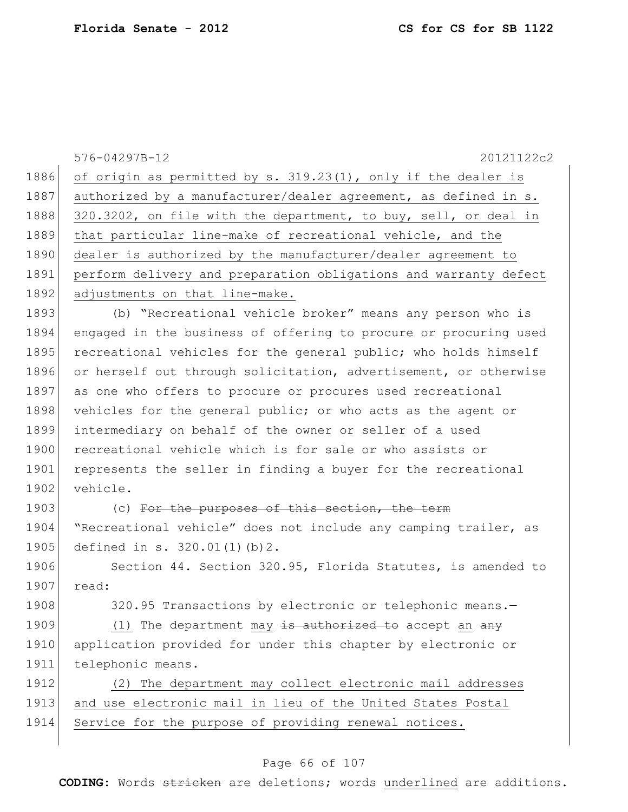576-04297B-12 20121122c2 1886 of origin as permitted by s. 319.23(1), only if the dealer is 1887 authorized by a manufacturer/dealer agreement, as defined in s. 1888 320.3202, on file with the department, to buy, sell, or deal in 1889 that particular line-make of recreational vehicle, and the 1890 dealer is authorized by the manufacturer/dealer agreement to 1891 perform delivery and preparation obligations and warranty defect 1892 adjustments on that line-make. 1893 (b) "Recreational vehicle broker" means any person who is 1894 engaged in the business of offering to procure or procuring used 1895 recreational vehicles for the general public; who holds himself 1896 or herself out through solicitation, advertisement, or otherwise 1897 as one who offers to procure or procures used recreational 1898 vehicles for the general public; or who acts as the agent or 1899 intermediary on behalf of the owner or seller of a used 1900 recreational vehicle which is for sale or who assists or 1901 represents the seller in finding a buyer for the recreational 1902 vehicle. 1903 (c) For the purposes of this section, the term 1904 | "Recreational vehicle" does not include any camping trailer, as 1905 defined in s. 320.01(1)(b)2. 1906 Section 44. Section 320.95, Florida Statutes, is amended to 1907 read: 1908 320.95 Transactions by electronic or telephonic means.-1909 (1) The department  $\frac{may}{t}$  is authorized to accept an any 1910 application provided for under this chapter by electronic or 1911 telephonic means. 1912 (2) The department may collect electronic mail addresses 1913 and use electronic mail in lieu of the United States Postal 1914 Service for the purpose of providing renewal notices.

### Page 66 of 107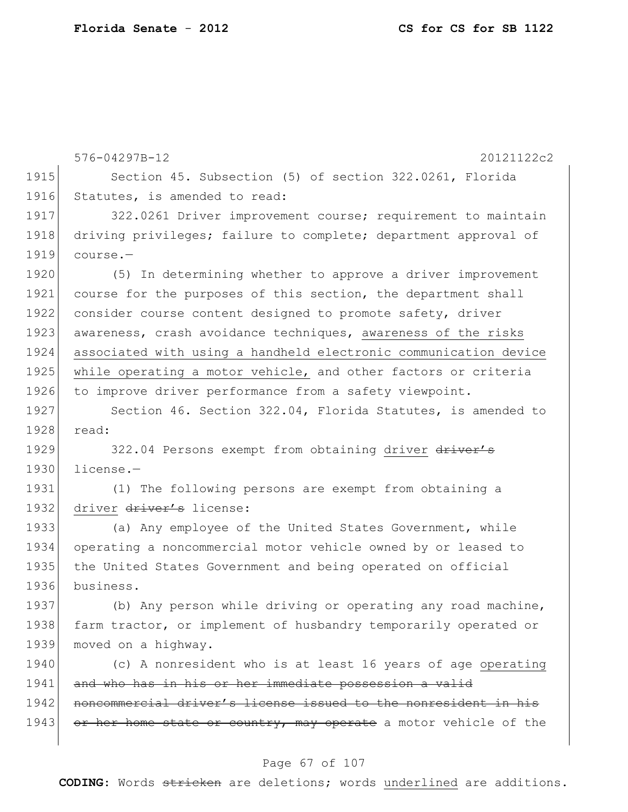|      | 576-04297B-12<br>20121122c2                                      |
|------|------------------------------------------------------------------|
| 1915 | Section 45. Subsection (5) of section 322.0261, Florida          |
| 1916 | Statutes, is amended to read:                                    |
| 1917 | 322.0261 Driver improvement course; requirement to maintain      |
| 1918 | driving privileges; failure to complete; department approval of  |
| 1919 | course.-                                                         |
| 1920 | (5) In determining whether to approve a driver improvement       |
| 1921 | course for the purposes of this section, the department shall    |
| 1922 | consider course content designed to promote safety, driver       |
| 1923 | awareness, crash avoidance techniques, awareness of the risks    |
| 1924 | associated with using a handheld electronic communication device |
| 1925 | while operating a motor vehicle, and other factors or criteria   |
| 1926 | to improve driver performance from a safety viewpoint.           |
| 1927 | Section 46. Section 322.04, Florida Statutes, is amended to      |
| 1928 | read:                                                            |
| 1929 | 322.04 Persons exempt from obtaining driver driver's             |
| 1930 | license.-                                                        |
| 1931 | (1) The following persons are exempt from obtaining a            |
| 1932 | driver driver's license:                                         |
| 1933 | (a) Any employee of the United States Government, while          |
| 1934 | operating a noncommercial motor vehicle owned by or leased to    |
| 1935 | the United States Government and being operated on official      |
| 1936 | business.                                                        |
| 1937 | (b) Any person while driving or operating any road machine,      |
| 1938 | farm tractor, or implement of husbandry temporarily operated or  |
| 1939 | moved on a highway.                                              |
| 1940 | (c) A nonresident who is at least 16 years of age operating      |
| 1941 | and who has in his or her immediate possession a valid           |
| 1942 | noncommercial driver's license issued to the nonresident in his  |
| 1943 | or her home state or country, may operate a motor vehicle of the |
|      |                                                                  |

# Page 67 of 107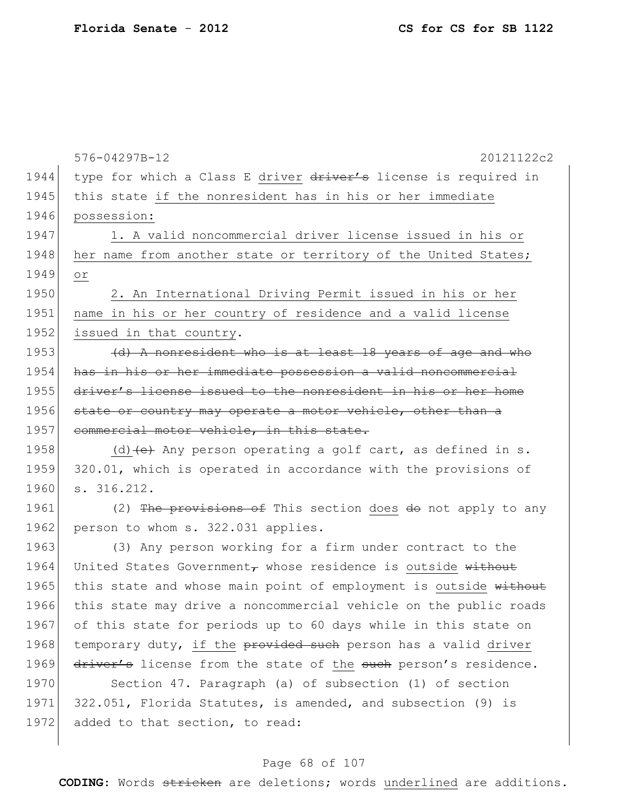|      | 576-04297B-12<br>20121122c2                                                      |
|------|----------------------------------------------------------------------------------|
| 1944 | type for which a Class E driver driver's license is required in                  |
| 1945 | this state if the nonresident has in his or her immediate                        |
| 1946 | possession:                                                                      |
| 1947 | 1. A valid noncommercial driver license issued in his or                         |
| 1948 | her name from another state or territory of the United States;                   |
| 1949 | Оr                                                                               |
| 1950 | 2. An International Driving Permit issued in his or her                          |
| 1951 | name in his or her country of residence and a valid license                      |
| 1952 | issued in that country.                                                          |
| 1953 | (d) A nonresident who is at least 18 years of age and who                        |
| 1954 | has in his or her immediate possession a valid noncommercial                     |
| 1955 | driver's license issued to the nonresident in his or her home                    |
| 1956 | state or country may operate a motor vehicle, other than a                       |
| 1957 | commercial motor vehicle, in this state.                                         |
| 1958 | (d) $\left\{\text{e}\right\}$ Any person operating a golf cart, as defined in s. |
| 1959 | 320.01, which is operated in accordance with the provisions of                   |
| 1960 | s. 316.212.                                                                      |
| 1961 | (2) The provisions of This section does do not apply to any                      |
| 1962 | person to whom s. 322.031 applies.                                               |
| 1963 | (3) Any person working for a firm under contract to the                          |
| 1964 | United States Government, whose residence is outside without                     |
| 1965 | this state and whose main point of employment is outside without                 |
| 1966 | this state may drive a noncommercial vehicle on the public roads                 |
| 1967 | of this state for periods up to 60 days while in this state on                   |
| 1968 | temporary duty, if the provided such person has a valid driver                   |
| 1969 | driver's license from the state of the such person's residence.                  |
| 1970 | Section 47. Paragraph (a) of subsection (1) of section                           |
| 1971 | 322.051, Florida Statutes, is amended, and subsection (9) is                     |
| 1972 | added to that section, to read:                                                  |
|      |                                                                                  |

# Page 68 of 107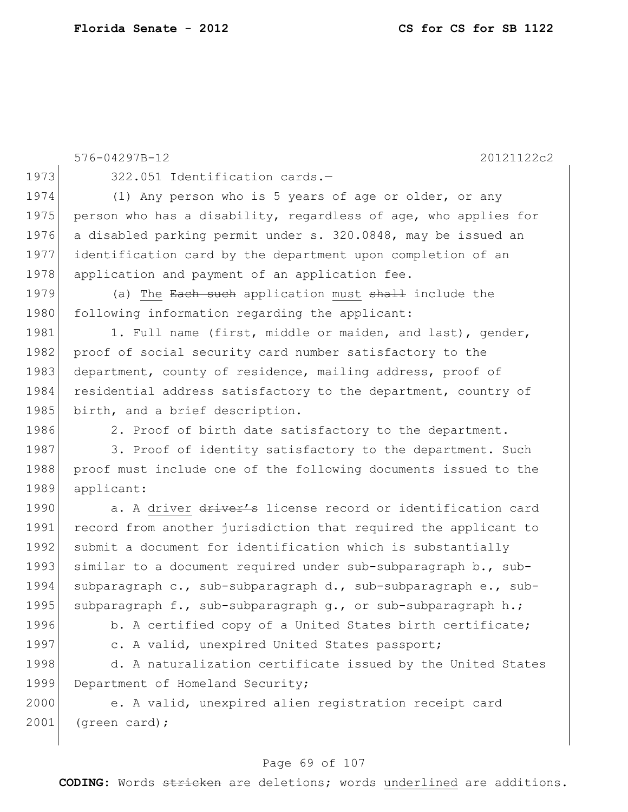|      | 576-04297B-12<br>20121122c2                                     |
|------|-----------------------------------------------------------------|
| 1973 | 322.051 Identification cards.-                                  |
| 1974 | (1) Any person who is 5 years of age or older, or any           |
| 1975 | person who has a disability, regardless of age, who applies for |
| 1976 | a disabled parking permit under s. 320.0848, may be issued an   |
| 1977 | identification card by the department upon completion of an     |
| 1978 | application and payment of an application fee.                  |
| 1979 | (a) The Each such application must shall include the            |
| 1980 | following information regarding the applicant:                  |
| 1981 | 1. Full name (first, middle or maiden, and last), gender,       |
| 1982 | proof of social security card number satisfactory to the        |
| 1983 | department, county of residence, mailing address, proof of      |
| 1984 | residential address satisfactory to the department, country of  |
| 1985 | birth, and a brief description.                                 |
| 1986 | 2. Proof of birth date satisfactory to the department.          |
| 1987 | 3. Proof of identity satisfactory to the department. Such       |
| 1988 | proof must include one of the following documents issued to the |
| 1989 | applicant:                                                      |
| 1990 | a. A driver driver's license record or identification card      |
| 1991 | record from another jurisdiction that required the applicant to |
| 1992 | submit a document for identification which is substantially     |
| 1993 | similar to a document required under sub-subparagraph b., sub-  |
| 1994 | subparagraph c., sub-subparagraph d., sub-subparagraph e., sub- |
| 1995 | subparagraph f., sub-subparagraph g., or sub-subparagraph h.;   |
| 1996 | b. A certified copy of a United States birth certificate;       |
| 1997 | c. A valid, unexpired United States passport;                   |
| 1998 | d. A naturalization certificate issued by the United States     |
| 1999 | Department of Homeland Security;                                |
| 2000 | e. A valid, unexpired alien registration receipt card           |
| 2001 | (green card);                                                   |

# Page 69 of 107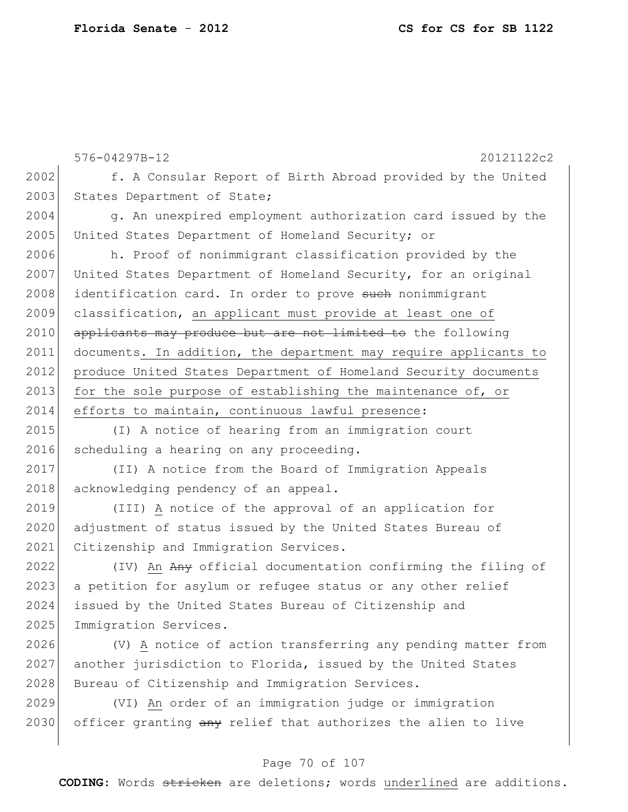|      | 576-04297B-12<br>20121122c2                                      |
|------|------------------------------------------------------------------|
| 2002 | f. A Consular Report of Birth Abroad provided by the United      |
| 2003 | States Department of State;                                      |
| 2004 | g. An unexpired employment authorization card issued by the      |
| 2005 | United States Department of Homeland Security; or                |
| 2006 | h. Proof of nonimmigrant classification provided by the          |
| 2007 | United States Department of Homeland Security, for an original   |
| 2008 | identification card. In order to prove such nonimmigrant         |
| 2009 | classification, an applicant must provide at least one of        |
| 2010 | applicants may produce but are not limited to the following      |
| 2011 | documents. In addition, the department may require applicants to |
| 2012 | produce United States Department of Homeland Security documents  |
| 2013 | for the sole purpose of establishing the maintenance of, or      |
| 2014 | efforts to maintain, continuous lawful presence:                 |
| 2015 | (I) A notice of hearing from an immigration court                |
| 2016 | scheduling a hearing on any proceeding.                          |
| 2017 | (II) A notice from the Board of Immigration Appeals              |
| 2018 | acknowledging pendency of an appeal.                             |
| 2019 | (III) A notice of the approval of an application for             |
| 2020 | adjustment of status issued by the United States Bureau of       |
| 2021 | Citizenship and Immigration Services.                            |
| 2022 | (IV) An Any official documentation confirming the filing of      |
| 2023 | a petition for asylum or refugee status or any other relief      |
| 2024 | issued by the United States Bureau of Citizenship and            |
| 2025 | Immigration Services.                                            |
| 2026 | (V) A notice of action transferring any pending matter from      |
| 2027 | another jurisdiction to Florida, issued by the United States     |
| 2028 | Bureau of Citizenship and Immigration Services.                  |
| 2029 | (VI) An order of an immigration judge or immigration             |
| 2030 | officer granting any relief that authorizes the alien to live    |

### Page 70 of 107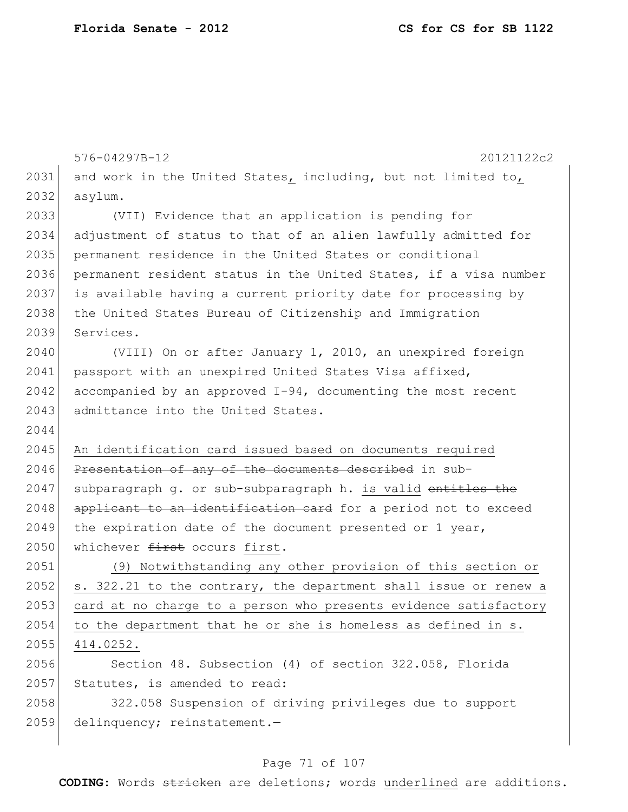|      | 576-04297B-12<br>20121122c2                                      |
|------|------------------------------------------------------------------|
| 2031 | and work in the United States, including, but not limited to,    |
| 2032 | asylum.                                                          |
| 2033 | (VII) Evidence that an application is pending for                |
| 2034 | adjustment of status to that of an alien lawfully admitted for   |
| 2035 | permanent residence in the United States or conditional          |
| 2036 | permanent resident status in the United States, if a visa number |
| 2037 | is available having a current priority date for processing by    |
| 2038 | the United States Bureau of Citizenship and Immigration          |
| 2039 | Services.                                                        |
| 2040 | (VIII) On or after January 1, 2010, an unexpired foreign         |
| 2041 | passport with an unexpired United States Visa affixed,           |
| 2042 | accompanied by an approved $I-94$ , documenting the most recent  |
| 2043 | admittance into the United States.                               |
| 2044 |                                                                  |
| 2045 | An identification card issued based on documents required        |
| 2046 | Presentation of any of the documents described in sub-           |
| 2047 | subparagraph q. or sub-subparagraph h. is valid entitles the     |
| 2048 | applicant to an identification card for a period not to exceed   |
| 2049 | the expiration date of the document presented or 1 year,         |
| 2050 | whichever first occurs first.                                    |
| 2051 | (9) Notwithstanding any other provision of this section or       |
| 2052 | s. 322.21 to the contrary, the department shall issue or renew a |
| 2053 | card at no charge to a person who presents evidence satisfactory |
| 2054 | to the department that he or she is homeless as defined in s.    |
| 2055 | 414.0252.                                                        |
| 2056 | Section 48. Subsection (4) of section 322.058, Florida           |
| 2057 | Statutes, is amended to read:                                    |
| 2058 | 322.058 Suspension of driving privileges due to support          |
| 2059 | delinquency; reinstatement.-                                     |
|      |                                                                  |

# Page 71 of 107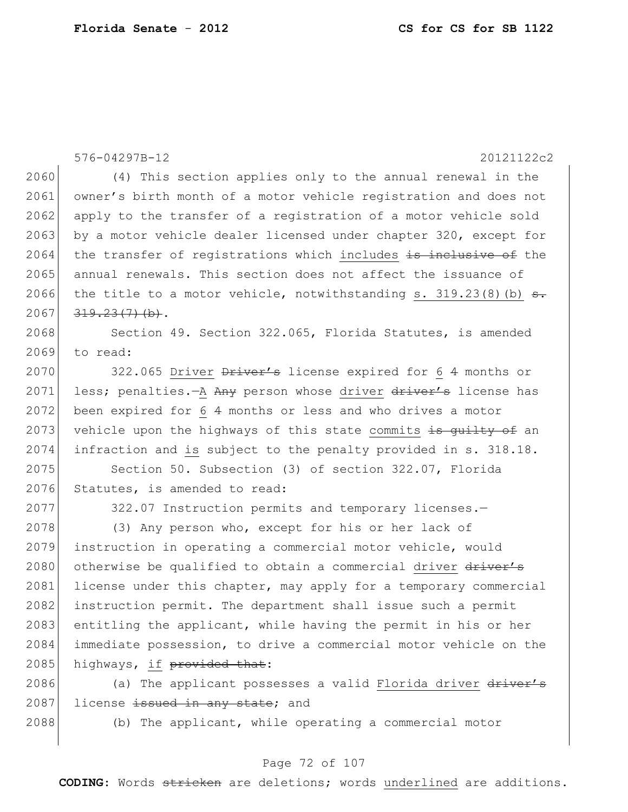$\overline{\phantom{a}}$ 

|      | 576-04297B-12<br>20121122c2                                             |
|------|-------------------------------------------------------------------------|
| 2060 | (4) This section applies only to the annual renewal in the              |
| 2061 | owner's birth month of a motor vehicle registration and does not        |
| 2062 | apply to the transfer of a registration of a motor vehicle sold         |
| 2063 | by a motor vehicle dealer licensed under chapter 320, except for        |
| 2064 | the transfer of registrations which includes is inclusive of the        |
| 2065 | annual renewals. This section does not affect the issuance of           |
| 2066 | the title to a motor vehicle, notwithstanding s. $319.23(8)(b)$ s.      |
| 2067 | $319.23(7)$ (b).                                                        |
| 2068 | Section 49. Section 322.065, Florida Statutes, is amended               |
| 2069 | to read:                                                                |
| 2070 | 322.065 Driver $\frac{D}{D}$ Driver's license expired for 6 4 months or |
| 2071 | less; penalties.-A Any person whose driver driver's license has         |
| 2072 | been expired for 6 4 months or less and who drives a motor              |
| 2073 | vehicle upon the highways of this state commits is guilty of an         |
| 2074 | infraction and is subject to the penalty provided in s. 318.18.         |
| 2075 | Section 50. Subsection (3) of section 322.07, Florida                   |
| 2076 | Statutes, is amended to read:                                           |
| 2077 | 322.07 Instruction permits and temporary licenses.-                     |
| 2078 | (3) Any person who, except for his or her lack of                       |
| 2079 | instruction in operating a commercial motor vehicle, would              |
| 2080 | otherwise be qualified to obtain a commercial driver driver's           |
| 2081 | license under this chapter, may apply for a temporary commercial        |
| 2082 | instruction permit. The department shall issue such a permit            |
| 2083 | entitling the applicant, while having the permit in his or her          |
| 2084 | immediate possession, to drive a commercial motor vehicle on the        |
| 2085 | highways, if provided that:                                             |
| 2086 | (a) The applicant possesses a valid Florida driver driver's             |
| 2087 | license issued in any state; and                                        |
| 2088 | (b) The applicant, while operating a commercial motor                   |

# Page 72 of 107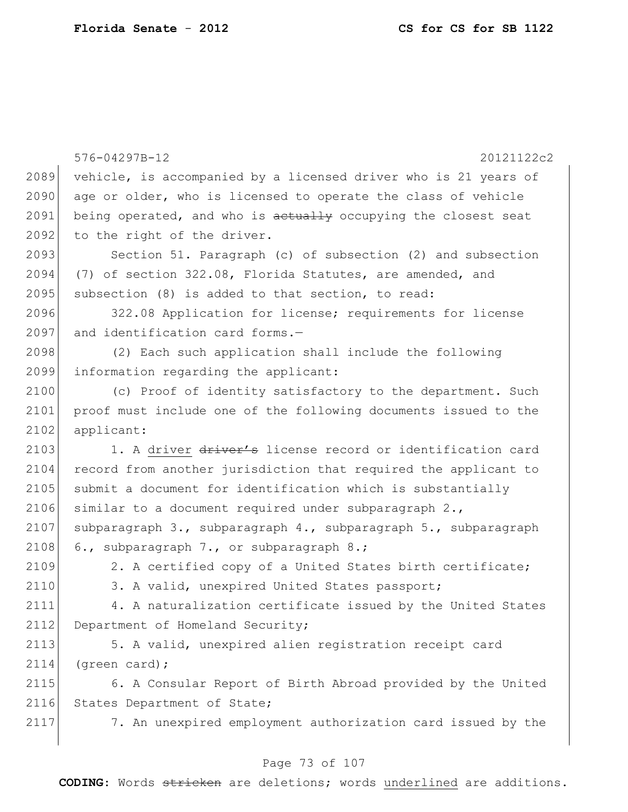|      | 576-04297B-12<br>20121122c2                                                   |
|------|-------------------------------------------------------------------------------|
| 2089 | vehicle, is accompanied by a licensed driver who is 21 years of               |
| 2090 | age or older, who is licensed to operate the class of vehicle                 |
| 2091 | being operated, and who is aetually occupying the closest seat                |
| 2092 | to the right of the driver.                                                   |
| 2093 | Section 51. Paragraph (c) of subsection (2) and subsection                    |
| 2094 | (7) of section 322.08, Florida Statutes, are amended, and                     |
| 2095 | subsection (8) is added to that section, to read:                             |
| 2096 | 322.08 Application for license; requirements for license                      |
| 2097 | and identification card forms.-                                               |
| 2098 | (2) Each such application shall include the following                         |
| 2099 | information regarding the applicant:                                          |
| 2100 |                                                                               |
| 2101 | (c) Proof of identity satisfactory to the department. Such                    |
| 2102 | proof must include one of the following documents issued to the<br>applicant: |
| 2103 |                                                                               |
|      | 1. A driver driver's license record or identification card                    |
| 2104 | record from another jurisdiction that required the applicant to               |
| 2105 | submit a document for identification which is substantially                   |
| 2106 | similar to a document required under subparagraph 2.,                         |
| 2107 | subparagraph 3., subparagraph 4., subparagraph 5., subparagraph               |
| 2108 | 6., subparagraph 7., or subparagraph 8.;                                      |
| 2109 | 2. A certified copy of a United States birth certificate;                     |
| 2110 | 3. A valid, unexpired United States passport;                                 |
| 2111 | 4. A naturalization certificate issued by the United States                   |
| 2112 | Department of Homeland Security;                                              |
| 2113 | 5. A valid, unexpired alien registration receipt card                         |
| 2114 | $(green card)$ ;                                                              |
| 2115 | 6. A Consular Report of Birth Abroad provided by the United                   |
| 2116 | States Department of State;                                                   |
| 2117 | 7. An unexpired employment authorization card issued by the                   |
|      |                                                                               |

# Page 73 of 107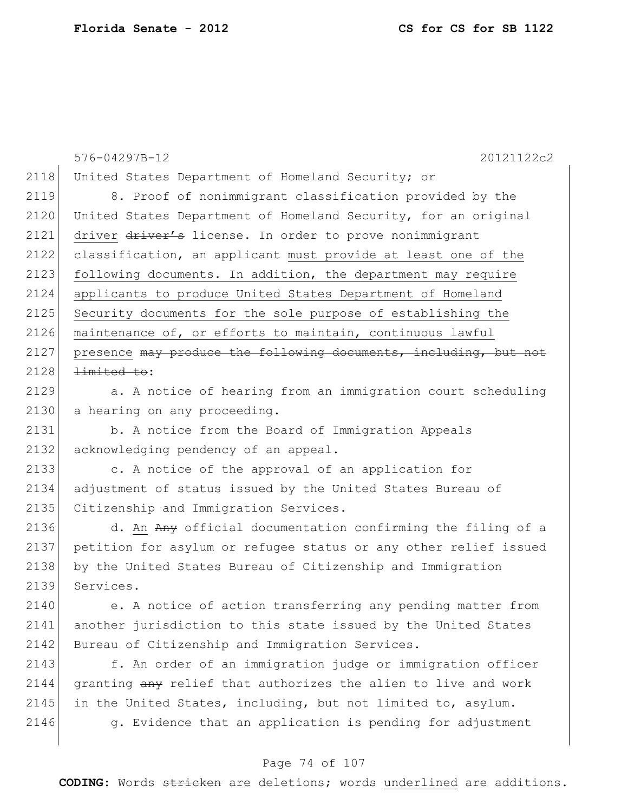|      | 576-04297B-12<br>20121122c2                                      |
|------|------------------------------------------------------------------|
| 2118 | United States Department of Homeland Security; or                |
| 2119 | 8. Proof of nonimmigrant classification provided by the          |
| 2120 | United States Department of Homeland Security, for an original   |
| 2121 | driver driver's license. In order to prove nonimmigrant          |
| 2122 | classification, an applicant must provide at least one of the    |
| 2123 | following documents. In addition, the department may require     |
| 2124 | applicants to produce United States Department of Homeland       |
| 2125 | Security documents for the sole purpose of establishing the      |
| 2126 | maintenance of, or efforts to maintain, continuous lawful        |
| 2127 | presence may produce the following documents, including, but not |
| 2128 | <del>limited to</del> :                                          |
| 2129 | a. A notice of hearing from an immigration court scheduling      |
| 2130 | a hearing on any proceeding.                                     |
| 2131 | b. A notice from the Board of Immigration Appeals                |
| 2132 | acknowledging pendency of an appeal.                             |
| 2133 | c. A notice of the approval of an application for                |
| 2134 | adjustment of status issued by the United States Bureau of       |
| 2135 | Citizenship and Immigration Services.                            |
| 2136 | d. An Any official documentation confirming the filing of a      |
| 2137 | petition for asylum or refugee status or any other relief issued |
| 2138 | by the United States Bureau of Citizenship and Immigration       |
| 2139 | Services.                                                        |
| 2140 | e. A notice of action transferring any pending matter from       |
| 2141 | another jurisdiction to this state issued by the United States   |
| 2142 | Bureau of Citizenship and Immigration Services.                  |
| 2143 | f. An order of an immigration judge or immigration officer       |
| 2144 | granting any relief that authorizes the alien to live and work   |
| 2145 | in the United States, including, but not limited to, asylum.     |
| 2146 | g. Evidence that an application is pending for adjustment        |

#### Page 74 of 107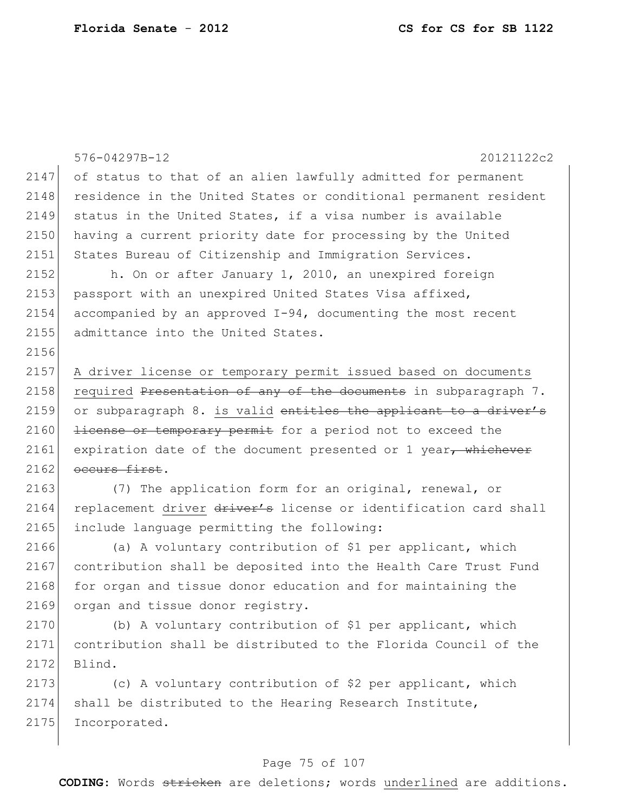|      | 20121122c2<br>576-04297B-12                                       |
|------|-------------------------------------------------------------------|
| 2147 | of status to that of an alien lawfully admitted for permanent     |
| 2148 | residence in the United States or conditional permanent resident  |
| 2149 | status in the United States, if a visa number is available        |
| 2150 | having a current priority date for processing by the United       |
| 2151 | States Bureau of Citizenship and Immigration Services.            |
| 2152 | h. On or after January 1, 2010, an unexpired foreign              |
| 2153 | passport with an unexpired United States Visa affixed,            |
| 2154 | accompanied by an approved I-94, documenting the most recent      |
| 2155 | admittance into the United States.                                |
| 2156 |                                                                   |
| 2157 | A driver license or temporary permit issued based on documents    |
| 2158 | required Presentation of any of the documents in subparagraph 7.  |
| 2159 | or subparagraph 8. is valid entitles the applicant to a driver's  |
| 2160 | <i>license or temporary permit</i> for a period not to exceed the |
| 2161 | expiration date of the document presented or 1 year, whichever    |
| 2162 | occurs first.                                                     |
| 2163 | (7) The application form for an original, renewal, or             |
| 2164 | replacement driver driver's license or identification card shall  |
| 2165 | include language permitting the following:                        |
| 2166 | (a) A voluntary contribution of \$1 per applicant, which          |
| 2167 | contribution shall be deposited into the Health Care Trust Fund   |
| 2168 | for organ and tissue donor education and for maintaining the      |
| 2169 | organ and tissue donor registry.                                  |
| 2170 | (b) A voluntary contribution of \$1 per applicant, which          |
| 2171 | contribution shall be distributed to the Florida Council of the   |
| 2172 | Blind.                                                            |
| 2173 | (c) A voluntary contribution of \$2 per applicant, which          |
| 2174 | shall be distributed to the Hearing Research Institute,           |

2175 Incorporated.

# Page 75 of 107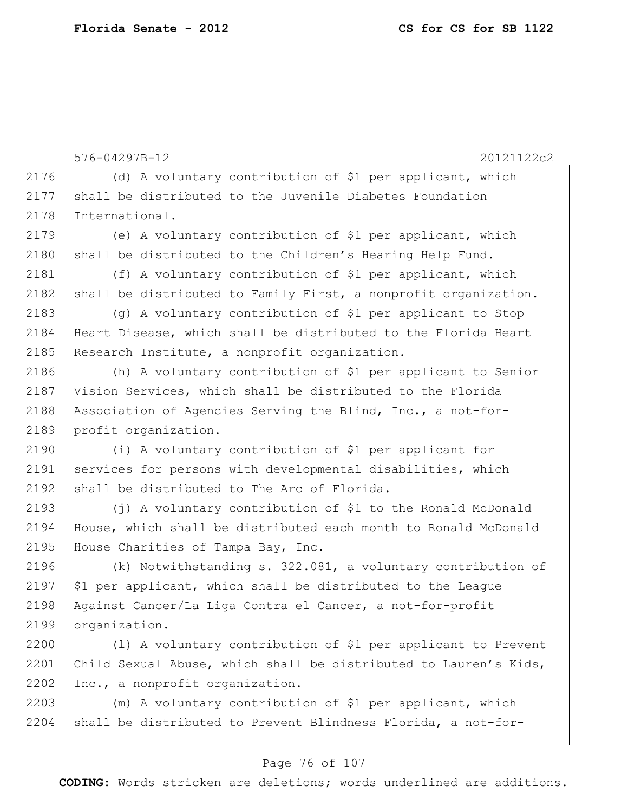|      | 576-04297B-12<br>20121122c2                                      |
|------|------------------------------------------------------------------|
| 2176 | (d) A voluntary contribution of \$1 per applicant, which         |
| 2177 | shall be distributed to the Juvenile Diabetes Foundation         |
| 2178 | International.                                                   |
| 2179 | (e) A voluntary contribution of \$1 per applicant, which         |
| 2180 | shall be distributed to the Children's Hearing Help Fund.        |
| 2181 | (f) A voluntary contribution of \$1 per applicant, which         |
| 2182 | shall be distributed to Family First, a nonprofit organization.  |
| 2183 | (g) A voluntary contribution of \$1 per applicant to Stop        |
| 2184 | Heart Disease, which shall be distributed to the Florida Heart   |
| 2185 | Research Institute, a nonprofit organization.                    |
| 2186 | (h) A voluntary contribution of \$1 per applicant to Senior      |
| 2187 | Vision Services, which shall be distributed to the Florida       |
| 2188 | Association of Agencies Serving the Blind, Inc., a not-for-      |
| 2189 | profit organization.                                             |
| 2190 | (i) A voluntary contribution of \$1 per applicant for            |
| 2191 | services for persons with developmental disabilities, which      |
| 2192 | shall be distributed to The Arc of Florida.                      |
| 2193 | (j) A voluntary contribution of \$1 to the Ronald McDonald       |
| 2194 | House, which shall be distributed each month to Ronald McDonald  |
| 2195 | House Charities of Tampa Bay, Inc.                               |
| 2196 | (k) Notwithstanding s. 322.081, a voluntary contribution of      |
| 2197 | \$1 per applicant, which shall be distributed to the League      |
| 2198 | Against Cancer/La Liga Contra el Cancer, a not-for-profit        |
| 2199 | organization.                                                    |
| 2200 | (1) A voluntary contribution of \$1 per applicant to Prevent     |
| 2201 | Child Sexual Abuse, which shall be distributed to Lauren's Kids, |
| 2202 | Inc., a nonprofit organization.                                  |

2203 (m) A voluntary contribution of \$1 per applicant, which  $2204$  shall be distributed to Prevent Blindness Florida, a not-for-

#### Page 76 of 107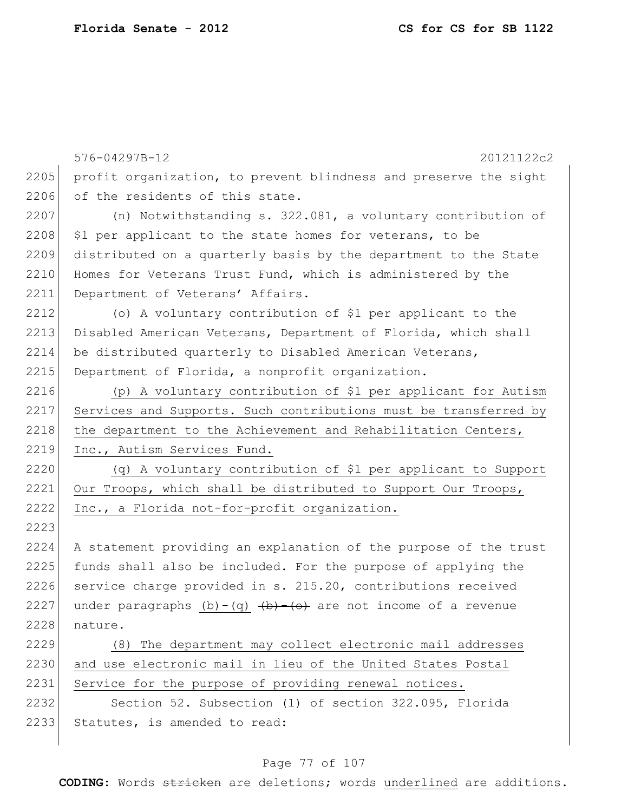|      | 576-04297B-12<br>20121122c2                                          |
|------|----------------------------------------------------------------------|
| 2205 | profit organization, to prevent blindness and preserve the sight     |
| 2206 | of the residents of this state.                                      |
| 2207 | (n) Notwithstanding s. $322.081$ , a voluntary contribution of       |
| 2208 | \$1 per applicant to the state homes for veterans, to be             |
| 2209 | distributed on a quarterly basis by the department to the State      |
| 2210 | Homes for Veterans Trust Fund, which is administered by the          |
| 2211 | Department of Veterans' Affairs.                                     |
| 2212 | (o) A voluntary contribution of \$1 per applicant to the             |
| 2213 | Disabled American Veterans, Department of Florida, which shall       |
| 2214 | be distributed quarterly to Disabled American Veterans,              |
| 2215 | Department of Florida, a nonprofit organization.                     |
| 2216 | (p) A voluntary contribution of \$1 per applicant for Autism         |
| 2217 | Services and Supports. Such contributions must be transferred by     |
| 2218 | the department to the Achievement and Rehabilitation Centers,        |
| 2219 | Inc., Autism Services Fund.                                          |
| 2220 | (q) A voluntary contribution of \$1 per applicant to Support         |
| 2221 | Our Troops, which shall be distributed to Support Our Troops,        |
| 2222 | Inc., a Florida not-for-profit organization.                         |
| 2223 |                                                                      |
| 2224 | A statement providing an explanation of the purpose of the trust     |
| 2225 | funds shall also be included. For the purpose of applying the        |
| 2226 | service charge provided in s. 215.20, contributions received         |
| 2227 | under paragraphs $(b) - (q)$ $(b) - (b)$ are not income of a revenue |
| 2228 | nature.                                                              |
| 2229 | (8) The department may collect electronic mail addresses             |
| 2230 | and use electronic mail in lieu of the United States Postal          |
| 2231 | Service for the purpose of providing renewal notices.                |
| 2232 | Section 52. Subsection (1) of section 322.095, Florida               |
| 2233 | Statutes, is amended to read:                                        |
|      |                                                                      |

# Page 77 of 107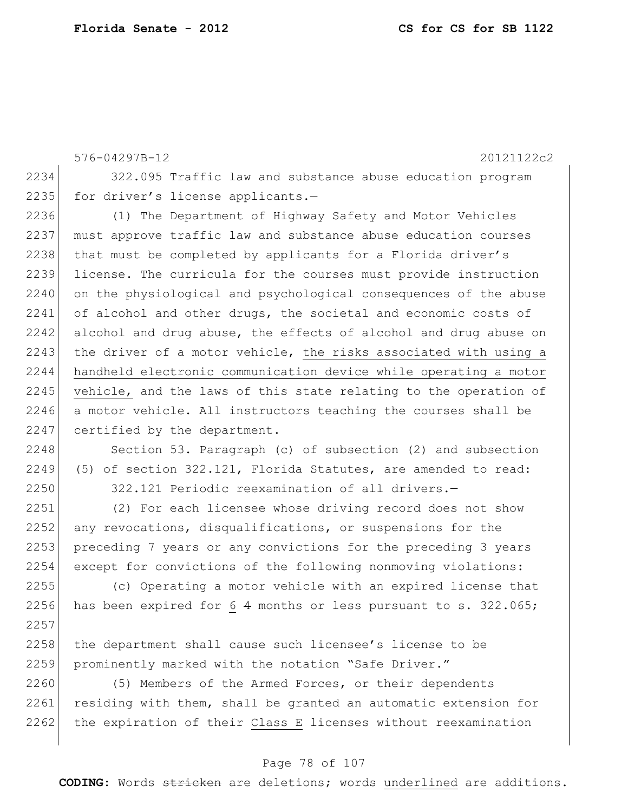576-04297B-12 20121122c2 2234 322.095 Traffic law and substance abuse education program 2235 for driver's license applicants.-2236 (1) The Department of Highway Safety and Motor Vehicles 2237 must approve traffic law and substance abuse education courses 2238 that must be completed by applicants for a Florida driver's 2239 license. The curricula for the courses must provide instruction 2240 on the physiological and psychological consequences of the abuse 2241 of alcohol and other drugs, the societal and economic costs of 2242 alcohol and drug abuse, the effects of alcohol and drug abuse on 2243 the driver of a motor vehicle, the risks associated with using a 2244 handheld electronic communication device while operating a motor 2245 vehicle, and the laws of this state relating to the operation of 2246 a motor vehicle. All instructors teaching the courses shall be 2247 certified by the department.

2248 Section 53. Paragraph (c) of subsection (2) and subsection 2249 (5) of section 322.121, Florida Statutes, are amended to read: 2250 322.121 Periodic reexamination of all drivers.—

2251 (2) For each licensee whose driving record does not show 2252 any revocations, disqualifications, or suspensions for the 2253 preceding 7 years or any convictions for the preceding 3 years 2254 except for convictions of the following nonmoving violations:

2255 (c) Operating a motor vehicle with an expired license that 2256 has been expired for 6 4 months or less pursuant to s. 322.065; 2257

2258 the department shall cause such licensee's license to be 2259 prominently marked with the notation "Safe Driver."

2260 (5) Members of the Armed Forces, or their dependents 2261 residing with them, shall be granted an automatic extension for 2262 the expiration of their Class E licenses without reexamination

#### Page 78 of 107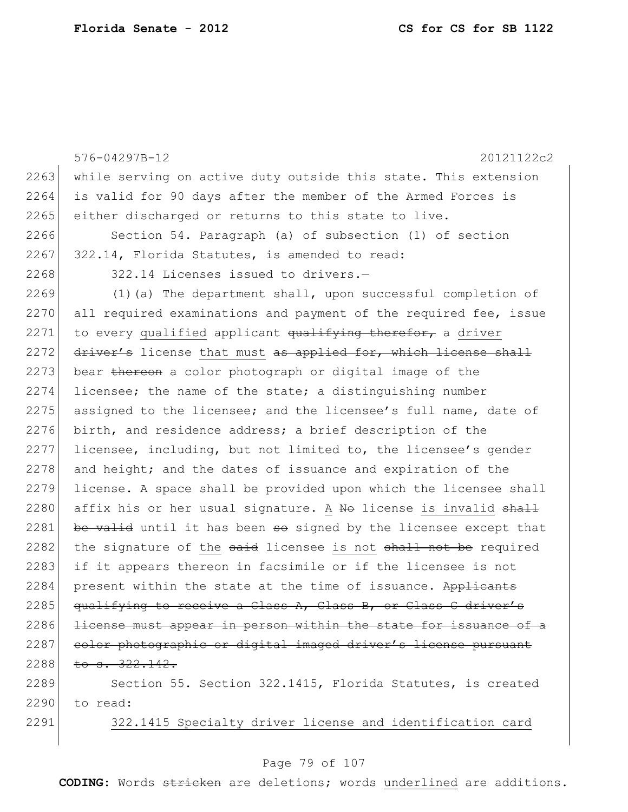576-04297B-12 20121122c2 2263 while serving on active duty outside this state. This extension 2264 is valid for 90 days after the member of the Armed Forces is 2265 either discharged or returns to this state to live. 2266 Section 54. Paragraph (a) of subsection (1) of section  $2267$  322.14, Florida Statutes, is amended to read: 2268 322.14 Licenses issued to drivers.- $2269$  (1)(a) The department shall, upon successful completion of 2270 all required examinations and payment of the required fee, issue 2271 to every qualified applicant  $qualitying$  therefor, a driver  $2272$  driver's license that must as applied for, which license shall 2273 bear thereon a color photograph or digital image of the 2274 licensee; the name of the state; a distinguishing number 2275 assigned to the licensee; and the licensee's full name, date of 2276 birth, and residence address; a brief description of the 2277 licensee, including, but not limited to, the licensee's gender 2278 and height; and the dates of issuance and expiration of the 2279 license. A space shall be provided upon which the licensee shall 2280 affix his or her usual signature. A No license is invalid shall 2281 be valid until it has been  $\theta$  signed by the licensee except that 2282 the signature of the  $s$ aid licensee is not  $s$ hall not be required 2283 if it appears thereon in facsimile or if the licensee is not 2284 present within the state at the time of issuance. Applicants 2285 qualifying to receive a Class A, Class B, or Class C driver's 2286 <del>license must appear in person within the state for issuance of a</del> 2287 color photographic or digital imaged driver's license pursuant  $2288$  to s.  $322.142$ . 2289 Section 55. Section 322.1415, Florida Statutes, is created

2290 to read:

2291 322.1415 Specialty driver license and identification card

#### Page 79 of 107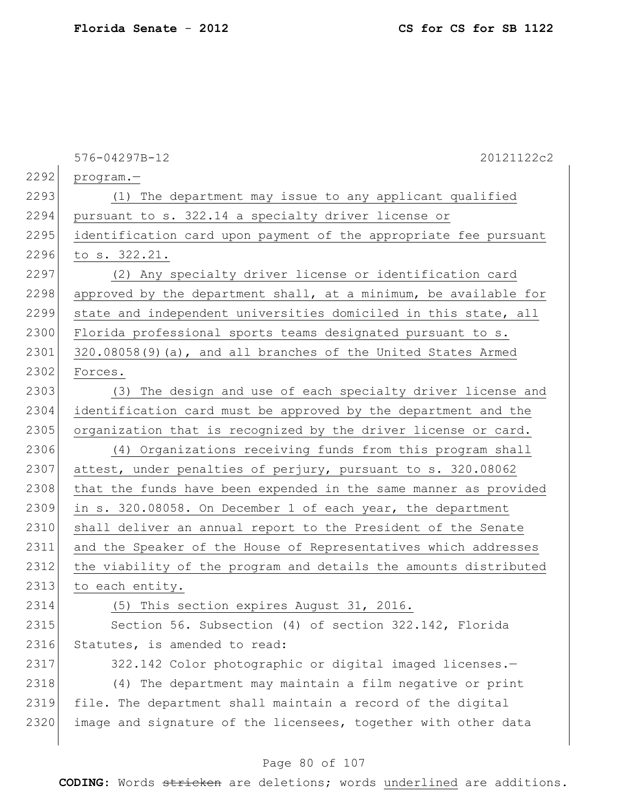|      | 20121122c2<br>576-04297B-12                                      |
|------|------------------------------------------------------------------|
| 2292 | $program. -$                                                     |
| 2293 | (1) The department may issue to any applicant qualified          |
| 2294 | pursuant to s. 322.14 a specialty driver license or              |
| 2295 | identification card upon payment of the appropriate fee pursuant |
| 2296 | to s. 322.21.                                                    |
| 2297 | (2) Any specialty driver license or identification card          |
| 2298 | approved by the department shall, at a minimum, be available for |
| 2299 | state and independent universities domiciled in this state, all  |
| 2300 | Florida professional sports teams designated pursuant to s.      |
| 2301 | $320.08058(9)$ (a), and all branches of the United States Armed  |
| 2302 | Forces.                                                          |
| 2303 | The design and use of each specialty driver license and<br>(3)   |
| 2304 | identification card must be approved by the department and the   |
| 2305 | organization that is recognized by the driver license or card.   |
| 2306 | (4) Organizations receiving funds from this program shall        |
| 2307 | attest, under penalties of perjury, pursuant to s. 320.08062     |
| 2308 | that the funds have been expended in the same manner as provided |
| 2309 | in s. 320.08058. On December 1 of each year, the department      |
| 2310 | shall deliver an annual report to the President of the Senate    |
| 2311 | and the Speaker of the House of Representatives which addresses  |
| 2312 | the viability of the program and details the amounts distributed |
| 2313 | to each entity.                                                  |
| 2314 | (5) This section expires August 31, 2016.                        |
| 2315 | Section 56. Subsection (4) of section 322.142, Florida           |
| 2316 | Statutes, is amended to read:                                    |
| 2317 | 322.142 Color photographic or digital imaged licenses.-          |
| 2318 | (4) The department may maintain a film negative or print         |
| 2319 | file. The department shall maintain a record of the digital      |
| 2320 | image and signature of the licensees, together with other data   |
|      |                                                                  |

# Page 80 of 107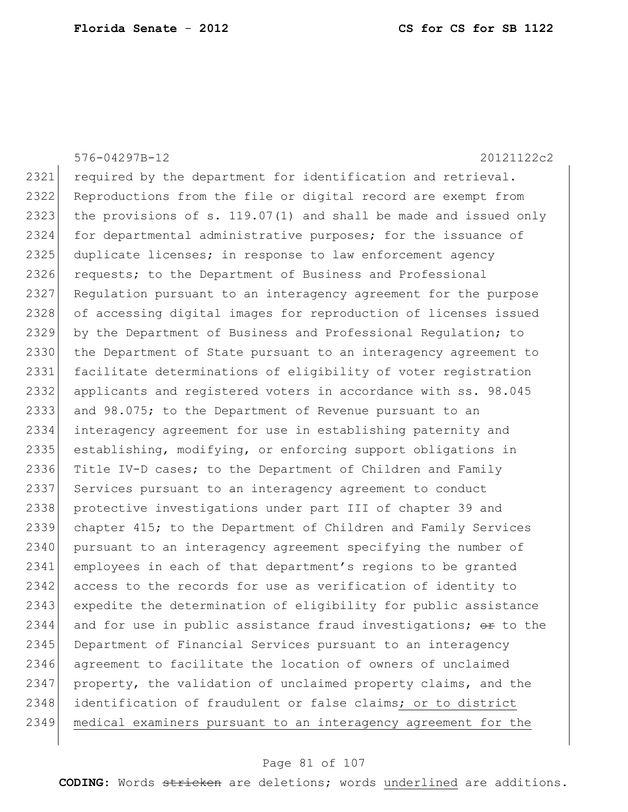576-04297B-12 20121122c2 2321 required by the department for identification and retrieval. 2322 Reproductions from the file or digital record are exempt from 2323 the provisions of s.  $119.07(1)$  and shall be made and issued only 2324 for departmental administrative purposes; for the issuance of 2325 duplicate licenses; in response to law enforcement agency 2326 requests; to the Department of Business and Professional 2327 Regulation pursuant to an interagency agreement for the purpose 2328 of accessing digital images for reproduction of licenses issued 2329 by the Department of Business and Professional Regulation; to 2330 the Department of State pursuant to an interagency agreement to 2331 facilitate determinations of eligibility of voter registration 2332 applicants and registered voters in accordance with ss. 98.045 2333 and 98.075; to the Department of Revenue pursuant to an 2334 interagency agreement for use in establishing paternity and 2335 establishing, modifying, or enforcing support obligations in 2336 Title IV-D cases; to the Department of Children and Family 2337 Services pursuant to an interagency agreement to conduct 2338 protective investigations under part III of chapter 39 and 2339 chapter 415; to the Department of Children and Family Services 2340 pursuant to an interagency agreement specifying the number of 2341 employees in each of that department's regions to be granted 2342 access to the records for use as verification of identity to 2343 expedite the determination of eligibility for public assistance 2344 and for use in public assistance fraud investigations;  $\Theta$ r to the 2345 Department of Financial Services pursuant to an interagency 2346 agreement to facilitate the location of owners of unclaimed 2347 property, the validation of unclaimed property claims, and the 2348 identification of fraudulent or false claims; or to district 2349 medical examiners pursuant to an interagency agreement for the

#### Page 81 of 107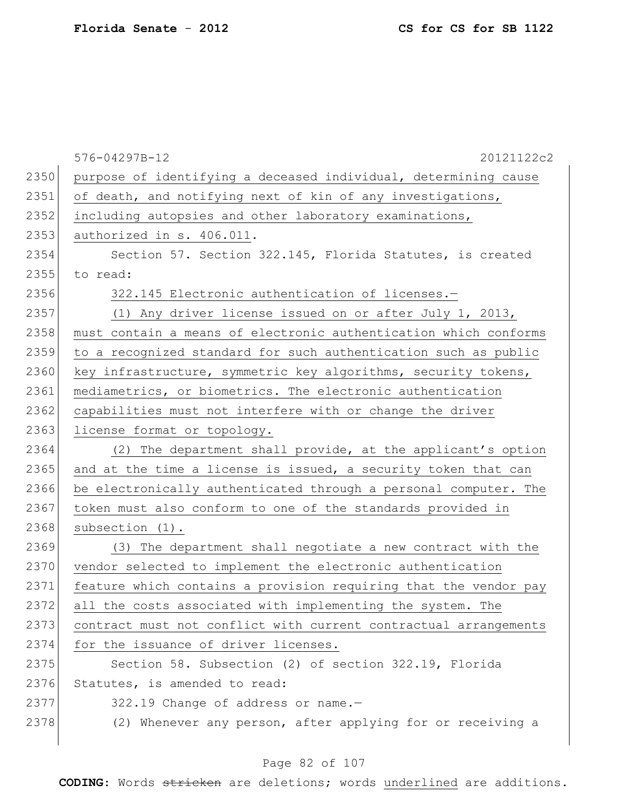|      | 576-04297B-12<br>20121122c2                                      |
|------|------------------------------------------------------------------|
| 2350 | purpose of identifying a deceased individual, determining cause  |
| 2351 | of death, and notifying next of kin of any investigations,       |
| 2352 | including autopsies and other laboratory examinations,           |
| 2353 | authorized in s. 406.011.                                        |
| 2354 | Section 57. Section 322.145, Florida Statutes, is created        |
| 2355 | to read:                                                         |
| 2356 | 322.145 Electronic authentication of licenses.-                  |
| 2357 | (1) Any driver license issued on or after July 1, 2013,          |
| 2358 | must contain a means of electronic authentication which conforms |
| 2359 | to a recognized standard for such authentication such as public  |
| 2360 | key infrastructure, symmetric key algorithms, security tokens,   |
| 2361 | mediametrics, or biometrics. The electronic authentication       |
| 2362 | capabilities must not interfere with or change the driver        |
| 2363 | license format or topology.                                      |
| 2364 | (2) The department shall provide, at the applicant's option      |
| 2365 | and at the time a license is issued, a security token that can   |
| 2366 | be electronically authenticated through a personal computer. The |
| 2367 | token must also conform to one of the standards provided in      |
| 2368 | subsection (1).                                                  |
| 2369 | (3) The department shall negotiate a new contract with the       |
| 2370 | vendor selected to implement the electronic authentication       |
| 2371 | feature which contains a provision requiring that the vendor pay |
| 2372 | all the costs associated with implementing the system. The       |
| 2373 | contract must not conflict with current contractual arrangements |
| 2374 | for the issuance of driver licenses.                             |
| 2375 | Section 58. Subsection (2) of section 322.19, Florida            |
| 2376 | Statutes, is amended to read:                                    |
| 2377 | 322.19 Change of address or name.-                               |
| 2378 | (2) Whenever any person, after applying for or receiving a       |

# Page 82 of 107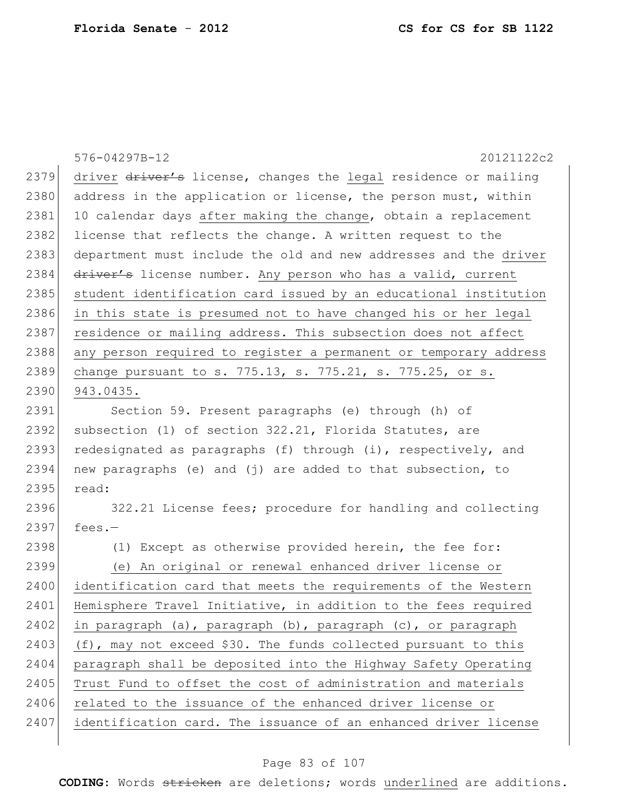|      | 576-04297B-12<br>20121122c2                                           |
|------|-----------------------------------------------------------------------|
| 2379 | driver driver's license, changes the legal residence or mailing       |
| 2380 | address in the application or license, the person must, within        |
| 2381 | 10 calendar days after making the change, obtain a replacement        |
| 2382 | license that reflects the change. A written request to the            |
| 2383 | department must include the old and new addresses and the driver      |
| 2384 | driver's license number. Any person who has a valid, current          |
| 2385 | student identification card issued by an educational institution      |
| 2386 | in this state is presumed not to have changed his or her legal        |
| 2387 | residence or mailing address. This subsection does not affect         |
| 2388 | any person required to register a permanent or temporary address      |
| 2389 | change pursuant to s. 775.13, s. 775.21, s. 775.25, or s.             |
| 2390 | 943.0435.                                                             |
| 2391 | Section 59. Present paragraphs (e) through (h) of                     |
| 2392 | subsection (1) of section 322.21, Florida Statutes, are               |
| 2393 | redesignated as paragraphs (f) through (i), respectively, and         |
| 2394 | new paragraphs (e) and (j) are added to that subsection, to           |
| 2395 | read:                                                                 |
| 2396 | 322.21 License fees; procedure for handling and collecting            |
| 2397 | fees. $-$                                                             |
| 2398 | (1) Except as otherwise provided herein, the fee for:                 |
| 2399 | (e) An original or renewal enhanced driver license or                 |
| 2400 | identification card that meets the requirements of the Western        |
| 2401 | Hemisphere Travel Initiative, in addition to the fees required        |
| 2402 | in paragraph $(a)$ , paragraph $(b)$ , paragraph $(c)$ , or paragraph |
| 2403 | (f), may not exceed \$30. The funds collected pursuant to this        |
| 2404 | paragraph shall be deposited into the Highway Safety Operating        |
| 2405 | Trust Fund to offset the cost of administration and materials         |
| 2406 | related to the issuance of the enhanced driver license or             |
| 2407 | identification card. The issuance of an enhanced driver license       |
|      |                                                                       |

# Page 83 of 107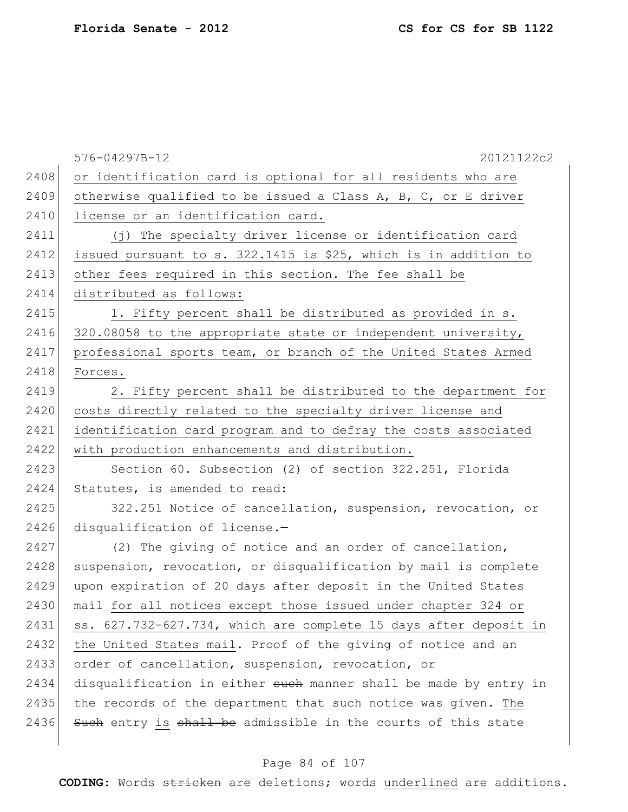|      | 576-04297B-12<br>20121122c2                                      |
|------|------------------------------------------------------------------|
| 2408 | or identification card is optional for all residents who are     |
| 2409 | otherwise qualified to be issued a Class A, B, C, or E driver    |
| 2410 | license or an identification card.                               |
| 2411 | (j) The specialty driver license or identification card          |
| 2412 | issued pursuant to s. 322.1415 is \$25, which is in addition to  |
| 2413 | other fees required in this section. The fee shall be            |
| 2414 | distributed as follows:                                          |
| 2415 | 1. Fifty percent shall be distributed as provided in s.          |
| 2416 | 320.08058 to the appropriate state or independent university,    |
| 2417 | professional sports team, or branch of the United States Armed   |
| 2418 | Forces.                                                          |
| 2419 | 2. Fifty percent shall be distributed to the department for      |
| 2420 | costs directly related to the specialty driver license and       |
| 2421 | identification card program and to defray the costs associated   |
| 2422 | with production enhancements and distribution.                   |
| 2423 | Section 60. Subsection (2) of section 322.251, Florida           |
| 2424 | Statutes, is amended to read:                                    |
| 2425 | 322.251 Notice of cancellation, suspension, revocation, or       |
| 2426 | disqualification of license.-                                    |
| 2427 | (2) The giving of notice and an order of cancellation,           |
| 2428 | suspension, revocation, or disqualification by mail is complete  |
| 2429 | upon expiration of 20 days after deposit in the United States    |
| 2430 | mail for all notices except those issued under chapter 324 or    |
| 2431 | ss. 627.732-627.734, which are complete 15 days after deposit in |
| 2432 | the United States mail. Proof of the giving of notice and an     |
| 2433 | order of cancellation, suspension, revocation, or                |
| 2434 | disqualification in either such manner shall be made by entry in |
| 2435 | the records of the department that such notice was given. The    |
| 2436 | Such entry is shall be admissible in the courts of this state    |
|      |                                                                  |

# Page 84 of 107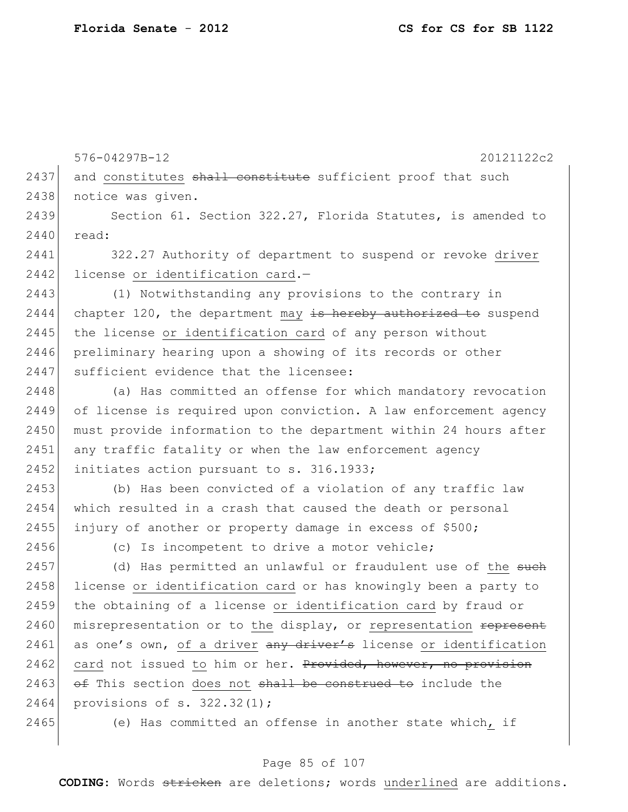|      | 576-04297B-12<br>20121122c2                                      |
|------|------------------------------------------------------------------|
| 2437 | and constitutes shall constitute sufficient proof that such      |
| 2438 | notice was given.                                                |
| 2439 | Section 61. Section 322.27, Florida Statutes, is amended to      |
| 2440 | read:                                                            |
| 2441 | 322.27 Authority of department to suspend or revoke driver       |
| 2442 | license or identification card.-                                 |
| 2443 | (1) Notwithstanding any provisions to the contrary in            |
| 2444 | chapter 120, the department may is hereby authorized to suspend  |
| 2445 | the license or identification card of any person without         |
| 2446 | preliminary hearing upon a showing of its records or other       |
| 2447 | sufficient evidence that the licensee:                           |
| 2448 | (a) Has committed an offense for which mandatory revocation      |
| 2449 | of license is required upon conviction. A law enforcement agency |
| 2450 | must provide information to the department within 24 hours after |
| 2451 | any traffic fatality or when the law enforcement agency          |
| 2452 | initiates action pursuant to s. 316.1933;                        |
| 2453 | (b) Has been convicted of a violation of any traffic law         |
| 2454 | which resulted in a crash that caused the death or personal      |
| 2455 | injury of another or property damage in excess of \$500;         |
| 2456 | (c) Is incompetent to drive a motor vehicle;                     |
| 2457 | (d) Has permitted an unlawful or fraudulent use of the such      |
| 2458 | license or identification card or has knowingly been a party to  |
| 2459 | the obtaining of a license or identification card by fraud or    |
| 2460 | misrepresentation or to the display, or representation represent |
| 2461 | as one's own, of a driver any driver's license or identification |
| 2462 | card not issued to him or her. Provided, however, no provision   |
| 2463 | of This section does not shall be construed to include the       |
| 2464 | provisions of $s. 322.32(1)$ ;                                   |
| 2465 | (e) Has committed an offense in another state which, if          |
|      |                                                                  |

# Page 85 of 107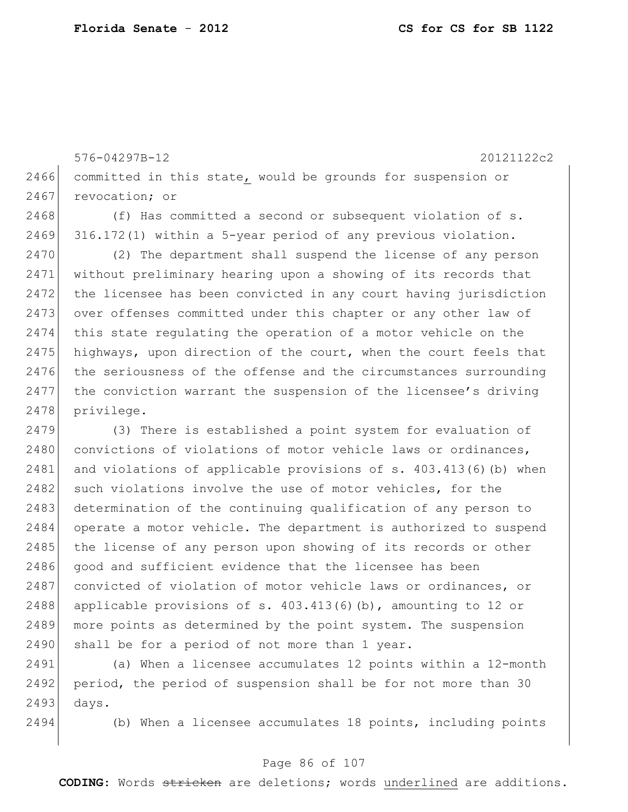576-04297B-12 20121122c2 2466 committed in this state, would be grounds for suspension or 2467 revocation; or 2468 (f) Has committed a second or subsequent violation of s. 2469 316.172(1) within a 5-year period of any previous violation. 2470 (2) The department shall suspend the license of any person 2471 without preliminary hearing upon a showing of its records that 2472 the licensee has been convicted in any court having jurisdiction 2473 over offenses committed under this chapter or any other law of 2474 this state regulating the operation of a motor vehicle on the 2475 highways, upon direction of the court, when the court feels that 2476 the seriousness of the offense and the circumstances surrounding 2477 the conviction warrant the suspension of the licensee's driving 2478 privilege. 2479 (3) There is established a point system for evaluation of 2480 convictions of violations of motor vehicle laws or ordinances, 2481 and violations of applicable provisions of s. 403.413(6)(b) when 2482 such violations involve the use of motor vehicles, for the 2483 determination of the continuing qualification of any person to 2484 operate a motor vehicle. The department is authorized to suspend 2485 the license of any person upon showing of its records or other 2486 good and sufficient evidence that the licensee has been 2487 convicted of violation of motor vehicle laws or ordinances, or 2488 applicable provisions of s.  $403.413(6)(b)$ , amounting to 12 or 2489 more points as determined by the point system. The suspension

 $2490$  shall be for a period of not more than 1 year.

2491 (a) When a licensee accumulates 12 points within a 12-month 2492 period, the period of suspension shall be for not more than 30 2493 days.

2494 (b) When a licensee accumulates 18 points, including points

#### Page 86 of 107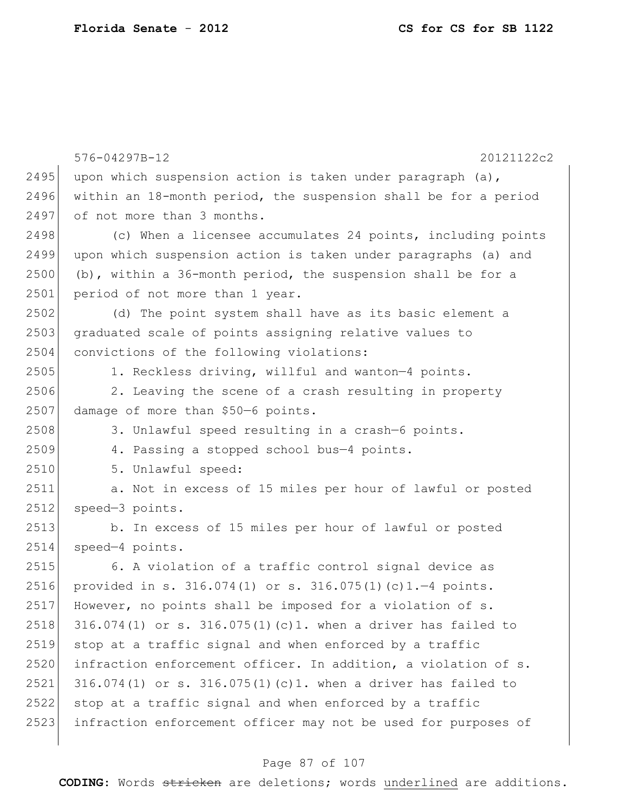|      | 576-04297B-12<br>20121122c2                                       |
|------|-------------------------------------------------------------------|
| 2495 | upon which suspension action is taken under paragraph $(a)$ ,     |
| 2496 | within an 18-month period, the suspension shall be for a period   |
| 2497 | of not more than 3 months.                                        |
| 2498 | (c) When a licensee accumulates 24 points, including points       |
| 2499 | upon which suspension action is taken under paragraphs (a) and    |
| 2500 | (b), within a 36-month period, the suspension shall be for a      |
| 2501 | period of not more than 1 year.                                   |
| 2502 | (d) The point system shall have as its basic element a            |
| 2503 | graduated scale of points assigning relative values to            |
| 2504 | convictions of the following violations:                          |
| 2505 | 1. Reckless driving, willful and wanton-4 points.                 |
| 2506 | 2. Leaving the scene of a crash resulting in property             |
| 2507 | damage of more than \$50-6 points.                                |
| 2508 | 3. Unlawful speed resulting in a crash-6 points.                  |
| 2509 | 4. Passing a stopped school bus-4 points.                         |
| 2510 | 5. Unlawful speed:                                                |
| 2511 | a. Not in excess of 15 miles per hour of lawful or posted         |
| 2512 | speed-3 points.                                                   |
| 2513 | b. In excess of 15 miles per hour of lawful or posted             |
| 2514 | speed-4 points.                                                   |
| 2515 | 6. A violation of a traffic control signal device as              |
| 2516 | provided in s. $316.074(1)$ or s. $316.075(1)(c)1.-4$ points.     |
| 2517 | However, no points shall be imposed for a violation of s.         |
| 2518 | $316.074(1)$ or s. $316.075(1)(c)1$ . when a driver has failed to |
| 2519 | stop at a traffic signal and when enforced by a traffic           |
| 2520 | infraction enforcement officer. In addition, a violation of s.    |
| 2521 | $316.074(1)$ or s. $316.075(1)(c)1$ . when a driver has failed to |
| 2522 | stop at a traffic signal and when enforced by a traffic           |
| 2523 | infraction enforcement officer may not be used for purposes of    |
|      |                                                                   |

# Page 87 of 107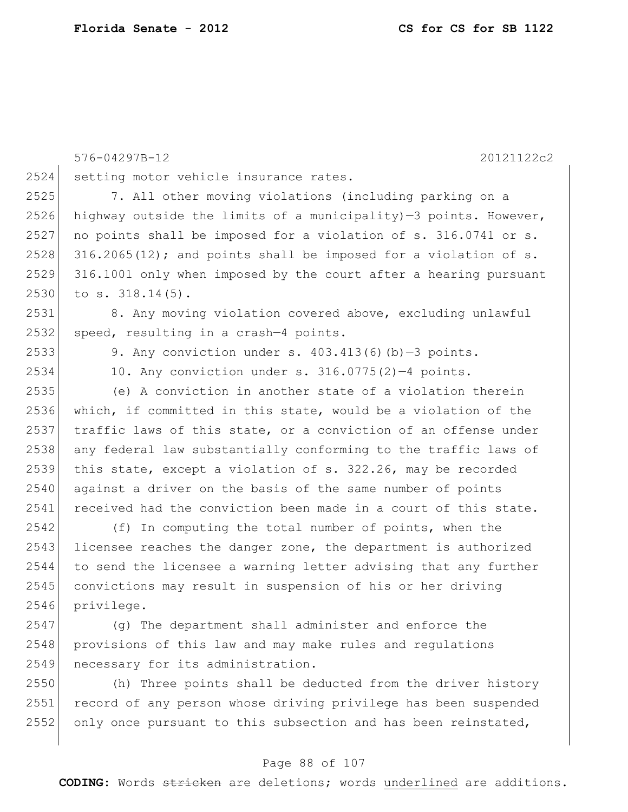|      | 20121122c2<br>576-04297B-12                                      |
|------|------------------------------------------------------------------|
| 2524 | setting motor vehicle insurance rates.                           |
| 2525 | 7. All other moving violations (including parking on a           |
| 2526 | highway outside the limits of a municipality)-3 points. However, |
| 2527 | no points shall be imposed for a violation of s. 316.0741 or s.  |
| 2528 | 316.2065(12); and points shall be imposed for a violation of s.  |
| 2529 | 316.1001 only when imposed by the court after a hearing pursuant |
| 2530 | to $s. 318.14(5)$ .                                              |
| 2531 | 8. Any moving violation covered above, excluding unlawful        |
| 2532 | speed, resulting in a crash-4 points.                            |
| 2533 | 9. Any conviction under s. $403.413(6)(b)-3$ points.             |
| 2534 | 10. Any conviction under s. 316.0775(2)-4 points.                |
| 2535 | (e) A conviction in another state of a violation therein         |
| 2536 | which, if committed in this state, would be a violation of the   |
| 2537 | traffic laws of this state, or a conviction of an offense under  |
| 2538 | any federal law substantially conforming to the traffic laws of  |
| 2539 | this state, except a violation of s. 322.26, may be recorded     |
| 2540 | against a driver on the basis of the same number of points       |
| 2541 | received had the conviction been made in a court of this state.  |
| 2542 | (f) In computing the total number of points, when the            |
| 2543 | licensee reaches the danger zone, the department is authorized   |
| 2544 | to send the licensee a warning letter advising that any further  |
| 2545 | convictions may result in suspension of his or her driving       |
| 2546 | privilege.                                                       |
| 2547 | (q) The department shall administer and enforce the              |
| 2548 | provisions of this law and may make rules and regulations        |
| 2549 | necessary for its administration.                                |

2550 (h) Three points shall be deducted from the driver history 2551 record of any person whose driving privilege has been suspended  $2552$  only once pursuant to this subsection and has been reinstated,

#### Page 88 of 107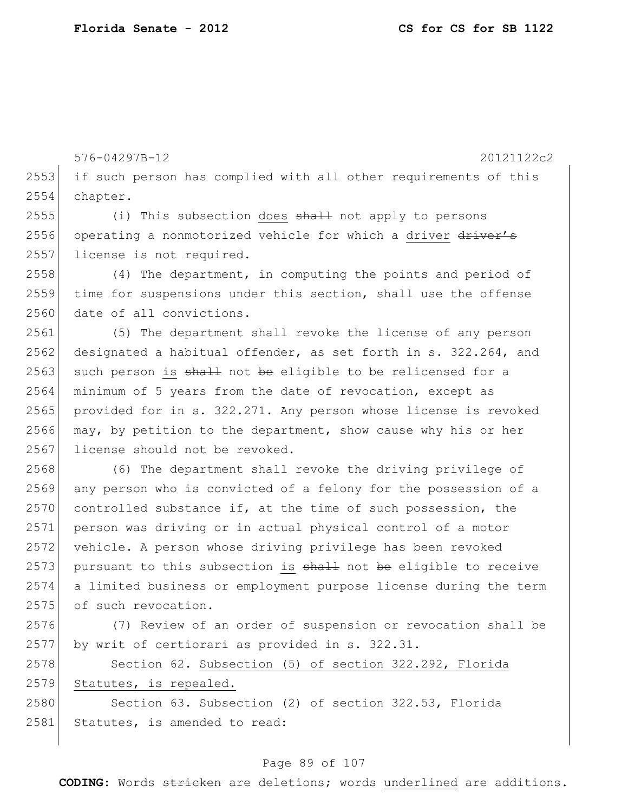576-04297B-12 20121122c2 2553 if such person has complied with all other requirements of this 2554 chapter. 2555 (i) This subsection does shall not apply to persons 2556 operating a nonmotorized vehicle for which a driver driver's 2557 license is not required. 2558 (4) The department, in computing the points and period of 2559 time for suspensions under this section, shall use the offense 2560 date of all convictions. 2561 (5) The department shall revoke the license of any person 2562 designated a habitual offender, as set forth in s. 322.264, and  $2563$  such person is shall not be eligible to be relicensed for a 2564 minimum of 5 years from the date of revocation, except as 2565 provided for in s. 322.271. Any person whose license is revoked 2566 may, by petition to the department, show cause why his or her 2567 license should not be revoked. 2568 (6) The department shall revoke the driving privilege of 2569 any person who is convicted of a felony for the possession of a  $2570$  controlled substance if, at the time of such possession, the 2571 person was driving or in actual physical control of a motor 2572 vehicle. A person whose driving privilege has been revoked  $2573$  pursuant to this subsection is  $shall$  not be eligible to receive 2574 a limited business or employment purpose license during the term 2575 of such revocation. 2576 (7) Review of an order of suspension or revocation shall be 2577 by writ of certiorari as provided in s. 322.31. 2578 Section 62. Subsection (5) of section 322.292, Florida 2579 Statutes, is repealed. 2580 Section 63. Subsection (2) of section 322.53, Florida 2581 Statutes, is amended to read:

#### Page 89 of 107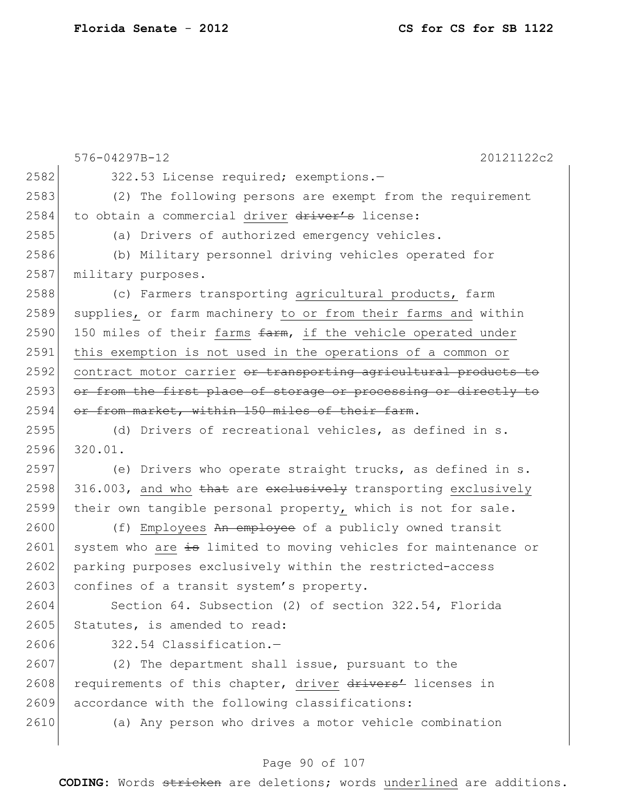|      | 576-04297B-12<br>20121122c2                                     |
|------|-----------------------------------------------------------------|
| 2582 | 322.53 License required; exemptions.-                           |
| 2583 | (2) The following persons are exempt from the requirement       |
| 2584 | to obtain a commercial driver driver's license:                 |
| 2585 | (a) Drivers of authorized emergency vehicles.                   |
| 2586 | (b) Military personnel driving vehicles operated for            |
| 2587 | military purposes.                                              |
| 2588 | (c) Farmers transporting agricultural products, farm            |
| 2589 | supplies, or farm machinery to or from their farms and within   |
| 2590 | 150 miles of their farms farm, if the vehicle operated under    |
| 2591 | this exemption is not used in the operations of a common or     |
| 2592 | contract motor carrier or transporting agricultural products to |
| 2593 | or from the first place of storage or processing or directly to |
| 2594 | or from market, within 150 miles of their farm.                 |
| 2595 | (d) Drivers of recreational vehicles, as defined in s.          |
| 2596 | 320.01.                                                         |
| 2597 | (e) Drivers who operate straight trucks, as defined in s.       |
| 2598 | 316.003, and who that are exclusively transporting exclusively  |
| 2599 | their own tangible personal property, which is not for sale.    |
| 2600 | (f) Employees An employee of a publicly owned transit           |
| 2601 | system who are is limited to moving vehicles for maintenance or |
| 2602 | parking purposes exclusively within the restricted-access       |
| 2603 | confines of a transit system's property.                        |
| 2604 | Section 64. Subsection (2) of section 322.54, Florida           |
| 2605 | Statutes, is amended to read:                                   |
| 2606 | 322.54 Classification.-                                         |
| 2607 | (2) The department shall issue, pursuant to the                 |
| 2608 | requirements of this chapter, driver drivers' licenses in       |
| 2609 | accordance with the following classifications:                  |
| 2610 | (a) Any person who drives a motor vehicle combination           |
|      |                                                                 |

# Page 90 of 107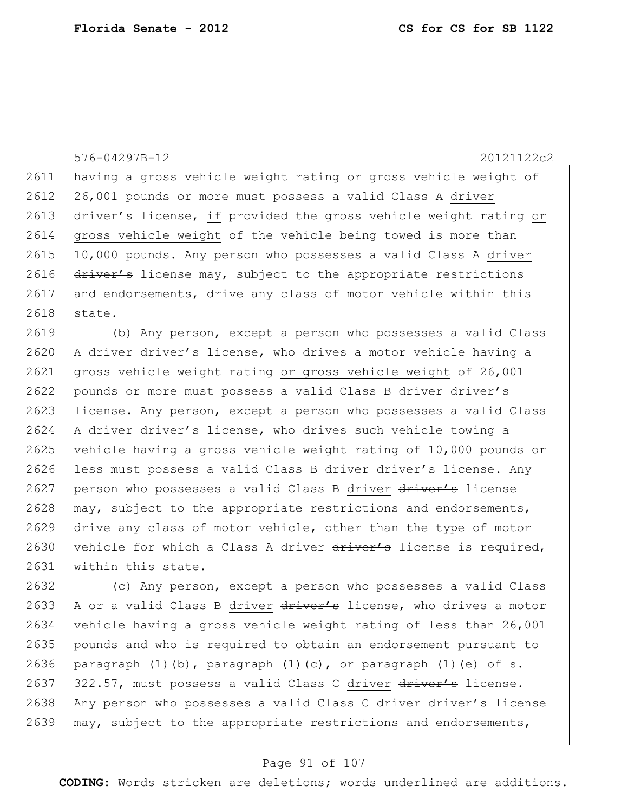576-04297B-12 20121122c2 2611 having a gross vehicle weight rating or gross vehicle weight of 2612 26,001 pounds or more must possess a valid Class A driver 2613 driver's license, if provided the gross vehicle weight rating or 2614 gross vehicle weight of the vehicle being towed is more than 2615 10,000 pounds. Any person who possesses a valid Class A driver 2616  $\frac{d}{dx}$  driver's license may, subject to the appropriate restrictions 2617 and endorsements, drive any class of motor vehicle within this 2618 state. 2619 (b) Any person, except a person who possesses a valid Class 2620 A driver driver's license, who drives a motor vehicle having a 2621 gross vehicle weight rating or gross vehicle weight of 26,001 2622 pounds or more must possess a valid Class B driver driver's

2623 license. Any person, except a person who possesses a valid Class 2624 A driver  $driver's$  license, who drives such vehicle towing a 2625 vehicle having a gross vehicle weight rating of 10,000 pounds or 2626 less must possess a valid Class B driver driver's license. Any 2627 person who possesses a valid Class B driver driver's license 2628 may, subject to the appropriate restrictions and endorsements, 2629 drive any class of motor vehicle, other than the type of motor 2630 vehicle for which a Class A driver driver's license is required, 2631 within this state.

2632 (c) Any person, except a person who possesses a valid Class 2633 A or a valid Class B driver driver's license, who drives a motor 2634 vehicle having a gross vehicle weight rating of less than 26,001 2635 pounds and who is required to obtain an endorsement pursuant to 2636 paragraph  $(1)$  (b), paragraph  $(1)$  (c), or paragraph  $(1)$  (e) of s. 2637 322.57, must possess a valid Class C driver driver's license. 2638 Any person who possesses a valid Class C driver driver's license 2639 may, subject to the appropriate restrictions and endorsements,

#### Page 91 of 107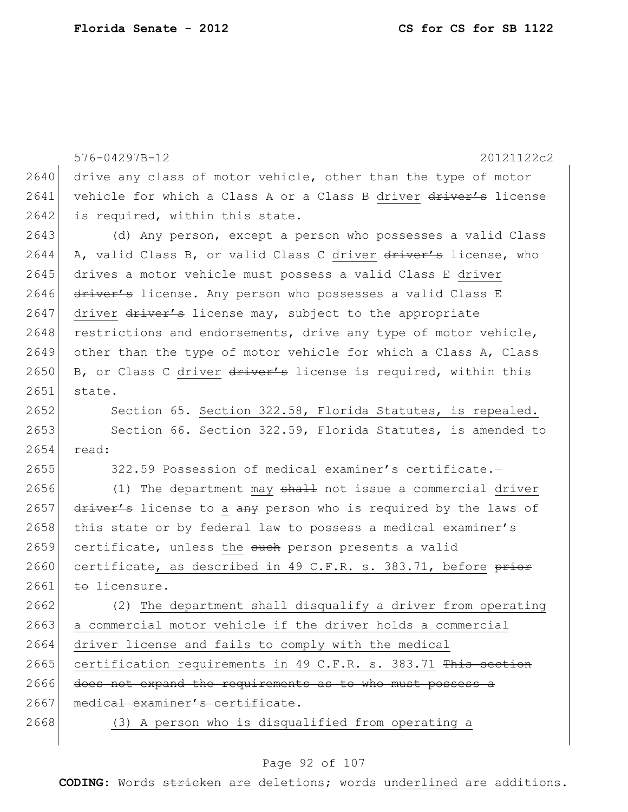|      | 576-04297B-12<br>20121122c2                                      |
|------|------------------------------------------------------------------|
| 2640 | drive any class of motor vehicle, other than the type of motor   |
| 2641 | vehicle for which a Class A or a Class B driver driver's license |
| 2642 | is required, within this state.                                  |
| 2643 | (d) Any person, except a person who possesses a valid Class      |
| 2644 | A, valid Class B, or valid Class C driver driver's license, who  |
| 2645 | drives a motor vehicle must possess a valid Class E driver       |
| 2646 | driver's license. Any person who possesses a valid Class E       |
| 2647 | driver driver's license may, subject to the appropriate          |
| 2648 | restrictions and endorsements, drive any type of motor vehicle,  |
| 2649 | other than the type of motor vehicle for which a Class A, Class  |
| 2650 | B, or Class C driver driver's license is required, within this   |
| 2651 | state.                                                           |
| 2652 | Section 65. Section 322.58, Florida Statutes, is repealed.       |
| 2653 | Section 66. Section 322.59, Florida Statutes, is amended to      |
| 2654 | read:                                                            |
| 2655 | 322.59 Possession of medical examiner's certificate.-            |
| 2656 | (1) The department may shall not issue a commercial driver       |
| 2657 | driver's license to a any person who is required by the laws of  |
| 2658 | this state or by federal law to possess a medical examiner's     |
| 2659 | certificate, unless the such person presents a valid             |
| 2660 | certificate, as described in 49 C.F.R. s. 383.71, before prior   |
| 2661 | to licensure.                                                    |
| 2662 | (2) The department shall disqualify a driver from operating      |
| 2663 | a commercial motor vehicle if the driver holds a commercial      |
| 2664 | driver license and fails to comply with the medical              |
| 2665 | certification requirements in 49 C.F.R. s. 383.71 This section   |
| 2666 | does not expand the requirements as to who must possess a        |
| 2667 | medical examiner's certificate.                                  |
| 2668 | (3) A person who is disqualified from operating a                |
|      |                                                                  |

# Page 92 of 107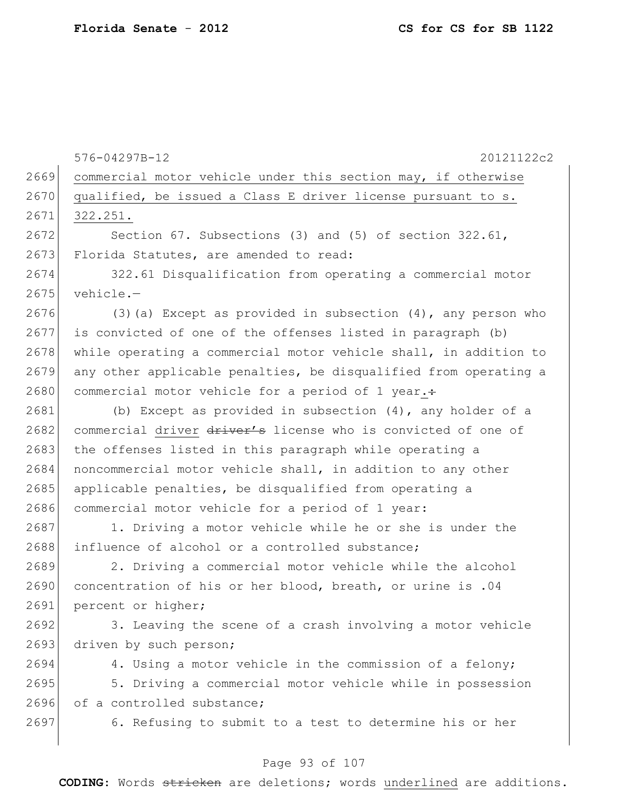|      | 576-04297B-12<br>20121122c2                                       |
|------|-------------------------------------------------------------------|
| 2669 | commercial motor vehicle under this section may, if otherwise     |
| 2670 | qualified, be issued a Class E driver license pursuant to s.      |
| 2671 | 322.251.                                                          |
| 2672 | Section 67. Subsections (3) and (5) of section $322.61$ ,         |
| 2673 | Florida Statutes, are amended to read:                            |
| 2674 | 322.61 Disqualification from operating a commercial motor         |
| 2675 | vehicle.-                                                         |
| 2676 | $(3)$ (a) Except as provided in subsection $(4)$ , any person who |
| 2677 | is convicted of one of the offenses listed in paragraph (b)       |
| 2678 | while operating a commercial motor vehicle shall, in addition to  |
| 2679 | any other applicable penalties, be disqualified from operating a  |
| 2680 | commercial motor vehicle for a period of 1 year.:                 |
| 2681 | (b) Except as provided in subsection (4), any holder of a         |
| 2682 | commercial driver driver's license who is convicted of one of     |
| 2683 | the offenses listed in this paragraph while operating a           |
| 2684 | noncommercial motor vehicle shall, in addition to any other       |
| 2685 | applicable penalties, be disqualified from operating a            |
| 2686 | commercial motor vehicle for a period of 1 year:                  |
| 2687 | 1. Driving a motor vehicle while he or she is under the           |
| 2688 | influence of alcohol or a controlled substance;                   |
| 2689 | 2. Driving a commercial motor vehicle while the alcohol           |
| 2690 | concentration of his or her blood, breath, or urine is .04        |
| 2691 | percent or higher;                                                |
| 2692 | 3. Leaving the scene of a crash involving a motor vehicle         |
| 2693 | driven by such person;                                            |
| 2694 | 4. Using a motor vehicle in the commission of a felony;           |
| 2695 | 5. Driving a commercial motor vehicle while in possession         |
| 2696 | of a controlled substance;                                        |
| 2697 | 6. Refusing to submit to a test to determine his or her           |

# Page 93 of 107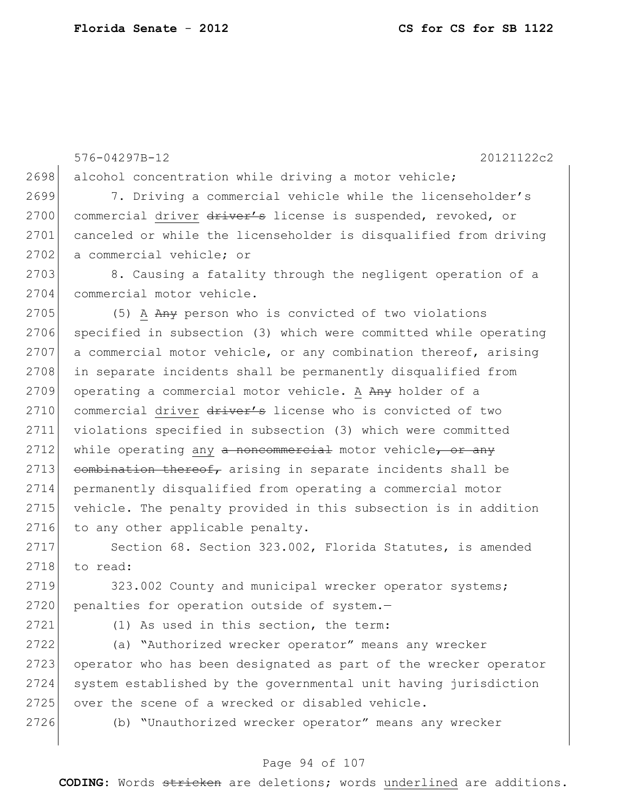576-04297B-12 20121122c2 2698 alcohol concentration while driving a motor vehicle; 2699 7. Driving a commercial vehicle while the licenseholder's 2700 commercial driver driver's license is suspended, revoked, or 2701 canceled or while the licenseholder is disqualified from driving 2702 a commercial vehicle; or 2703 8. Causing a fatality through the negligent operation of a 2704 commercial motor vehicle. 2705 (5) A Any person who is convicted of two violations 2706 specified in subsection (3) which were committed while operating 2707 a commercial motor vehicle, or any combination thereof, arising 2708 in separate incidents shall be permanently disqualified from 2709 operating a commercial motor vehicle. A Any holder of a 2710 commercial driver driver's license who is convicted of two 2711 violations specified in subsection (3) which were committed 2712 while operating any a noncommercial motor vehicle, or any 2713 combination thereof, arising in separate incidents shall be 2714 permanently disqualified from operating a commercial motor 2715 vehicle. The penalty provided in this subsection is in addition 2716 to any other applicable penalty. 2717 Section 68. Section 323.002, Florida Statutes, is amended 2718 to read: 2719 323.002 County and municipal wrecker operator systems; 2720 penalties for operation outside of system.-2721 (1) As used in this section, the term: 2722 (a) "Authorized wrecker operator" means any wrecker 2723 operator who has been designated as part of the wrecker operator 2724 system established by the governmental unit having jurisdiction 2725 over the scene of a wrecked or disabled vehicle.

2726 (b) "Unauthorized wrecker operator" means any wrecker

#### Page 94 of 107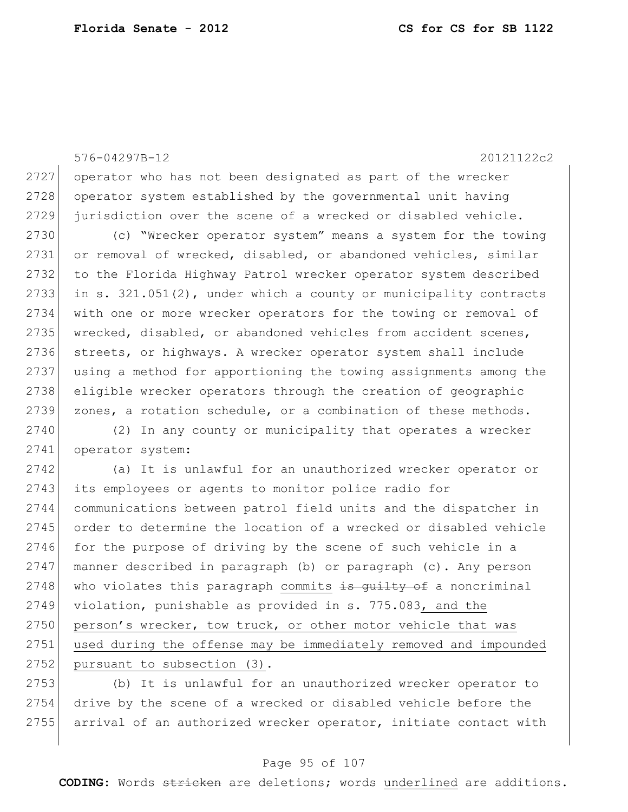576-04297B-12 20121122c2 2727 operator who has not been designated as part of the wrecker 2728 operator system established by the governmental unit having 2729 jurisdiction over the scene of a wrecked or disabled vehicle. 2730 (c) "Wrecker operator system" means a system for the towing 2731 or removal of wrecked, disabled, or abandoned vehicles, similar 2732 to the Florida Highway Patrol wrecker operator system described 2733 in s.  $321.051(2)$ , under which a county or municipality contracts 2734 with one or more wrecker operators for the towing or removal of 2735 wrecked, disabled, or abandoned vehicles from accident scenes, 2736 streets, or highways. A wrecker operator system shall include 2737 using a method for apportioning the towing assignments among the 2738 eligible wrecker operators through the creation of geographic 2739 zones, a rotation schedule, or a combination of these methods. 2740 (2) In any county or municipality that operates a wrecker 2741 operator system: 2742 (a) It is unlawful for an unauthorized wrecker operator or 2743 its employees or agents to monitor police radio for 2744 communications between patrol field units and the dispatcher in 2745 order to determine the location of a wrecked or disabled vehicle 2746 for the purpose of driving by the scene of such vehicle in a 2747 manner described in paragraph (b) or paragraph (c). Any person 2748 who violates this paragraph commits  $\frac{1}{18}$  guilty of a noncriminal 2749 violation, punishable as provided in s. 775.083, and the 2750 person's wrecker, tow truck, or other motor vehicle that was 2751 used during the offense may be immediately removed and impounded 2752 pursuant to subsection (3).

2753 (b) It is unlawful for an unauthorized wrecker operator to 2754 drive by the scene of a wrecked or disabled vehicle before the 2755 arrival of an authorized wrecker operator, initiate contact with

#### Page 95 of 107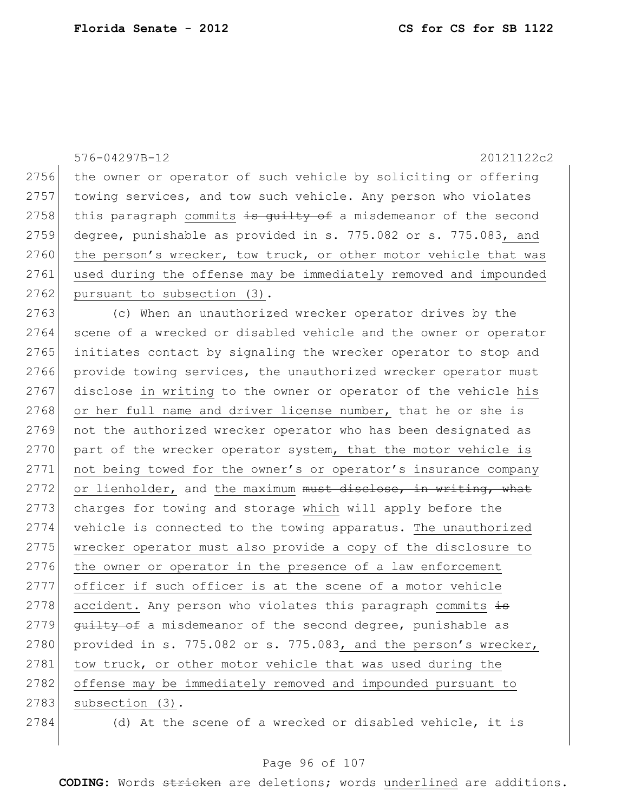576-04297B-12 20121122c2 2756 the owner or operator of such vehicle by soliciting or offering 2757 towing services, and tow such vehicle. Any person who violates 2758 this paragraph commits  $\frac{1}{2}$  satisfy of a misdemeanor of the second 2759 degree, punishable as provided in s. 775.082 or s. 775.083, and 2760 the person's wrecker, tow truck, or other motor vehicle that was 2761 used during the offense may be immediately removed and impounded 2762 pursuant to subsection (3). 2763 (c) When an unauthorized wrecker operator drives by the 2764 scene of a wrecked or disabled vehicle and the owner or operator 2765 initiates contact by signaling the wrecker operator to stop and 2766 provide towing services, the unauthorized wrecker operator must 2767 disclose in writing to the owner or operator of the vehicle his  $2768$  or her full name and driver license number, that he or she is 2769 not the authorized wrecker operator who has been designated as 2770 part of the wrecker operator system, that the motor vehicle is 2771 not being towed for the owner's or operator's insurance company  $2772$  or lienholder, and the maximum must disclose, in writing, what 2773 charges for towing and storage which will apply before the 2774 vehicle is connected to the towing apparatus. The unauthorized 2775 wrecker operator must also provide a copy of the disclosure to 2776 the owner or operator in the presence of a law enforcement 2777 officer if such officer is at the scene of a motor vehicle 2778 accident. Any person who violates this paragraph commits  $\frac{1}{18}$ 2779 guilty of a misdemeanor of the second degree, punishable as 2780 provided in s. 775.082 or s. 775.083, and the person's wrecker, 2781 tow truck, or other motor vehicle that was used during the 2782 offense may be immediately removed and impounded pursuant to 2783 subsection (3). 2784 (d) At the scene of a wrecked or disabled vehicle, it is

#### Page 96 of 107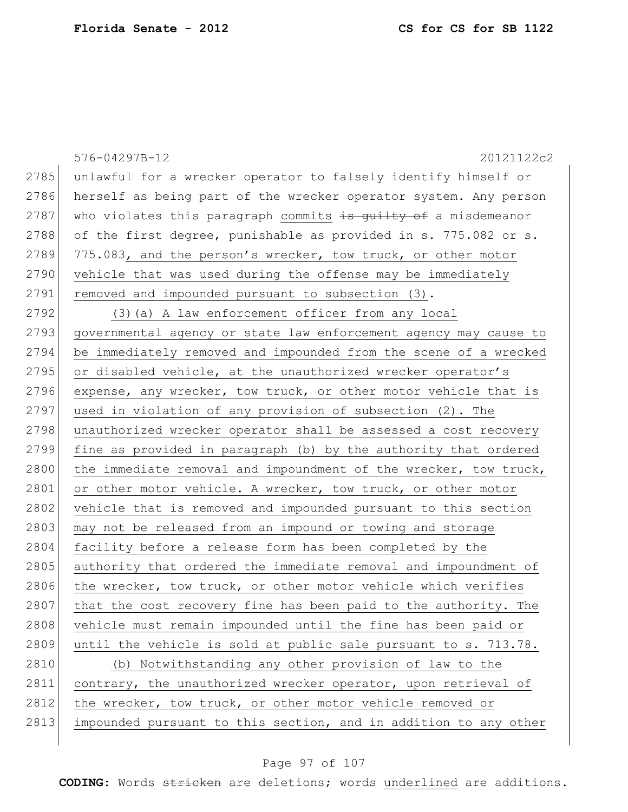|      | 576-04297B-12<br>20121122c2                                      |
|------|------------------------------------------------------------------|
| 2785 | unlawful for a wrecker operator to falsely identify himself or   |
| 2786 | herself as being part of the wrecker operator system. Any person |
| 2787 | who violates this paragraph commits is guilty of a misdemeanor   |
| 2788 | of the first degree, punishable as provided in s. 775.082 or s.  |
| 2789 | 775.083, and the person's wrecker, tow truck, or other motor     |
| 2790 | vehicle that was used during the offense may be immediately      |
| 2791 | removed and impounded pursuant to subsection (3).                |
| 2792 | (3) (a) A law enforcement officer from any local                 |
| 2793 | governmental agency or state law enforcement agency may cause to |
| 2794 | be immediately removed and impounded from the scene of a wrecked |
| 2795 | or disabled vehicle, at the unauthorized wrecker operator's      |
| 2796 | expense, any wrecker, tow truck, or other motor vehicle that is  |
| 2797 | used in violation of any provision of subsection (2). The        |
| 2798 | unauthorized wrecker operator shall be assessed a cost recovery  |
| 2799 | fine as provided in paragraph (b) by the authority that ordered  |
| 2800 | the immediate removal and impoundment of the wrecker, tow truck, |
| 2801 | or other motor vehicle. A wrecker, tow truck, or other motor     |
| 2802 | vehicle that is removed and impounded pursuant to this section   |
| 2803 | may not be released from an impound or towing and storage        |
| 2804 | facility before a release form has been completed by the         |
| 2805 | authority that ordered the immediate removal and impoundment of  |
| 2806 | the wrecker, tow truck, or other motor vehicle which verifies    |
| 2807 | that the cost recovery fine has been paid to the authority. The  |
| 2808 | vehicle must remain impounded until the fine has been paid or    |
| 2809 | until the vehicle is sold at public sale pursuant to s. 713.78.  |
| 2810 | (b) Notwithstanding any other provision of law to the            |
| 2811 | contrary, the unauthorized wrecker operator, upon retrieval of   |
| 2812 | the wrecker, tow truck, or other motor vehicle removed or        |
| 2813 | impounded pursuant to this section, and in addition to any other |
|      |                                                                  |

# Page 97 of 107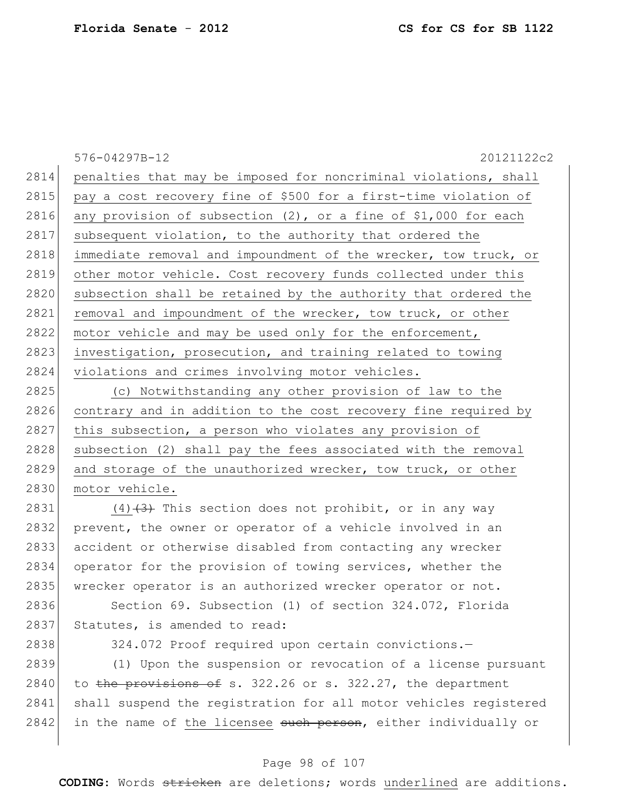576-04297B-12 20121122c2 2814 penalties that may be imposed for noncriminal violations, shall 2815 pay a cost recovery fine of \$500 for a first-time violation of 2816 any provision of subsection  $(2)$ , or a fine of \$1,000 for each 2817 subsequent violation, to the authority that ordered the 2818 immediate removal and impoundment of the wrecker, tow truck, or 2819 other motor vehicle. Cost recovery funds collected under this 2820 subsection shall be retained by the authority that ordered the 2821 removal and impoundment of the wrecker, tow truck, or other 2822 motor vehicle and may be used only for the enforcement, 2823 investigation, prosecution, and training related to towing 2824 violations and crimes involving motor vehicles. 2825 (c) Notwithstanding any other provision of law to the

2826 contrary and in addition to the cost recovery fine required by 2827 this subsection, a person who violates any provision of 2828 subsection (2) shall pay the fees associated with the removal 2829 and storage of the unauthorized wrecker, tow truck, or other 2830 motor vehicle.

2831 (4) $(4)$  This section does not prohibit, or in any way 2832 prevent, the owner or operator of a vehicle involved in an 2833 accident or otherwise disabled from contacting any wrecker 2834 operator for the provision of towing services, whether the 2835 wrecker operator is an authorized wrecker operator or not.

2836 Section 69. Subsection (1) of section 324.072, Florida 2837 Statutes, is amended to read:

2838 324.072 Proof required upon certain convictions.

2839 (1) Upon the suspension or revocation of a license pursuant  $2840$  to the provisions of s. 322.26 or s. 322.27, the department 2841 shall suspend the registration for all motor vehicles registered 2842 in the name of the licensee such person, either individually or

#### Page 98 of 107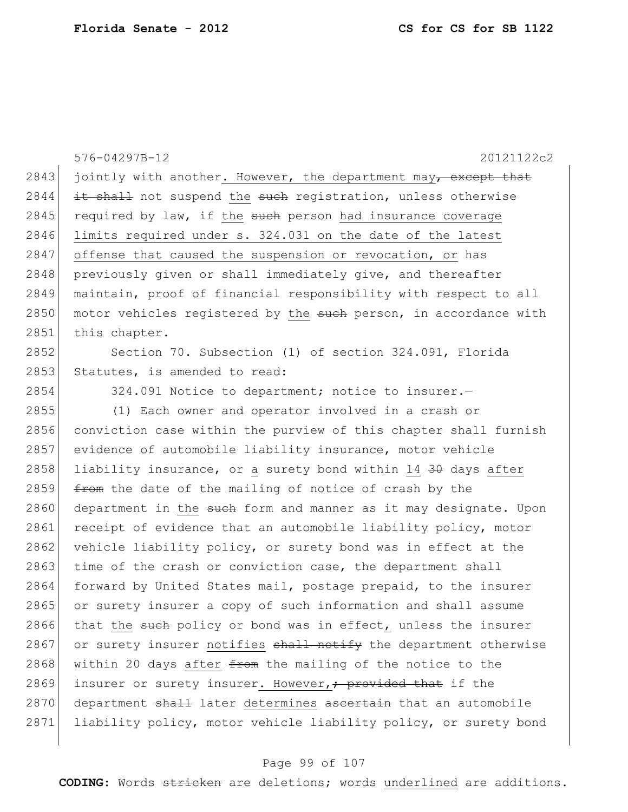|      | 576-04297B-12<br>20121122c2                                           |
|------|-----------------------------------------------------------------------|
| 2843 | jointly with another. However, the department may, except that        |
| 2844 | it shall not suspend the such registration, unless otherwise          |
| 2845 | required by law, if the such person had insurance coverage            |
| 2846 | limits required under s. 324.031 on the date of the latest            |
| 2847 | offense that caused the suspension or revocation, or has              |
| 2848 | previously given or shall immediately give, and thereafter            |
| 2849 | maintain, proof of financial responsibility with respect to all       |
| 2850 | motor vehicles registered by the such person, in accordance with      |
| 2851 | this chapter.                                                         |
| 2852 | Section 70. Subsection (1) of section 324.091, Florida                |
| 2853 | Statutes, is amended to read:                                         |
| 2854 | 324.091 Notice to department; notice to insurer.-                     |
| 2855 | (1) Each owner and operator involved in a crash or                    |
| 2856 | conviction case within the purview of this chapter shall furnish      |
| 2857 | evidence of automobile liability insurance, motor vehicle             |
| 2858 | liability insurance, or a surety bond within 14 30 days after         |
| 2859 | from the date of the mailing of notice of crash by the                |
| 2860 | department in the such form and manner as it may designate. Upon      |
| 2861 | receipt of evidence that an automobile liability policy, motor        |
| 2862 | vehicle liability policy, or surety bond was in effect at the         |
| 2863 | time of the crash or conviction case, the department shall            |
| 2864 | forward by United States mail, postage prepaid, to the insurer        |
| 2865 | or surety insurer a copy of such information and shall assume         |
| 2866 | that the such policy or bond was in effect, unless the insurer        |
| 2867 | or surety insurer notifies shall notify the department otherwise      |
| 2868 | within 20 days after <del>from</del> the mailing of the notice to the |
| 2869 | insurer or surety insurer. However, + provided that if the            |
| 2870 | department shall later determines ascertain that an automobile        |
| 2871 | liability policy, motor vehicle liability policy, or surety bond      |
|      |                                                                       |

# Page 99 of 107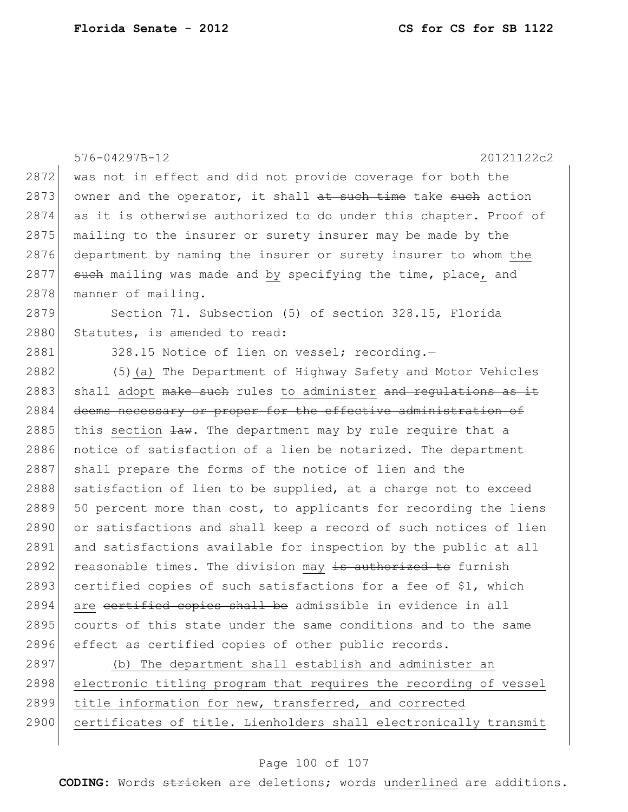|      | 576-04297B-12<br>20121122c2                                      |
|------|------------------------------------------------------------------|
| 2872 | was not in effect and did not provide coverage for both the      |
| 2873 | owner and the operator, it shall at such time take such action   |
| 2874 | as it is otherwise authorized to do under this chapter. Proof of |
| 2875 | mailing to the insurer or surety insurer may be made by the      |
| 2876 | department by naming the insurer or surety insurer to whom the   |
| 2877 | such mailing was made and by specifying the time, place, and     |
| 2878 | manner of mailing.                                               |
| 2879 | Section 71. Subsection (5) of section 328.15, Florida            |
| 2880 | Statutes, is amended to read:                                    |
| 2881 | 328.15 Notice of lien on vessel; recording.-                     |
| 2882 | (5) (a) The Department of Highway Safety and Motor Vehicles      |
| 2883 | shall adopt make such rules to administer and requiations as it  |
| 2884 | deems necessary or proper for the effective administration of    |
| 2885 | this section law. The department may by rule require that a      |
| 2886 | notice of satisfaction of a lien be notarized. The department    |
| 2887 | shall prepare the forms of the notice of lien and the            |
| 2888 | satisfaction of lien to be supplied, at a charge not to exceed   |
| 2889 | 50 percent more than cost, to applicants for recording the liens |
| 2890 | or satisfactions and shall keep a record of such notices of lien |
| 2891 | and satisfactions available for inspection by the public at all  |
| 2892 | reasonable times. The division may is authorized to furnish      |
| 2893 | certified copies of such satisfactions for a fee of \$1, which   |
| 2894 | are certified copies shall be admissible in evidence in all      |
| 2895 | courts of this state under the same conditions and to the same   |
| 2896 | effect as certified copies of other public records.              |
| 2897 | (b) The department shall establish and administer an             |
| 2898 | electronic titling program that requires the recording of vessel |

- 2899 title information for new, transferred, and corrected
- 2900 certificates of title. Lienholders shall electronically transmit

#### Page 100 of 107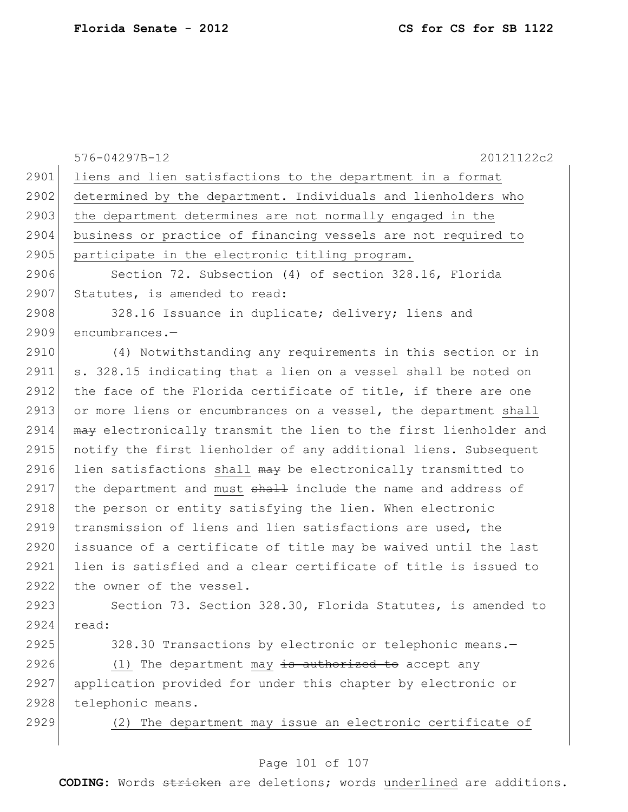|      | 576-04297B-12<br>20121122c2                                      |
|------|------------------------------------------------------------------|
| 2901 | liens and lien satisfactions to the department in a format       |
| 2902 | determined by the department. Individuals and lienholders who    |
| 2903 | the department determines are not normally engaged in the        |
| 2904 | business or practice of financing vessels are not required to    |
| 2905 | participate in the electronic titling program.                   |
| 2906 | Section 72. Subsection (4) of section 328.16, Florida            |
| 2907 | Statutes, is amended to read:                                    |
| 2908 | 328.16 Issuance in duplicate; delivery; liens and                |
| 2909 | encumbrances.-                                                   |
| 2910 | (4) Notwithstanding any requirements in this section or in       |
| 2911 | s. 328.15 indicating that a lien on a vessel shall be noted on   |
| 2912 | the face of the Florida certificate of title, if there are one   |
| 2913 | or more liens or encumbrances on a vessel, the department shall  |
| 2914 | may electronically transmit the lien to the first lienholder and |
| 2915 | notify the first lienholder of any additional liens. Subsequent  |
| 2916 | lien satisfactions shall may be electronically transmitted to    |
| 2917 | the department and must shall include the name and address of    |
| 2918 | the person or entity satisfying the lien. When electronic        |
| 2919 | transmission of liens and lien satisfactions are used, the       |
| 2920 | issuance of a certificate of title may be waived until the last  |
| 2921 | lien is satisfied and a clear certificate of title is issued to  |
| 2922 | the owner of the vessel.                                         |
| 2923 | Section 73. Section 328.30, Florida Statutes, is amended to      |
| 2924 | read:                                                            |
| 2925 | 328.30 Transactions by electronic or telephonic means.-          |
| 2926 | (1) The department may $\frac{1}{18}$ authorized to accept any   |
| 2927 | application provided for under this chapter by electronic or     |
| 2928 | telephonic means.                                                |

2929 (2) The department may issue an electronic certificate of

#### Page 101 of 107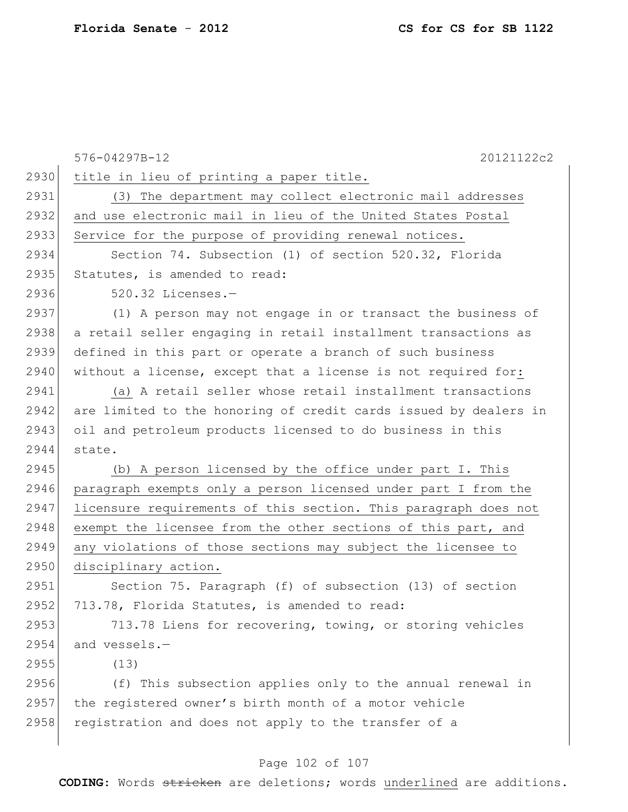|      | 576-04297B-12<br>20121122c2                                      |
|------|------------------------------------------------------------------|
| 2930 | title in lieu of printing a paper title.                         |
| 2931 | (3) The department may collect electronic mail addresses         |
| 2932 | and use electronic mail in lieu of the United States Postal      |
| 2933 | Service for the purpose of providing renewal notices.            |
| 2934 | Section 74. Subsection (1) of section 520.32, Florida            |
| 2935 | Statutes, is amended to read:                                    |
| 2936 | 520.32 Licenses.-                                                |
| 2937 | (1) A person may not engage in or transact the business of       |
| 2938 | a retail seller engaging in retail installment transactions as   |
| 2939 | defined in this part or operate a branch of such business        |
| 2940 | without a license, except that a license is not required for:    |
| 2941 | (a) A retail seller whose retail installment transactions        |
| 2942 | are limited to the honoring of credit cards issued by dealers in |
| 2943 | oil and petroleum products licensed to do business in this       |
| 2944 | state.                                                           |
| 2945 | (b) A person licensed by the office under part I. This           |
| 2946 | paragraph exempts only a person licensed under part I from the   |
| 2947 | licensure requirements of this section. This paragraph does not  |
| 2948 | exempt the licensee from the other sections of this part, and    |
| 2949 | any violations of those sections may subject the licensee to     |
| 2950 | disciplinary action.                                             |
| 2951 | Section 75. Paragraph (f) of subsection (13) of section          |
| 2952 | 713.78, Florida Statutes, is amended to read:                    |
| 2953 | 713.78 Liens for recovering, towing, or storing vehicles         |
| 2954 | and vessels.-                                                    |
| 2955 | (13)                                                             |
| 2956 | (f) This subsection applies only to the annual renewal in        |
| 2957 | the registered owner's birth month of a motor vehicle            |
| 2958 | registration and does not apply to the transfer of a             |

# Page 102 of 107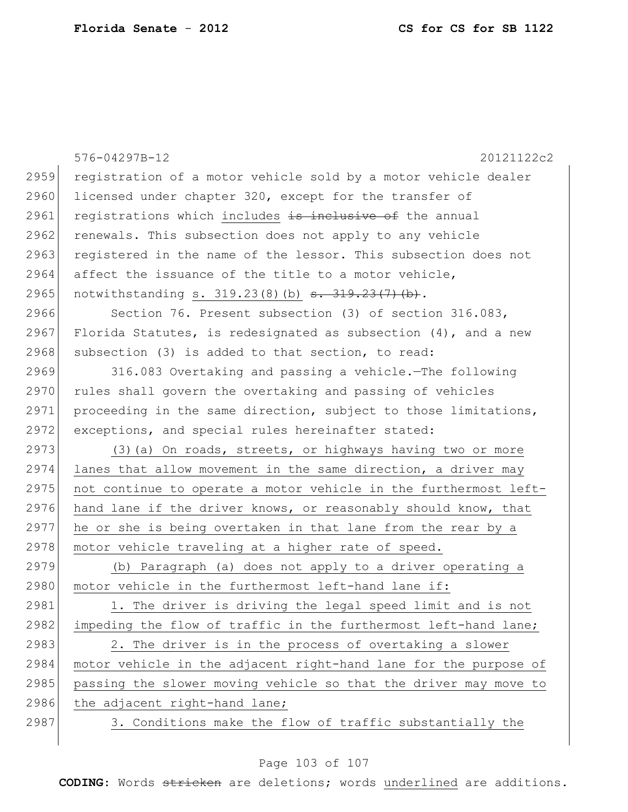|      | 576-04297B-12<br>20121122c2                                       |
|------|-------------------------------------------------------------------|
| 2959 | registration of a motor vehicle sold by a motor vehicle dealer    |
| 2960 | licensed under chapter 320, except for the transfer of            |
| 2961 | registrations which includes is inclusive of the annual           |
| 2962 | renewals. This subsection does not apply to any vehicle           |
| 2963 | registered in the name of the lessor. This subsection does not    |
| 2964 | affect the issuance of the title to a motor vehicle,              |
| 2965 | notwithstanding s. 319.23(8)(b) <del>s. 319.23(7)(b)</del> .      |
| 2966 | Section 76. Present subsection (3) of section 316.083,            |
| 2967 | Florida Statutes, is redesignated as subsection $(4)$ , and a new |
| 2968 | subsection (3) is added to that section, to read:                 |
| 2969 | 316.083 Overtaking and passing a vehicle. The following           |
| 2970 | rules shall govern the overtaking and passing of vehicles         |
| 2971 | proceeding in the same direction, subject to those limitations,   |
| 2972 | exceptions, and special rules hereinafter stated:                 |
| 2973 | (3) (a) On roads, streets, or highways having two or more         |
| 2974 | lanes that allow movement in the same direction, a driver may     |
| 2975 | not continue to operate a motor vehicle in the furthermost left-  |
| 2976 | hand lane if the driver knows, or reasonably should know, that    |
| 2977 | he or she is being overtaken in that lane from the rear by a      |
| 2978 | motor vehicle traveling at a higher rate of speed.                |
| 2979 | (b) Paragraph (a) does not apply to a driver operating a          |
| 2980 | motor vehicle in the furthermost left-hand lane if:               |
| 2981 | 1. The driver is driving the legal speed limit and is not         |
| 2982 | impeding the flow of traffic in the furthermost left-hand lane;   |
| 2983 | 2. The driver is in the process of overtaking a slower            |
| 2984 | motor vehicle in the adjacent right-hand lane for the purpose of  |
| 2985 | passing the slower moving vehicle so that the driver may move to  |
| 2986 | the adjacent right-hand lane;                                     |
| 2987 | 3. Conditions make the flow of traffic substantially the          |
|      |                                                                   |

# Page 103 of 107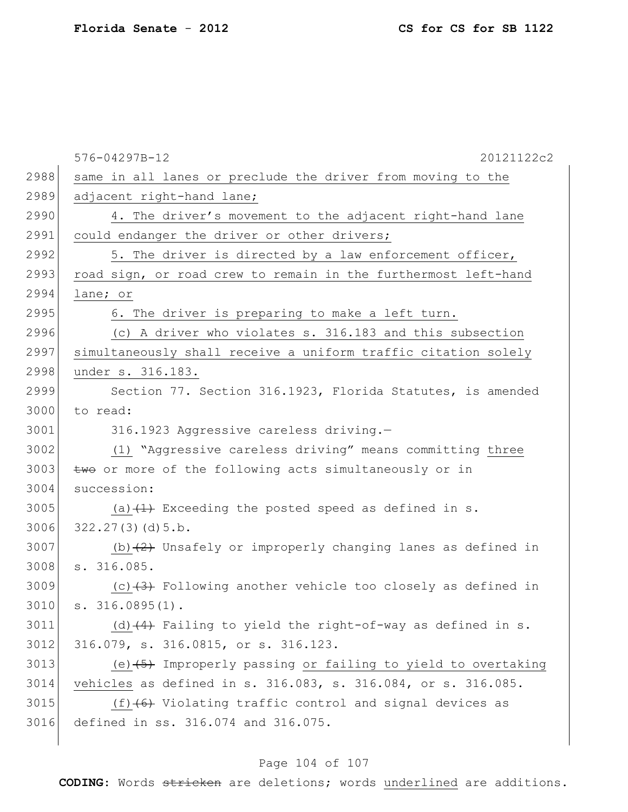|      | 20121122c2<br>576-04297B-12                                     |
|------|-----------------------------------------------------------------|
| 2988 | same in all lanes or preclude the driver from moving to the     |
| 2989 | adjacent right-hand lane;                                       |
| 2990 | 4. The driver's movement to the adjacent right-hand lane        |
| 2991 | could endanger the driver or other drivers;                     |
| 2992 | 5. The driver is directed by a law enforcement officer,         |
| 2993 | road sign, or road crew to remain in the furthermost left-hand  |
| 2994 | lane; or                                                        |
| 2995 | 6. The driver is preparing to make a left turn.                 |
| 2996 | (c) A driver who violates s. 316.183 and this subsection        |
| 2997 | simultaneously shall receive a uniform traffic citation solely  |
| 2998 | under s. 316.183.                                               |
| 2999 | Section 77. Section 316.1923, Florida Statutes, is amended      |
| 3000 | to read:                                                        |
| 3001 | 316.1923 Aggressive careless driving.-                          |
| 3002 | (1) "Aggressive careless driving" means committing three        |
| 3003 | two or more of the following acts simultaneously or in          |
| 3004 | succession:                                                     |
| 3005 | (a) $(1)$ Exceeding the posted speed as defined in s.           |
| 3006 | 322.27(3)(d)5.b.                                                |
| 3007 | (b) $(2)$ Unsafely or improperly changing lanes as defined in   |
| 3008 | s. 316.085.                                                     |
| 3009 | (c) $(3)$ Following another vehicle too closely as defined in   |
| 3010 | s. 316.0895(1).                                                 |
| 3011 | (d) $(4)$ Failing to yield the right-of-way as defined in s.    |
| 3012 | 316.079, s. 316.0815, or s. 316.123.                            |
| 3013 | (e) $(45)$ Improperly passing or failing to yield to overtaking |
| 3014 | vehicles as defined in s. 316.083, s. 316.084, or s. 316.085.   |
| 3015 | $(f)$ $(6)$ Violating traffic control and signal devices as     |
| 3016 | defined in ss. 316.074 and 316.075.                             |
|      |                                                                 |

# Page 104 of 107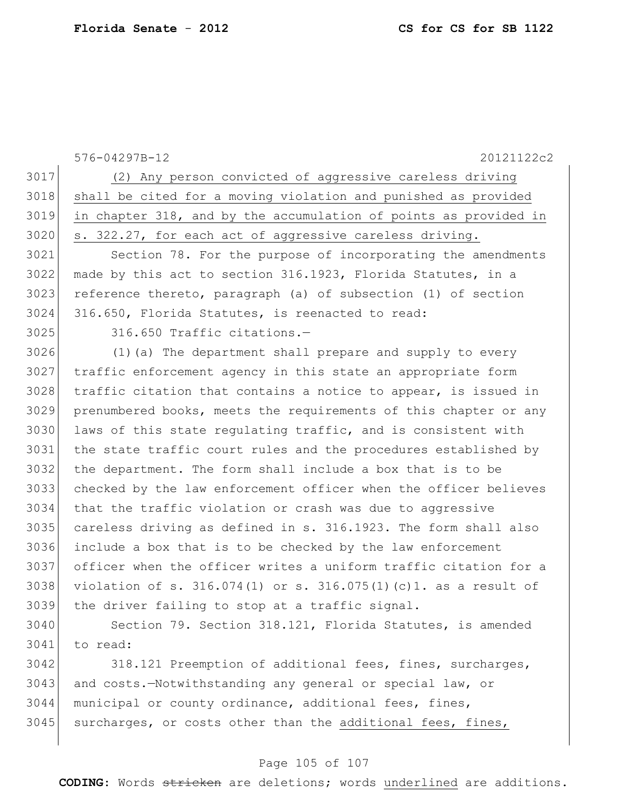576-04297B-12 20121122c2 (2) Any person convicted of aggressive careless driving shall be cited for a moving violation and punished as provided in chapter 318, and by the accumulation of points as provided in 3020 s. 322.27, for each act of aggressive careless driving. Section 78. For the purpose of incorporating the amendments made by this act to section 316.1923, Florida Statutes, in a reference thereto, paragraph (a) of subsection (1) of section 316.650, Florida Statutes, is reenacted to read: 316.650 Traffic citations.— (1)(a) The department shall prepare and supply to every traffic enforcement agency in this state an appropriate form traffic citation that contains a notice to appear, is issued in prenumbered books, meets the requirements of this chapter or any 3030 laws of this state regulating traffic, and is consistent with the state traffic court rules and the procedures established by the department. The form shall include a box that is to be checked by the law enforcement officer when the officer believes that the traffic violation or crash was due to aggressive careless driving as defined in s. 316.1923. The form shall also include a box that is to be checked by the law enforcement officer when the officer writes a uniform traffic citation for a 3038 violation of s.  $316.074(1)$  or s.  $316.075(1)(c)1$ . as a result of the driver failing to stop at a traffic signal. 3040 Section 79. Section 318.121, Florida Statutes, is amended to read: 3042 318.121 Preemption of additional fees, fines, surcharges, 3043 and costs.—Notwithstanding any general or special law, or

 municipal or county ordinance, additional fees, fines, surcharges, or costs other than the additional fees, fines,

#### Page 105 of 107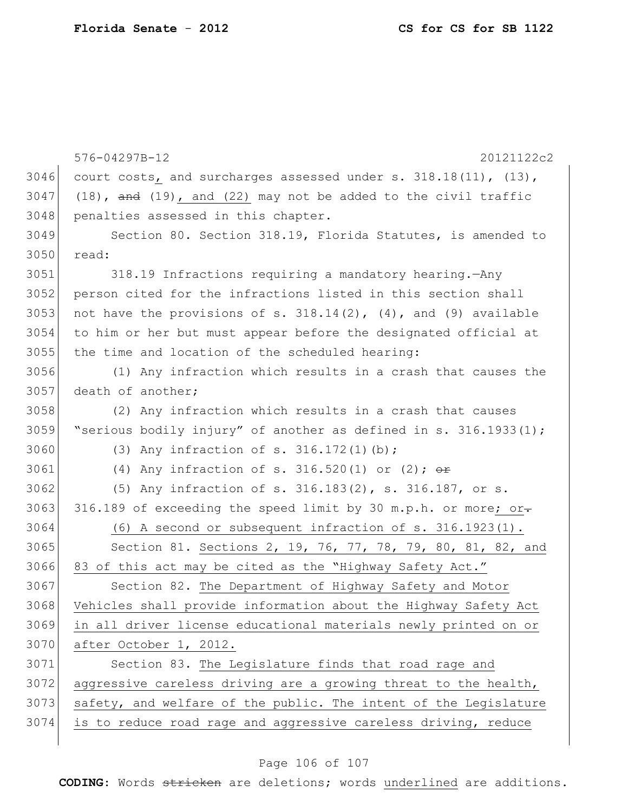```
576-04297B-12 20121122c2
3046 court costs, and surcharges assessed under s. 318.18(11), (13),
3047 (18), \overline{and} (19), and (22) may not be added to the civil traffic
3048 penalties assessed in this chapter.
3049 Section 80. Section 318.19, Florida Statutes, is amended to 
3050 read:
3051 318.19 Infractions requiring a mandatory hearing.—Any 
3052 person cited for the infractions listed in this section shall 
3053 not have the provisions of s. 318.14(2), (4), and (9) available
3054 to him or her but must appear before the designated official at 
3055 the time and location of the scheduled hearing:
3056 (1) Any infraction which results in a crash that causes the 
3057 death of another;
3058 (2) Any infraction which results in a crash that causes 
3059 "serious bodily injury" of another as defined in s. 316.1933(1);
3060 (3) Any infraction of s. 316.172(1)(b);
3061 (4) Any infraction of s. 316.520(1) or (2); \thetar
3062 (5) Any infraction of s. 316.183(2), s. 316.187, or s.
3063 316.189 of exceeding the speed limit by 30 m.p.h. or more; or-
3064 (6) A second or subsequent infraction of s. 316.1923(1).
3065 Section 81. Sections 2, 19, 76, 77, 78, 79, 80, 81, 82, and
3066 83 of this act may be cited as the "Highway Safety Act."
3067 Section 82. The Department of Highway Safety and Motor
3068 Vehicles shall provide information about the Highway Safety Act 
3069 in all driver license educational materials newly printed on or 
3070 after October 1, 2012.
3071 Section 83. The Legislature finds that road rage and 
3072 aggressive careless driving are a growing threat to the health,
3073 safety, and welfare of the public. The intent of the Legislature
3074 is to reduce road rage and aggressive careless driving, reduce
```
#### Page 106 of 107